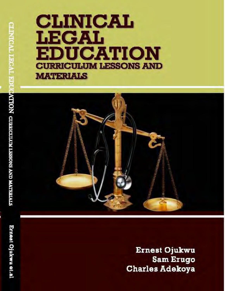# **CLINICAL LEGAL EDUCATION CURRICULUM LESSONS AND MATERIALS**



**Ernest Ojukwu** Sam Erugo **Charles Adekoya** 

Ernest Ojukwu et.al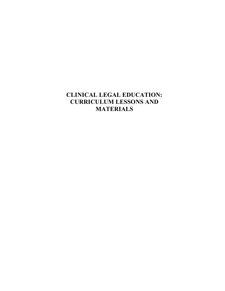# **CLINICAL LEGAL EDUCATION: CURRICULUM LESSONS AND MATERIALS**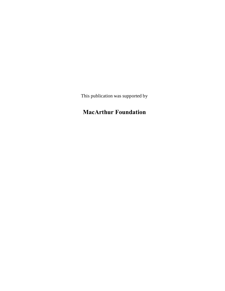This publication was supported by

# **MacArthur Foundation**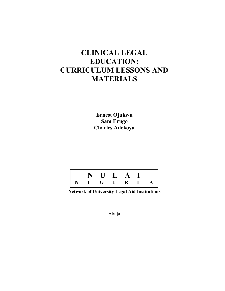# **CLINICAL LEGAL EDUCATION: CURRICULUM LESSONS AND MATERIALS**

**Ernest Ojukwu Sam Erugo Charles Adekoya** 



**Network of University Legal Aid Institutions** 

Abuja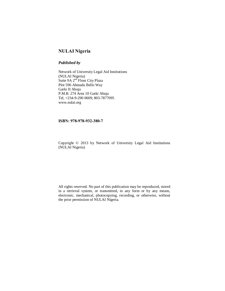## **NULAI Nigeria**

## *Published by*

Network of University Legal Aid Institutions (NULAI Nigeria) Suite 9A 2<sup>nd</sup> Floor City Plaza Plot 596 Ahmadu Bello Way Garki II Abuja P.M.B. 274 Area 10 Garki Abuja Tel, +234-9-290 0609; 803-7877095 www.nulai.org

## **ISBN: 978-978-932-380-7**

## Copyright © 2013 by Network of University Legal Aid Institutions (NULAI Nigeria)

All rights reserved. No part of this publication may be reproduced, stored in a retrieval system, or transmitted, in any form or by any means, electronic, mechanical, photocopying, recording, or otherwise, without the prior permission of NULAI Nigeria.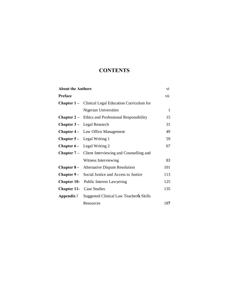# **CONTENTS**

| <b>About the Authors</b> |                                                            |     |
|--------------------------|------------------------------------------------------------|-----|
| Preface                  |                                                            | vii |
|                          | <b>Chapter 1 –</b> Clinical Legal Education Curriculum for |     |
|                          | Nigerian Universities                                      | 1   |
|                          | <b>Chapter 2 –</b> Ethics and Professional Responsibility  | 15  |
|                          | Chapter 3 - Legal Research                                 | 31  |
|                          | <b>Chapter 4 -</b> Law Office Management                   | 49  |
|                          | <b>Chapter 5 -</b> Legal Writing 1                         | 59  |
|                          | <b>Chapter 6 -</b> Legal Writing 2                         | 67  |
|                          | <b>Chapter 7 –</b> Client Interviewing and Counselling and |     |
|                          | Witness Interviewing                                       | 83  |
| Chapter 8 -              | <b>Alternative Dispute Resolution</b>                      | 101 |
| Chapter 9 -              | Social Justice and Access to Justice                       | 113 |
| <b>Chapter 10-</b>       | Public Interest Lawyering                                  | 125 |
| <b>Chapter 11-</b>       | <b>Case Studies</b>                                        | 135 |
| <b>Appendix</b> ó        | Suggested Clinical Law Teacher¢s Skills                    |     |
|                          | Resources                                                  | 187 |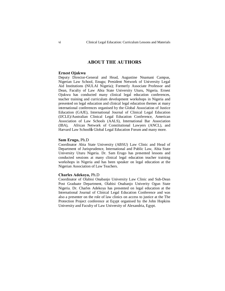## **ABOUT THE AUTHORS**

## **Ernest Ojukwu**

Deputy Director-General and Head, Augustine Nnamani Campus, Nigerian Law School, Enugu; President Network of University Legal Aid Institutions (NULAI Nigeria); Formerly Associate Professor and Dean, Faculty of Law Abia State University Uturu, Nigeria. Ernest Ojukwu has conducted many clinical legal education conferences, teacher training and curriculum development workshops in Nigeria and presented on legal education and clinical legal education themes at many international conferences organised by the Global Association of Justice Education (GAJE), International Journal of Clinical Legal Education (IJCLE)/Australian Clinical Legal Education Conference, American Association of Law Schools (AALS), International Bar Association (IBA), African Network of Constitutional Lawyers (ANCL), and Harvard Law School& Global Legal Education Forum and many more.

#### **Sam Erugo,** Ph.D

Coordinator Abia State University (ABSU) Law Clinic and Head of Department of Jurisprudence, International and Public Law, Abia State University Uturu Nigeria. Dr. Sam Erugo has presented lessons and conducted sessions at many clinical legal education teacher training workshops in Nigeria and has been speaker on legal education at the Nigerian Association of Law Teachers.

#### **Charles Adekoya,** Ph.D

Coordinator of Olabisi Onabanjo University Law Clinic and Sub-Dean Post Graduate Department, Olabisi Onabanjo Univerity Ogun State Nigeria. Dr. Charles Adekoya has presented on legal education at the International Journal of Clinical Legal Education Conference and was also a presenter on the role of law clinics on access to justice at the The Protection Project conference at Eqypt organised by the John Hopkins University and Faculty of Law University of Alexandria, Egypt.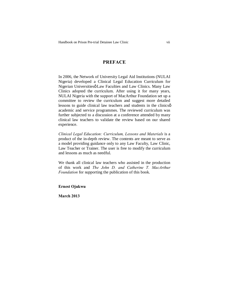## **PREFACE**

In 2006, the Network of University Legal Aid Institutions (NULAI Nigeria) developed a Clinical Legal Education Curriculum for Nigerian Universitiesø Law Faculties and Law Clinics. Many Law Clinics adopted the curriculum. After using it for many years, NULAI Nigeria with the support of MacArthur Foundation set up a committee to review the curriculum and suggest more detailed lessons to guide clinical law teachers and students in the clinics $\varphi$ academic and service programmes. The reviewed curriculum was further subjected to a discussion at a conference attended by many clinical law teachers to validate the review based on our shared experience.

*Clinical Legal Education: Curriculum, Lessons and Materials* is a product of the in-depth review. The contents are meant to serve as a model providing guidance only to any Law Faculty, Law Clinic, Law Teacher or Trainer. The user is free to modify the curriculum and lessons as much as needful.

We thank all clinical law teachers who assisted in the production of this work and *The John D. and Catherine T. MacArthur Foundation* for supporting the publication of this book.

**Ernest Ojukwu** 

**March 2013**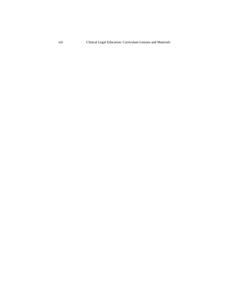viii Clinical Legal Education: Curriculum Lessons and Materials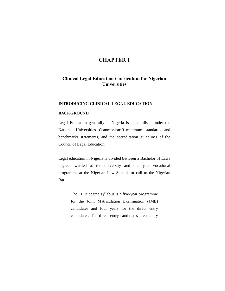## **CHAPTER 1**

## **Clinical Legal Education Curriculum for Nigerian Universities**

## **INTRODUCING CLINICAL LEGAL EDUCATION**

## **BACKGROUND**

Legal Education generally in Nigeria is standardised under the National Universities Commissions minimum standards and benchmarks statements, and the accreditation guidelines of the Council of Legal Education.

Legal education in Nigeria is divided between a Bachelor of Laws degree awarded at the university and one year vocational programme at the Nigerian Law School for call to the Nigerian Bar.

> The LL.B degree syllabus is a five-year programme for the Joint Matriculation Examination (JME) candidates and four years for the direct entry candidates. The direct entry candidates are mainly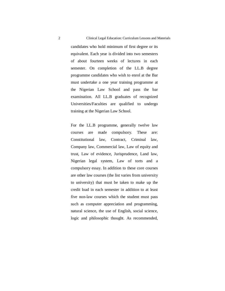candidates who hold minimum of first degree or its equivalent. Each year is divided into two semesters of about fourteen weeks of lectures in each semester. On completion of the LL.B degree programme candidates who wish to enrol at the Bar must undertake a one year training programme at the Nigerian Law School and pass the bar examination. All LL.B graduates of recognized Universities/Faculties are qualified to undergo training at the Nigerian Law School.

For the LL.B programme, generally twelve law courses are made compulsory. These are: Constitutional law, Contract, Criminal law, Company law, Commercial law, Law of equity and trust, Law of evidence, Jurisprudence, Land law, Nigerian legal system, Law of torts and a compulsory essay. In addition to these core courses are other law courses (the list varies from university to university) that must be taken to make up the credit load in each semester in addition to at least five non-law courses which the student must pass such as computer appreciation and programming, natural science, the use of English, social science, logic and philosophic thought. As recommended,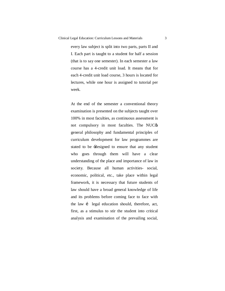every law subject is split into two parts, parts II and I. Each part is taught to a student for half a session (that is to say one semester). In each semester a law course has a 4-credit unit load. It means that for each 4-credit unit load course, 3 hours is located for lectures, while one hour is assigned to tutorial per week.

At the end of the semester a conventional theory examination is presented on the subjects taught over 100% in most faculties, as continuous assessment is not compulsory in most faculties. The NUC $\circ$ s general philosophy and fundamental principles of curriculum development for law programmes are stated to be 'designed to ensure that any student who goes through them will have a clear understanding of the place and importance of law in society. Because all human activities- social, economic, political, etc., take place within legal framework, it is necessary that future students of law should have a broad general knowledge of life and its problems before coming face to face with the law i legal education should, therefore, act, first, as a stimulus to stir the student into critical analysis and examination of the prevailing social,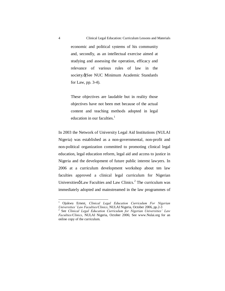economic and political systems of his community and, secondly, as an intellectual exercise aimed at studying and assessing the operation, efficacy and relevance of various rules of law in the society. & See NUC Minimum Academic Standards for Law, pp. 3-4).

These objectives are laudable but in reality those objectives have not been met because of the actual content and teaching methods adopted in legal education in our faculties. $<sup>1</sup>$ </sup>

In 2003 the Network of University Legal Aid Institutions (NULAI Nigeria) was established as a non-governmental, non-profit and non-political organization committed to promoting clinical legal education, legal education reform, legal aid and access to justice in Nigeria and the development of future public interest lawyers. In 2006 at a curriculum development workshop about ten law faculties approved a clinical legal curriculum for Nigerian Universities  $\phi$  Law Faculties and Law Clinics.<sup>2</sup> The curriculum was immediately adopted and mainstreamed in the law programmes of

 $\overline{a}$ 

<sup>1</sup> Ojukwu Ernest, *Clinical Legal Education Curriculum For Nigerian*  Universities' Law Faculties/Clinics, NULAI Nigeria, October 2006, pp.2-3<br><sup>2</sup> See *Clinical Legal Education Curriculum for Nigerian Universities' Law* 

*Faculties/Clinics*, NULAI Nigeria, October 2006; See www.Nulai.org for an online copy of the curriculum.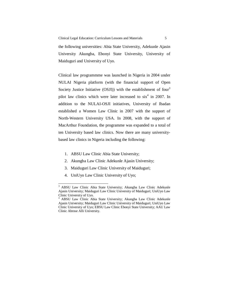the following universities: Abia State University, Adekunle Ajasin University Akungba, Ebonyi State University, University of Maiduguri and University of Uyo.

Clinical law programmme was launched in Nigeria in 2004 under NULAI Nigeria platform (with the financial support of Open Society Justice Initiative (OSJI)) with the establishment of four<sup>3</sup> pilot law clinics which were later increased to  $six^4$  in 2007. In addition to the NULAI-OSJI initiatives, University of Ibadan established a Women Law Clinic in 2007 with the support of North-Western University USA. In 2008, with the support of MacArthur Foundation, the programme was expanded to a total of ten University based law clinics. Now there are many universitybased law clinics in Nigeria including the following:

- 1. ABSU Law Clinic Abia State University;
- 2. Akungba Law Clinic Adekunle Ajasin University;
- 3. Maiduguri Law Clinic University of Maiduguri;
- 4. UniUyo Law Clinic University of Uyo;

 $\overline{a}$ 

<sup>3</sup> ABSU Law Clinic Abia State University; Akungba Law Clinic Adekunle Ajasin University; Maiduguri Law Clinic University of Maiduguri; UniUyo Law Clinic University of Uyo.

<sup>4</sup> ABSU Law Clinic Abia State University; Akungba Law Clinic Adekunle Ajasin University; Maiduguri Law Clinic University of Maiduguri; UniUyo Law Clinic University of Uyo; EBSU Law Clinic Ebonyi State University; AAU Law Clinic Abrose Alli University.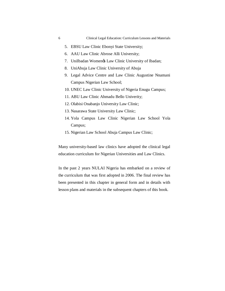- 5. EBSU Law Clinic Ebonyi State University;
- 6. AAU Law Clinic Abrose Alli University;
- 7. UniIbadan Women $\alpha$  Law Clinic University of Ibadan;
- 8. UniAbuja Law Clinic University of Abuja
- 9. Legal Advice Centre and Law Clinic Augustine Nnamani Campus Nigerian Law School;
- 10. UNEC Law Clinic University of Nigeria Enugu Campus;
- 11. ABU Law Clinic Ahmadu Bello Univerity;
- 12. Olabisi Onabanjo University Law Clinic;
- 13. Nasarawa State University Law Clinic;
- 14. Yola Campus Law Clinic Nigerian Law School Yola Campus;
- 15. Nigerian Law School Abuja Campus Law Clinic;

Many university-based law clinics have adopted the clinical legal education curriculum for Nigerian Universities and Law Clinics.

In the past 2 years NULAI Nigeria has embarked on a review of the curriculum that was first adopted in 2006. The final review has been presented in this chapter in general form and in details with lesson plans and materials in the subsequent chapters of this book.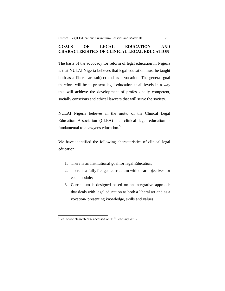## **GOALS OF LEGAL EDUCATION AND CHARACTERISTICS OF CLINICAL LEGAL EDUCATION**

The basis of the advocacy for reform of legal education in Nigeria is that NULAI Nigeria believes that legal education must be taught both as a liberal art subject and as a vocation. The general goal therefore will be to present legal education at all levels in a way that will achieve the development of professionally competent, socially conscious and ethical lawyers that will serve the society.

NULAI Nigeria believes in the motto of the Clinical Legal Education Association (CLEA) that clinical legal education is fundamental to a lawyer's education.<sup>5</sup>

We have identified the following characteristics of clinical legal education:

- 1. There is an Institutional goal for legal Education;
- 2. There is a fully fledged curriculum with clear objectives for each module;
- 3. Curriculum is designed based on an integrative approach that deals with legal education as both a liberal art and as a vocation- presenting knowledge, skills and values.

<sup>&</sup>lt;sup>5</sup>See www.cleaweb.org/ accessed on 11<sup>th</sup> February 2013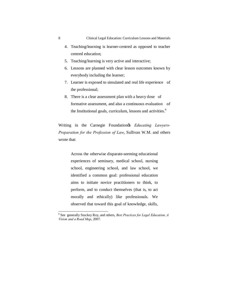- 4. Teaching/learning is learner-centred as opposed to teacher centred education;
- 5. Teaching/learning is very active and interactive;
- 6. Lessons are planned with clear lesson outcomes known by everybody including the learner;
- 7. Learner is exposed to simulated and real life experience of the professional;
- 8. There is a clear assessment plan with a heavy dose of formative assessment, and also a continuous evaluation of the Institutional goals, curriculum, lessons and activities.<sup>6</sup>

Writing in the Carnegie Foundation*g*s *Educating Lawyers-Preparation for the Profession of Law*, Sullivan W.M. and others wrote that:

> Across the otherwise disparate-seeming educational experiences of seminary, medical school, nursing school, engineering school, and law school, we identified a common goal: professional education aims to initiate novice practitioners to think, to perform, and to conduct themselves (that is, to act morally and ethically) like professionals. We observed that toward this goal of knowledge, skills,

 $\overline{a}$ 

<sup>6</sup> See generally Stuckey Roy, and others, *Best Practices for Legal Education, A Vision and a Road Map*, 2007.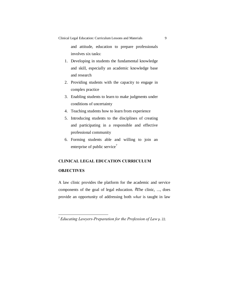and attitude, education to prepare professionals involves six tasks:

- 1. Developing in students the fundamental knowledge and skill, especially an academic knowledge base and research
- 2. Providing students with the capacity to engage in complex practice
- 3. Enabling students to learn to make judgments under conditions of uncertainty
- 4. Teaching students how to learn from experience
- 5. Introducing students to the disciplines of creating and participating in a responsible and effective professional community
- 6. Forming students able and willing to join an enterprise of public service<sup>7</sup>

#### **CLINICAL LEGAL EDUCATION CURRICULUM**

## **OBJECTIVES**

 $\overline{a}$ 

A law clinic provides the platform for the academic and service components of the goal of legal education. The clinic, ..., does provide an opportunity of addressing both *what* is taught in law

<sup>7</sup> *Educating Lawyers-Preparation for the Profession of Law* p. 22.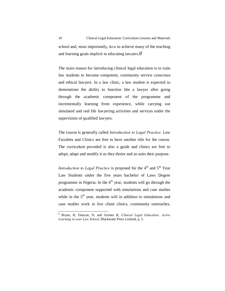10 Clinical Legal Education: Curriculum Lessons and Materials school and, most importantly, *how* to achieve many of the teaching and learning goals implicit in educating lawyers. $\ddot{o}$ <sup>8</sup>

The main reason for introducing clinical legal education is to train law students to become competent, community service conscious and ethical lawyers. In a law clinic, a law student is expected to demonstrate the ability to function like a lawyer after going through the academic component of the programme and incrementally learning from experience, while carrying out simulated and real life lawyering activities and services under the supervision of qualified lawyers.

The course is generally called *Introduction to Legal Practice.* Law Faculties and Clinics are free to have another title for the course. The curriculum provided is also a guide and clinics are free to adopt, adapt and modify it as they desire and as suits their purpose.

*Introduction to Legal Practice* is proposed for the  $4<sup>th</sup>$  and  $5<sup>th</sup>$  Year Law Students under the five years bachelor of Laws Degree programme in Nigeria. In the  $4<sup>th</sup>$  year, students will go through the academic component supported with simulations and case studies while in the  $5<sup>th</sup>$  year, students will in addition to simulations and case studies work in live client clinics, community outreaches,

 $\overline{a}$ 

<sup>8</sup> Bryne, H, Duncan, N, and Grimes R, *Clinical Legal Education: Active Learning in your Law School*, Blackstone Press Limited, p. 5.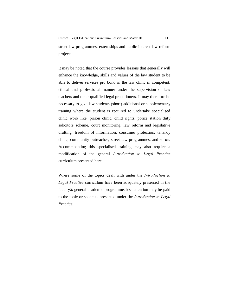Clinical Legal Education: Curriculum Lessons and Materials 11 street law programmes, externships and public interest law reform projects.

It may be noted that the course provides lessons that generally will enhance the knowledge, skills and values of the law student to be able to deliver services pro bono in the law clinic in competent, ethical and professional manner under the supervision of law teachers and other qualified legal practitioners. It may therefore be necessary to give law students (short) additional or supplementary training where the student is required to undertake specialised clinic work like, prison clinic, child rights, police station duty solicitors scheme, court monitoring, law reform and legislative drafting, freedom of information, consumer protection, tenancy clinic, community outreaches, street law programmes, and so on. Accommodating this specialised training may also require a modification of the general *Introduction to Legal Practice* curriculum presented here.

Where some of the topics dealt with under the *Introduction to Legal Practice* curriculum have been adequately presented in the faculty *general* academic programme, less attention may be paid to the topic or scope as presented under the *Introduction to Legal Practice.*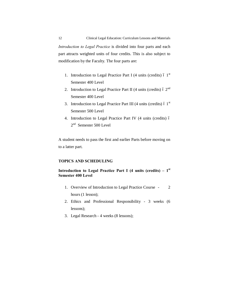12 Clinical Legal Education: Curriculum Lessons and Materials *Introduction to Legal Practice* is divided into four parts and each part attracts weighted units of four credits. This is also subject to modification by the Faculty. The four parts are:

- 1. Introduction to Legal Practice Part I (4 units (credits) 6  $1<sup>st</sup>$ Semester 400 Level
- 2. Introduction to Legal Practice Part II (4 units (credits)  $62<sup>nd</sup>$ Semester 400 Level
- 3. Introduction to Legal Practice Part III (4 units (credits) ó  $1<sup>st</sup>$ Semester 500 Level
- 4. Introduction to Legal Practice Part IV (4 units (credits) ó 2<sup>nd</sup> Semester 500 Level

A student needs to pass the first and earlier Parts before moving on to a latter part.

## **TOPICS AND SCHEDULING**

## **Introduction to Legal Practice Part I (4 units (credits) –**  $1^{st}$ **Semester 400 Level**

- 1. Overview of Introduction to Legal Practice Course 2 hours (1 lesson);
- 2. Ethics and Professional Responsibility 3 weeks (6 lessons);
- 3. Legal Research 4 weeks (8 lessons);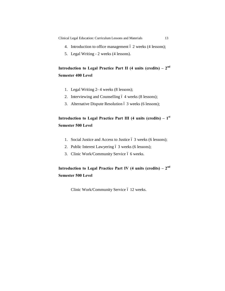Clinical Legal Education: Curriculum Lessons and Materials 13

- 4. Introduction to office management 6 2 weeks (4 lessons);
- 5. Legal Writing 2 weeks (4 lessons).

# **Introduction to Legal Practice Part II (4 units (credits) – 2nd Semester 400 Level**

- 1. Legal Writing 2- 4 weeks (8 lessons);
- 2. Interviewing and Counselling 6 4 weeks (8 lessons);
- 3. Alternative Dispute Resolution 6 3 weeks (6 lessons);

# **Introduction to Legal Practice Part III (4 units (credits) – 1st Semester 500 Level**

- 1. Social Justice and Access to Justice 6 3 weeks (6 lessons);
- 2. Public Interest Lawyering 6 3 weeks (6 lessons);
- 3. Clinic Work/Community Service 6 6 weeks.

# **Introduction to Legal Practice Part IV (4 units (credits) – 2nd Semester 500 Level**

Clinic Work/Community Service 6 12 weeks.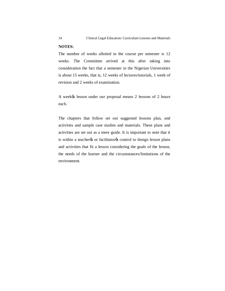#### **NOTES:**

The number of weeks allotted to the course per semester is 12 weeks. The Committee arrived at this after taking into consideration the fact that a semester in the Nigerian Universities is about 15 weeks, that is, 12 weeks of lectures/tutorials, 1 week of revision and 2 weeks of examination.

A week $\alpha$  lesson under our proposal means 2 lessons of 2 hours each.

The chapters that follow set out suggested lessons plan, and activities and sample case studies and materials. These plans and activities are set out as a mere guide. It is important to note that it is within a teachergs or facilitatorgs control to design lesson plans and activities that fit a lesson considering the goals of the lesson, the needs of the learner and the circumstances/limitations of the environment.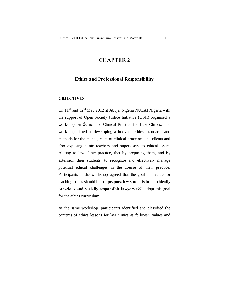## **CHAPTER 2**

## **Ethics and Professional Responsibility**

## **OBJECTIVES**

On  $11<sup>th</sup>$  and  $12<sup>th</sup>$  May 2012 at Abuja, Nigeria NULAI Nigeria with the support of Open Society Justice Initiative (OSJI) organised a workshop on 'Ethics for Clinical Practice for Law Clinics. The workshop aimed at developing a body of ethics, standards and methods for the management of clinical processes and clients and also exposing clinic teachers and supervisors to ethical issues relating to law clinic practice, thereby preparing them, and by extension their students, to recognize and effectively manage potential ethical challenges in the course of their practice. Participants at the workshop agreed that the goal and value for teaching ethics should be "**to prepare law students to be ethically**  conscious and socially responsible lawyers.<sup>"We adopt this goal</sup> for the ethics curriculum.

At the same workshop, participants identified and classified the contents of ethics lessons for law clinics as follows: values and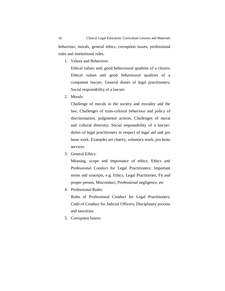behaviour, morals, general ethics, corruption issues, professional rules and institutional rules.

1. Values and Behaviour:

Ethical values and, good behavioural qualities of a citizen; Ethical values and good behavioural qualities of a competent lawyer; General duties of legal practitioners; Social responsibility of a lawyer.

2. Morals:

Challenge of morals in the society and morality and the law; Challenges of trans-cultural behaviour and policy of discrimination, judgmental actions; Challenges of moral and cultural diversity; Social responsibility of a lawyer: duties of legal practitioners in respect of legal aid and pro bono work. Examples are charity, voluntary work, pro bono services.

3. General Ethics:

Meaning, scope and importance of ethics; Ethics and Professional Conduct for Legal Practitioners; Important terms and concepts, e.g. Ethics, Legal Practitioner, Fit and proper person, Misconduct, Professional negligence, etc

4. Professional Rules:

Rules of Professional Conduct for Legal Practitioners; Code of Conduct for Judicial Officers; Disciplinary process and sanctions.

5. Corruption Issues: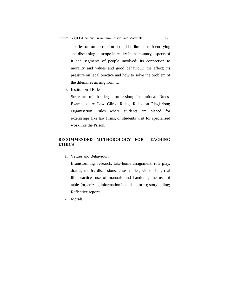The lesson on corruption should be limited to identifying and discussing its scope in reality in the country, aspects of it and segments of people involved; its connection to morality and values and good behaviour; the effect; its pressure on legal practice and how to solve the problem of the dilemmas arising from it.

6. Institutional Rules:

Structure of the legal profession; Institutional Rules-Examples are Law Clinic Rules, Rules on Plagiarism; Organisation Rules where students are placed for externships like law firms, or students visit for specialised work like the Prison.

## **RECOMMENDED METHODOLOGY FOR TEACHING ETHICS**

1. Values and Behaviour:

Brainstorming, research, take-home assignment, role play, drama, music, discussions, case studies, video clips, real life practice, use of manuals and handouts, the use of tables(organizing information in a table form); story telling; Reflective reports.

2. Morals: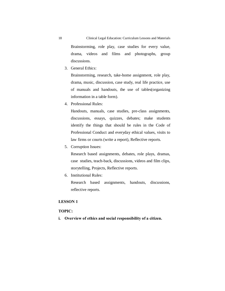18 Clinical Legal Education: Curriculum Lessons and Materials Brainstorming, role play, case studies for every value, drama, videos and films and photographs, group discussions.

3. General Ethics:

Brainstorming, research, take-home assignment, role play, drama, music, discussion, case study, real life practice, use of manuals and handouts, the use of tables(organizing information in a table form).

4. Professional Rules:

Handouts, manuals, case studies, pre-class assignments, discussions, essays, quizzes, debates; make students identify the things that should be rules in the Code of Professional Conduct and everyday ethical values, visits to law firms or courts (write a report), Reflective reports.

5. Corruption Issues:

Research based assignments, debates, role plays, dramas, case studies, teach-back, discussions, videos and film clips, storytelling, Projects, Reflective reports.

6. Institutional Rules:

Research based assignments, handouts, discussions, reflective reports.

#### **LESSON 1**

## **TOPIC:**

**i. Overview of ethics and social responsibility of a citizen.**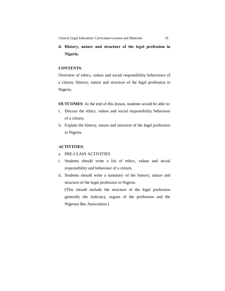Clinical Legal Education: Curriculum Lessons and Materials 19

**ii. History, nature and structure of the legal profession in Nigeria.** 

#### **CONTENTS**:

Overview of ethics, values and social responsibility behaviours of a citizen; History, nature and structure of the legal profession in Nigeria.

**OUTCOMES**: At the end of this lesson, students would be able to:

- i. Discuss the ethics, values and social responsibility behaviour of a citizen;
- ii. Explain the history, nature and structure of the legal profession in Nigeria.

## **ACTIVITIES**:

- a. PRE-CLASS ACTIVITIES
- i. Students should write a list of ethics, values and social responsibility and behaviour of a citizen.
- ii. Students should write a summary of the history, nature and structure of the legal profession in Nigeria.

(This should include the structure of the legal profession generally the Judiciary, organs of the profession and the Nigerian Bar Association.)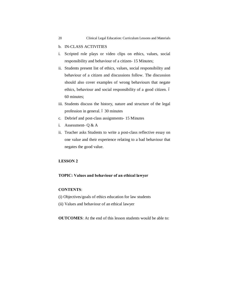- b. IN-CLASS ACTIVITIES
- i. Scripted role plays or video clips on ethics, values, social responsibility and behaviour of a citizen- 15 Minutes;
- ii. Students present list of ethics, values, social responsibility and behaviour of a citizen and discussions follow. The discussion should also cover examples of wrong behaviours that negate ethics, behaviour and social responsibility of a good citizen. 6 60 minutes;
- iii. Students discuss the history, nature and structure of the legal profession in general. 6 30 minutes
- c. Debrief and post-class assignments- 15 Minutes
- i. Assessment- Q & A
- ii. Teacher asks Students to write a post-class reflective essay on one value and their experience relating to a bad behaviour that negates the good value.

#### **LESSON 2**

## **TOPIC: Values and behaviour of an ethical lawyer**

## **CONTENTS**:

- (i) Objectives/goals of ethics education for law students
- (ii) Values and behaviour of an ethical lawyer

**OUTCOMES**: At the end of this lesson students would be able to: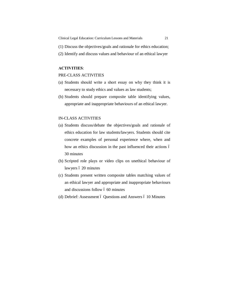Clinical Legal Education: Curriculum Lessons and Materials 21

- (1) Discuss the objectives/goals and rationale for ethics education;
- (2) Identify and discuss values and behaviour of an ethical lawyer

#### **ACTIVITIES**:

## PRE-CLASS ACTIVITIES

- (a) Students should write a short essay on why they think it is necessary to study ethics and values as law students;
- (b) Students should prepare composite table identifying values, appropriate and inappropriate behaviours of an ethical lawyer.

#### IN-CLASS ACTIVITIES

- (a) Students discuss/debate the objectives/goals and rationale of ethics education for law students/lawyers. Students should cite concrete examples of personal experience where, when and how an ethics discussion in the past influenced their actions  $\acute{o}$ 30 minutes
- (b) Scripted role plays or video clips on unethical behaviour of lawyers ó 20 minutes
- (c) Students present written composite tables matching values of an ethical lawyer and appropriate and inappropriate behaviours and discussions follow 6 60 minutes
- (d) Debrief: Assessment ó Questions and Answers ó 10 Minutes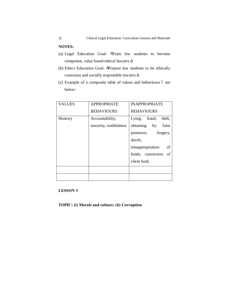## **NOTES:**

- (a) Legal Education Goal-  $\tilde{o}$ Train law students to become competent, value based ethical lawyers.ö
- (b) Ethics Education Goal-  $\tilde{O}$ Prepare law students to be ethically conscious and socially responsible lawyers.ö
- (c) Example of a composite table of values and behaviours 6 see below:

| <b>VALUES</b> | <b>APPROPRIATE</b>      | <b>INAPPROPRIATE</b>    |  |
|---------------|-------------------------|-------------------------|--|
|               | <b>BEHAVIOURS</b>       | <b>BEHAVIOURS</b>       |  |
| Honesty       | Accountability,         | Lying, fraud,<br>theft, |  |
|               | sincerity, truthfulness | obtaining by<br>false   |  |
|               |                         | pretences, forgery,     |  |
|               |                         | deceit,                 |  |
|               |                         | misappropriation<br>οf  |  |
|               |                         | funds, conversion of    |  |
|               |                         | client fund,            |  |
|               |                         |                         |  |
|               |                         |                         |  |

## **LESSON 3**

## **TOPIC: (i) Morals and culture; (ii) Corruption**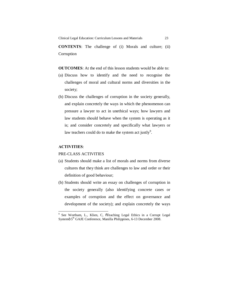**CONTENTS**: The challenge of (i) Morals and culture; (ii) Corruption

**OUTCOMES**: At the end of this lesson students would be able to:

- (a) Discuss how to identify and the need to recognise the challenges of moral and cultural norms and diversities in the society;
- (b) Discuss the challenges of corruption in the society generally, and explain concretely the ways in which the phenomenon can pressure a lawyer to act in unethical ways; how lawyers and law students should behave when the system is operating as it is; and consider concretely and specifically what lawyers or law teachers could do to make the system act justly<sup>9</sup>.

## **ACTIVITIES**:

## PRE-CLASS ACTIVITIES

- (a) Students should make a list of morals and norms from diverse cultures that they think are challenges to law and order or their definition of good behaviour;
- (b) Students should write an essay on challenges of corruption in the society generally (also identifying concrete cases or examples of corruption and the effect on governance and development of the society); and explain concretely the ways

<sup>&</sup>lt;sup>9</sup> See Wortham, L., Klien, C. õTeaching Legal Ethics in a Corrupt Legal Systemö 5<sup>th</sup> GAJE Conference, Manilla Philippines, 6-13 December 2008.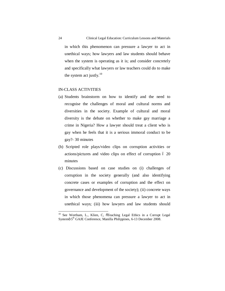# 24 Clinical Legal Education: Curriculum Lessons and Materials in which this phenomenon can pressure a lawyer to act in unethical ways; how lawyers and law students should behave when the system is operating as it is; and consider concretely and specifically what lawyers or law teachers could do to make the system act justly. $10$

## IN-CLASS ACTIVITIES

- (a) Students brainstorm on how to identify and the need to recognise the challenges of moral and cultural norms and diversities in the society. Example of cultural and moral diversity is the debate on whether to make gay marriage a crime in Nigeria? How a lawyer should treat a client who is gay when he feels that it is a serious immoral conduct to be gay?- 30 minutes
- (b) Scripted role plays/video clips on corruption activities or actions/pictures and video clips on effect of corruption 6 20 minutes
- (c) Discussions based on case studies on (i) challenges of corruption in the society generally (and also identifying concrete cases or examples of corruption and the effect on governance and development of the society); (ii) concrete ways in which those phenomena can pressure a lawyer to act in unethical ways; (iii) how lawyers and law students should

 $\overline{a}$ 

<sup>&</sup>lt;sup>10</sup> See Wortham, L., Klien, C, õTeaching Legal Ethics in a Corrupt Legal Systemö 5<sup>th</sup> GAJE Conference, Manilla Philippines, 6-13 December 2008.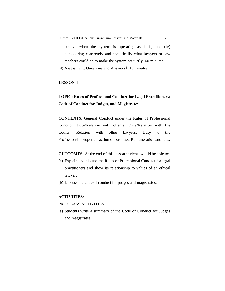Clinical Legal Education: Curriculum Lessons and Materials 25

behave when the system is operating as it is; and (iv) considering concretely and specifically what lawyers or law teachers could do to make the system act justly- 60 minutes

(d) Assessment: Questions and Answers 6 10 minutes

#### **LESSON 4**

## **TOPIC: Rules of Professional Conduct for Legal Practitioners; Code of Conduct for Judges, and Magistrates.**

**CONTENTS**: General Conduct under the Rules of Professional Conduct; Duty/Relation with clients; Duty/Relation with the Courts; Relation with other lawyers; Duty to the Profession/Improper attraction of business; Remuneration and fees.

**OUTCOMES**: At the end of this lesson students would be able to:

- (a) Explain and discuss the Rules of Professional Conduct for legal practitioners and show its relationship to values of an ethical lawyer;
- (b) Discuss the code of conduct for judges and magistrates.

## **ACTIVITIES**:

## PRE-CLASS ACTIVITIES

(a) Students write a summary of the Code of Conduct for Judges and magistrates;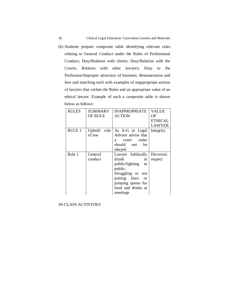(b) Students prepare composite table identifying relevant rules relating to General Conduct under the Rules of Professional Conduct; Duty/Relation with clients; Duty/Relation with the Courts; Relation with other lawyers; Duty to the Profession/Improper attraction of business; Remuneration and fees and matching each with examples of inappropriate actions of lawyers that violate the Rules and an appropriate value of an ethical lawyer. Example of such a composite table is shown below as follows:

| <b>RULES</b>      | SUMMARY        | <b>INAPPROPRIATE</b>       | VALUE          |
|-------------------|----------------|----------------------------|----------------|
|                   | OF RULE        | <b>ACTION</b>              | OF             |
|                   |                |                            | <b>ETHICAL</b> |
|                   |                |                            | LAWYER         |
| RULE <sub>1</sub> | Uphold<br>rule | As A-G or Legal            | Integrity      |
|                   | of law         | Adviser advise that        |                |
|                   |                | order<br>court<br>a        |                |
|                   |                | should<br>be<br>not        |                |
|                   |                | obeyed                     |                |
| Rule 1            | General        | Lawyer habitually          | Decorum;       |
|                   | conduct        | drunk<br>in                | respect        |
|                   |                | public/fighting<br>in      |                |
|                   |                | public;                    |                |
|                   |                | Struggling or not          |                |
|                   |                | joining lines<br><b>or</b> |                |
|                   |                | jumping queue for          |                |
|                   |                | food and drinks at         |                |
|                   |                | meetings                   |                |

## IN-CLASS ACTIVITIES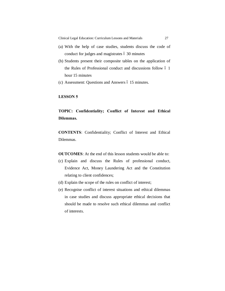Clinical Legal Education: Curriculum Lessons and Materials 27

- (a) With the help of case studies, students discuss the code of conduct for judges and magistrates 6 30 minutes
- (b) Students present their composite tables on the application of the Rules of Professional conduct and discussions follow  $6$  1 hour 15 minutes
- (c) Assessment: Questions and Answers 6 15 minutes.

## **LESSON 5**

# **TOPIC: Confidentiality; Conflict of Interest and Ethical Dilemmas.**

**CONTENTS**: Confidentiality; Conflict of Interest and Ethical Dilemmas.

**OUTCOMES**: At the end of this lesson students would be able to:

- (c) Explain and discuss the Rules of professional conduct, Evidence Act, Money Laundering Act and the Constitution relating to client confidences;
- (d) Explain the scope of the rules on conflict of interest;
- (e) Recognise conflict of interest situations and ethical dilemmas in case studies and discuss appropriate ethical decisions that should be made to resolve such ethical dilemmas and conflict of interests.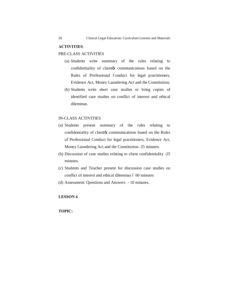## **ACTIVITIES**:

## PRE-CLASS ACTIVITIES

- (a) Students write summary of the rules relating to confidentiality of client os communications based on the Rules of Professional Conduct for legal practitioners, Evidence Act, Money Laundering Act and the Constitution;
- (b) Students write short case studies or bring copies of identified case studies on conflict of interest and ethical dilemmas.

#### IN-CLASS ACTIVITIES

- (a) Students present summary of the rules relating to confidentiality of clientys communications based on the Rules of Professional Conduct for legal practitioners, Evidence Act, Money Laundering Act and the Constitution- 25 minutes.
- (b) Discussion of case studies relating to client confidentiality -25 minutes.
- (c) Students and Teacher present for discussion case studies on conflict of interest and ethical dilemmas 6 60 minutes
- (d) Assessment: Questions and Answers 10 minutes.

## **LESSON 6**

## **TOPIC:**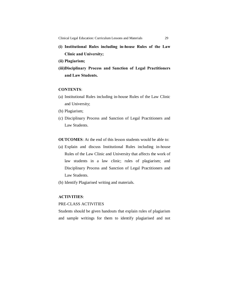- **(i) Institutional Rules including in-house Rules of the Law Clinic and University;**
- **(ii) Plagiarism;**
- **(iii)Disciplinary Process and Sanction of Legal Practitioners and Law Students.**

## **CONTENTS**:

- (a) Institutional Rules including in-house Rules of the Law Clinic and University;
- (b) Plagiarism;
- (c) Disciplinary Process and Sanction of Legal Practitioners and Law Students.

**OUTCOMES**: At the end of this lesson students would be able to:

- (a) Explain and discuss Institutional Rules including in-house Rules of the Law Clinic and University that affects the work of law students in a law clinic; rules of plagiarism; and Disciplinary Process and Sanction of Legal Practitioners and Law Students.
- (b) Identify Plagiarised writing and materials.

### **ACTIVITIES**:

#### PRE-CLASS ACTIVITIES

Students should be given handouts that explain rules of plagiarism and sample writings for them to identify plagiarised and not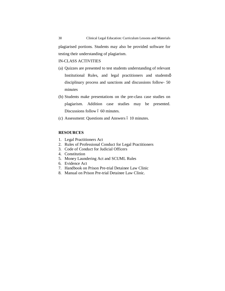plagiarised portions. Students may also be provided software for testing their understanding of plagiarism.

#### IN-CLASS ACTIVITIES

- (a) Quizzes are presented to test students understanding of relevant Institutional Rules, and legal practitioners and students $\phi$ disciplinary process and sanctions and discussions follow- 50 minutes
- (b) Students make presentations on the pre-class case studies on plagiarism. Addition case studies may be presented. Discussions follow 6 60 minutes.
- (c) Assessment: Questions and Answers 6 10 minutes.

## **RESOURCES**

- 1. Legal Practitioners Act
- 2. Rules of Professional Conduct for Legal Practitioners
- 3. Code of Conduct for Judicial Officers
- 4. Constitution
- 5. Money Laundering Act and SCUML Rules
- 6. Evidence Act
- 7. Handbook on Prison Pre-trial Detainee Law Clinic
- 8. Manual on Prison Pre-trial Detainee Law Clinic.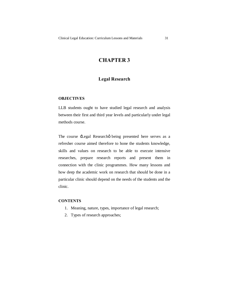# **CHAPTER 3**

## **Legal Research**

## **OBJECTIVES**

LLB students ought to have studied legal research and analysis between their first and third year levels and particularly under legal methods course.

The course  $\pm$  Legal Researchø being presented here serves as a refresher course aimed therefore to hone the students knowledge, skills and values on research to be able to execute intensive researches, prepare research reports and present them in connection with the clinic programmes. How many lessons and how deep the academic work on research that should be done in a particular clinic should depend on the needs of the students and the clinic.

#### **CONTENTS**

- 1. Meaning, nature, types, importance of legal research;
- 2. Types of research approaches;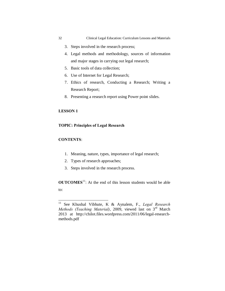- 3. Steps involved in the research process;
- 4. Legal methods and methodology, sources of information and major stages in carrying out legal research;
- 5. Basic tools of data collection;
- 6. Use of Internet for Legal Research;
- 7. Ethics of research, Conducting a Research; Writing a Research Report;
- 8. Presenting a research report using Power point slides.

#### **LESSON 1**

## **TOPIC: Principles of Legal Research**

## **CONTENTS**:

- 1. Meaning, nature, types, importance of legal research;
- 2. Types of research approaches;
- 3. Steps involved in the research process.

**OUTCOMES**<sup>11</sup>: At the end of this lesson students would be able to:

 $1\,1$ 11 See Khushal Vibhute, K & Aynalem, F., *Legal Research Methods (Teaching Material)*, 2009, viewed last on 3<sup>rd</sup> March 2013 at http://chilot.files.wordpress.com/2011/06/legal-researchmethods.pdf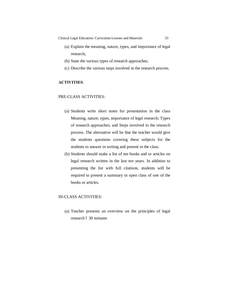- (a) Explain the meaning, nature, types, and importance of legal research;
- (b) State the various types of research approaches;
- (c) Describe the various steps involved in the research process.

#### **ACTIVITIES**:

## PRE-CLASS ACTIVITIES:

- (a) Students write short notes for presentation in the class Meaning, nature, types, importance of legal research; Types of research approaches; and Steps involved in the research process. The alternative will be that the teacher would give the students questions covering these subjects for the students to answer in writing and present in the class.
- (b) Students should make a list of ten books and or articles on legal research written in the last ten years. In addition to presenting the list with full citations, students will be required to present a summary in open class of one of the books or articles.

### IN-CLASS ACTIVITIES:

(a) Teacher presents an overview on the principles of legal research 6 30 minutes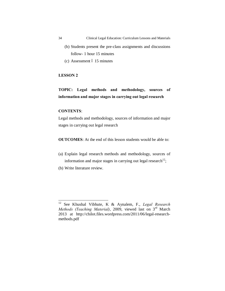- (b) Students present the pre-class assignments and discussions follow- 1 hour 15 minutes
- $(c)$  Assessment  $6$  15 minutes

## **LESSON 2**

# **TOPIC: Legal methods and methodology, sources of information and major stages in carrying out legal research**

#### **CONTENTS**:

Legal methods and methodology, sources of information and major stages in carrying out legal research

**OUTCOMES**: At the end of this lesson students would be able to:

- (a) Explain legal research methods and methodology, sources of information and major stages in carrying out legal research<sup>12</sup>;
- (b) Write literature review.

 $12\,$ 12 See Khushal Vibhute, K & Aynalem, F., *Legal Research Methods (Teaching Material)*, 2009, viewed last on 3<sup>rd</sup> March 2013 at http://chilot.files.wordpress.com/2011/06/legal-researchmethods.pdf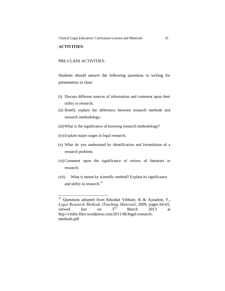#### **ACTIVITIES**:

#### PRE-CLASS ACTIVITIES:

Students should answer the following questions in writing for presentation in class:

- (i) Discuss different sources of information and comment upon their utility in research;
- (ii) Briefly explain the difference between research methods and research methodology;
- (iii)What is the significance of knowing research methodology?
- (iv) Explain major stages in legal research;
- (v) What do you understand by identification and formulation of a research problem;
- (vi)Comment upon the significance of review of literature in research;
- (vii) What is meant by scientific method? Explain its significance and utility in research.<sup>13</sup>

<sup>13</sup> Questions adopted from Khushal Vibhute, K & Aynalem, F., *Legal Research Methods (Teaching Material)*, 2009, pages 64-65, viewed last on  $3<sup>rd</sup>$  March 2013 at http://chilot.files.wordpress.com/2011/06/legal-researchmethods.pdf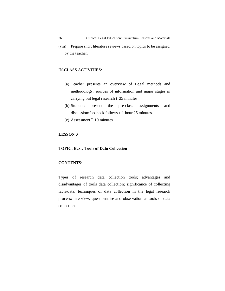(viii) Prepare short literature reviews based on topics to be assigned by the teacher.

#### IN-CLASS ACTIVITIES:

- (a) Teacher presents an overview of Legal methods and methodology, sources of information and major stages in carrying out legal research 6 25 minutes
- (b) Students present the pre-class assignments and discussion/feedback follows 6 1 hour 25 minutes.
- (c) Assessment  $610$  minutes

## **LESSON 3**

## **TOPIC: Basic Tools of Data Collection**

## **CONTENTS**:

Types of research data collection tools; advantages and disadvantages of tools data collection; significance of collecting facts/data; techniques of data collection in the legal research process; interview, questionnaire and observation as tools of data collection.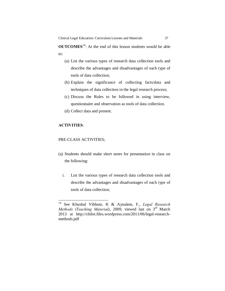**OUTCOMES**14: At the end of this lesson students would be able to:

- (a) List the various types of research data collection tools and describe the advantages and disadvantages of each type of tools of data collection;
- (b) Explain the significance of collecting facts/data and techniques of data collection in the legal research process;
- (c) Discuss the Rules to be followed in using interview, questionnaire and observation as tools of data collection.
- (d) Collect data and present.

## **ACTIVITIES**:

## PRE-CLASS ACTIVITIES;

- (a) Students should make short notes for presentation in class on the following:
	- i. List the various types of research data collection tools and describe the advantages and disadvantages of each type of tools of data collection;

 $14\,$ 14 See Khushal Vibhute, K & Aynalem, F., *Legal Research Methods (Teaching Material)*, 2009, viewed last on 3<sup>rd</sup> March 2013 at http://chilot.files.wordpress.com/2011/06/legal-researchmethods.pdf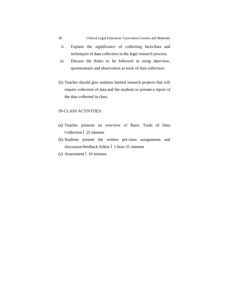- ii. Explain the significance of collecting facts/data and techniques of data collection in the legal research process;
- iii. Discuss the Rules to be followed in using interview, questionnaire and observation as tools of data collection.
- (b) Teacher should give students limited research projects that will require collection of data and the students to present a report of the data collected in class.

## IN-CLASS ACTIVITIES:

- (a) Teacher presents an overview of Basic Tools of Data Collection 6 25 minutes
- (b) Students present the written pre-class assignments and discussion/feedback follow 6 1 hour 25 minutes
- (c) Assessment  $6$  10 minutes.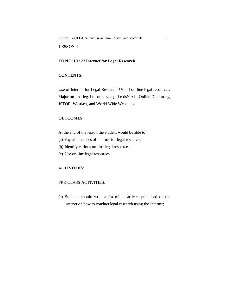## **LESSON 4**

#### **TOPIC: Use of Internet for Legal Research**

## **CONTENTS**:

Use of Internet for Legal Research; Use of on-line legal resources; Major on-line legal resources, e.g. LexisNexis, Online Dictionary, JSTOR, Westlaw, and World Wide Web sites.

## **OUTCOMES**:

At the end of the lesson the student would be able to:

- (a) Explain the uses of internet for legal research;
- (b) Identify various on-line legal resources;
- (c) Use on-line legal resources

## **ACTIVITIES**:

## PRE-CLASS ACTIVITIES:

(a) Students should write a list of ten articles published on the internet on how to conduct legal research using the Internet;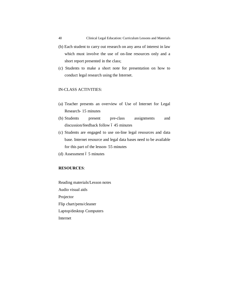- (b) Each student to carry out research on any area of interest in law which must involve the use of on-line resources only and a short report presented in the class;
- (c) Students to make a short note for presentation on how to conduct legal research using the Internet.

#### IN-CLASS ACTIVITIES:

- (a) Teacher presents an overview of Use of Internet for Legal Research- 15 minutes
- (b) Students present pre-class assignments and discussion/feedback follow 6 45 minutes
- (c) Students are engaged to use on-line legal resources and data base. Internet resource and legal data bases need to be available for this part of the lesson- 55 minutes
- (d) Assessment  $6\,5$  minutes

## **RESOURCES**:

Reading materials/Lesson notes Audio visual aids Projector Flip chart/pens/cleaner Laptop/desktop Computers Internet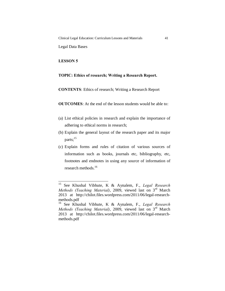Legal Data Bases

#### **LESSON 5**

l

## **TOPIC: Ethics of research; Writing a Research Report.**

**CONTENTS**: Ethics of research; Writing a Research Report

**OUTCOMES**: At the end of the lesson students would be able to:

- (a) List ethical policies in research and explain the importance of adhering to ethical norms in research;
- (b) Explain the general layout of the research paper and its major parts;<sup>15</sup>
- (c) Explain forms and rules of citation of various sources of information such as books, journals etc, bibliography, etc, footnotes and endnotes in using any source of information of research methods.16

<sup>15</sup> See Khushal Vibhute, K & Aynalem, F., *Legal Research Methods (Teaching Material)*, 2009, viewed last on 3<sup>rd</sup> March 2013 at http://chilot.files.wordpress.com/2011/06/legal-researchmethods.pdf

<sup>16</sup> See Khushal Vibhute, K & Aynalem, F., *Legal Research Methods (Teaching Material)*, 2009, viewed last on 3<sup>rd</sup> March 2013 at http://chilot.files.wordpress.com/2011/06/legal-researchmethods.pdf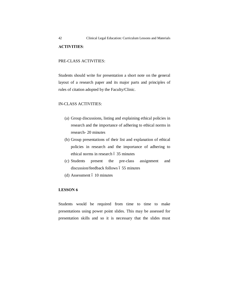#### **ACTIVITIES**:

## PRE-CLASS ACTIVITIES:

Students should write for presentation a short note on the general layout of a research paper and its major parts and principles of rules of citation adopted by the Faculty/Clinic.

## IN-CLASS ACTIVITIES:

- (a) Group discussions, listing and explaining ethical policies in research and the importance of adhering to ethical norms in research- 20 minutes
- (b) Group presentations of their list and explanation of ethical policies in research and the importance of adhering to ethical norms in research 6 35 minutes
- (c) Students present the pre-class assignment and discussion/feedback follows 6 55 minutes
- (d) Assessment  $610$  minutes

## **LESSON 6**

Students would be required from time to time to make presentations using power point slides. This may be assessed for presentation skills and so it is necessary that the slides must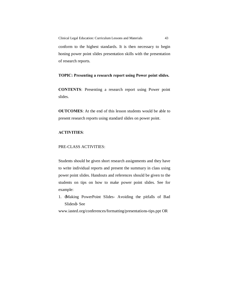Clinical Legal Education: Curriculum Lessons and Materials 43 conform to the highest standards. It is then necessary to begin honing power point slides presentation skills with the presentation of research reports.

## **TOPIC: Presenting a research report using Power point slides.**

**CONTENTS**: Presenting a research report using Power point slides.

**OUTCOMES**: At the end of this lesson students would be able to present research reports using standard slides on power point.

## **ACTIVITIES**:

#### PRE-CLASS ACTIVITIES:

Students should be given short research assignments and they have to write individual reports and present the summary in class using power point slides. Handouts and references should be given to the students on tips on how to make power point slides. See for example:

1. 'Making PowerPoint Slides- Avoiding the pitfalls of Bad Slidesö- See

www.iasted.org/conferences/formatting/presentations-tips.ppt OR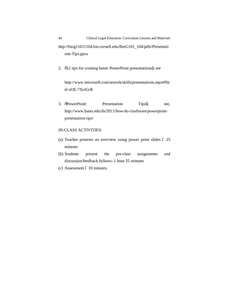2.  $\tilde{0}12$  tips for creating better PowerPoint presentationsö, see

http://www.microsoft.com/atwork/skills/presentations.aspx#fbi [d=sOE-7XctGrR](http://www.microsoft.com/atwork/skills/presentations.aspx) 

3.  $\delta$ PowerPoint: Presentation Tipsö, see, http://www.bates.edu/ils/2011/how-do-i/software/powerpointpresentation-tips/

## IN-CLASS ACTIVITIES:

- (a) Teacher presents an overview using power point slides  $6\,25$ minutes
- (b) Students present the pre-class assignments and discussion/feedback follows- 1 hour 25 minutes
- $(c)$  Assessment  $6$  10 minutes.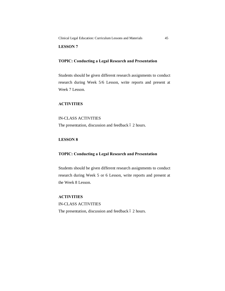## **LESSON 7**

#### **TOPIC: Conducting a Legal Research and Presentation**

Students should be given different research assignments to conduct research during Week 5/6 Lesson, write reports and present at Week 7 Lesson.

## **ACTIVITIES**

## IN-CLASS ACTIVITIES

The presentation, discussion and feedback 6 2 hours.

## **LESSON 8**

## **TOPIC: Conducting a Legal Research and Presentation**

Students should be given different research assignments to conduct research during Week 5 or 6 Lesson, write reports and present at the Week 8 Lesson.

## **ACTIVITIES**

IN-CLASS ACTIVITIES The presentation, discussion and feedback 6 2 hours.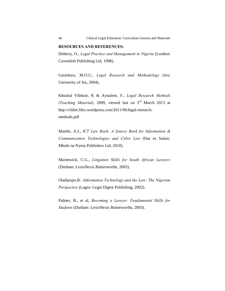#### **RESOURCES AND REFERENCES:**

Doherty, O., *Legal Practice and Management in Nigeria* (London: Cavendish Publishing Ltd, 1998).

Gasiokwu, M.O.U., *Legal Research and Methodology* (Jos: University of Jos, 2004).

Khushal Vibhute, K & Aynalem, F., *Legal Research Methods (Teaching Material)*, 2009, viewed last on 3rd March 2013 at http://chilot.files.wordpress.com/2011/06/legal-researchmethods.pdf

Mambi, A.J., *ICT Law Book: A Source Book for Information & Communication Technologies and Cyber Law* (Dar es Salam: Mkuki na Nyota Publishers Ltd, 2010).

Marnewick, C.G., *Litigation Skills for South African Lawyers* (Durham: LexisNexis Butterworths, 2003).

Oladipupo,B.: *Information Technology and the Law: The Nigerian Perspective* (Lagos: Legal Digest Publishing, 2002).

Palmer, R., et al, *Becoming a Lawyer: Fundamental Skills for Students* (Durham: LexisNexis Butterworths, 2003).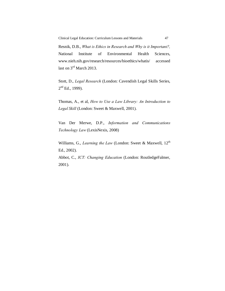Resnik, D.B., *What is Ethics in Research and Why is it Important?,* National Institute of Environmental Health Sciences, [www.nieh.nih.gov/research/resources/bioethics/whatis](http://www.nieh.nih.gov/research/resources/bioethics/whatis/)/ accessed last on 3<sup>rd</sup> March 2013.

Stott, D., *Legal Research* (London: Cavendish Legal Skills Series,  $2<sup>nd</sup>$  Ed., 1999).

Thomas, A., et al, *How to Use a Law Library: An Introduction to Legal Skill* (London: Sweet & Maxwell, 2001).

Van Der Merwe, D.P., *Information and Communications Technology Law* (LexisNexis, 2008)

Williams, G., *Learning the Law* (London: Sweet & Maxwell, 12<sup>th</sup> Ed., 2002).

Abbot, C., *ICT: Changing Education* (London: RoutledgeFalmer, 2001).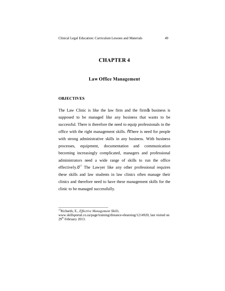# **CHAPTER 4**

## **Law Office Management**

#### **OBJECTIVES**

The Law Clinic is like the law firm and the firm of business is supposed to be managed like any business that wants to be successful. There is therefore the need to equip professionals in the office with the right management skills. There is need for people with strong administrative skills in any business. With business processes, equipment, documentation and communication becoming increasingly complicated, managers and professional administrators need a wide range of skills to run the office effectively. $\ddot{o}^{17}$  The Lawyer like any other professional requires these skills and law students in law clinics often manage their clinics and therefore need to have these management skills for the clinic to be managed successfully.

l

<sup>17</sup>Richards, E., *Effective Management Skills,*

www.skillsportal.co.za/page/training/distance-elearning/1214920, last visited on 29<sup>th</sup> February 2013.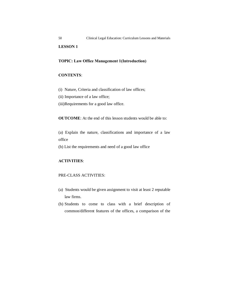## **LESSON 1**

#### **TOPIC: Law Office Management 1(Introduction)**

## **CONTENTS**:

(i) Nature, Criteria and classification of law offices;

(ii) Importance of a law office;

(iii)Requirements for a good law office.

**OUTCOME**: At the end of this lesson students would be able to:

(a) Explain the nature, classifications and importance of a law office

(b) List the requirements and need of a good law office

## **ACTIVITIES**:

## PRE-CLASS ACTIVITIES:

- (a) Students would be given assignment to visit at least 2 reputable law firms.
- (b) Students to come to class with a brief description of common/different features of the offices, a comparison of the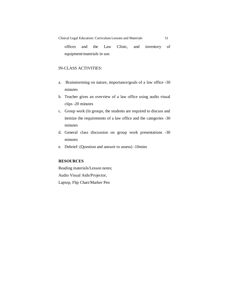offices and the Law Clinic, and inventory of equipment/materials in use.

### IN-CLASS ACTIVITIES:

- a. Brainstorming on nature, importance/goals of a law office -30 minutes
- b. Teacher gives an overview of a law office using audio visual clips -20 minutes
- c. Group work (In groups, the students are required to discuss and itemize the requirements of a law office and the categories -30 minutes
- d. General class discussion on group work presentations -30 minutes
- e. Debrief: (Question and answer to assess) -10mins

## **RESOURCES**

Reading materials/Lesson notes;

Audio Visual Aids/Projector,

Laptop, Flip Chart/Marker Pen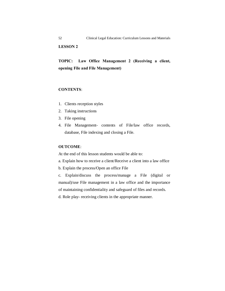## **LESSON 2**

**TOPIC: Law Office Management 2 (Receiving a client, opening File and File Management)** 

#### **CONTENTS**:

- 1. Clients reception styles
- 2. Taking instructions
- 3. File opening
- 4. File Management- contents of File/law office records, database, File indexing and closing a File.

#### **OUTCOME**:

At the end of this lesson students would be able to:

a. Explain how to receive a client/Receive a client into a law office

b. Explain the process/Open an office File

c. Explain/discuss the process/manage a File (digital or manual)/use File management in a law office and the importance of maintaining confidentiality and safeguard of files and records.

d. Role play- receiving clients in the appropriate manner.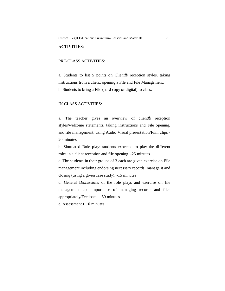#### **ACTIVITIES**:

#### PRE-CLASS ACTIVITIES:

a. Students to list 5 points on Clientos reception styles, taking instructions from a client, opening a File and File Management. b. Students to bring a File (hard copy or digital) to class.

## IN-CLASS ACTIVITIES:

a. The teacher gives an overview of clientos reception styles/welcome statements, taking instructions and File opening, and file management, using Audio Visual presentation/Film clips - 20 minutes

b. Simulated Role play: students expected to play the different roles in a client reception and file opening. -25 minutes

c. The students in their groups of 3 each are given exercise on File management including endorsing necessary records; manage it and closing (using a given case study). -15 minutes

d. General Discussions of the role plays and exercise on file management and importance of managing records and files appropriately/Feedback 6 50 minutes

e. Assessment 6 10 minutes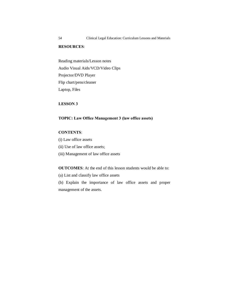## **RESOURCES**:

Reading materials/Lesson notes Audio Visual Aids/VCD/Video Clips Projector/DVD Player Flip chart/pens/cleaner Laptop, Files

## **LESSON 3**

## **TOPIC: Law Office Management 3 (law office assets)**

## **CONTENTS**:

- (i) Law office assets
- (ii) Use of law office assets;
- (iii) Management of law office assets

**OUTCOMES**: At the end of this lesson students would be able to:

(a) List and classify law office assets

(b) Explain the importance of law office assets and proper management of the assets.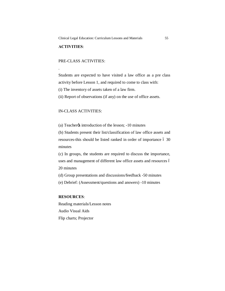#### **ACTIVITIES**:

.

#### PRE-CLASS ACTIVITIES:

 Students are expected to have visited a law office as a pre class activity before Lesson 1, and required to come to class with:

(i) The inventory of assets taken of a law firm.

(ii) Report of observations (if any) on the use of office assets.

## IN-CLASS ACTIVITIES:

(a) Teacher% introduction of the lesson; -10 minutes

(b) Students present their list/classification of law office assets and resources-this should be listed ranked in order of importance 6 30 minutes

(c) In groups, the students are required to discuss the importance, uses and management of different law office assets and resources  $\acute{o}$ 20 minutes

(d) Group presentations and discussions/feedback -50 minutes

(e) Debrief: (Assessment/questions and answers) -10 minutes

## **RESOURCES**:

Reading materials/Lesson notes Audio Visual Aids Flip charts; Projector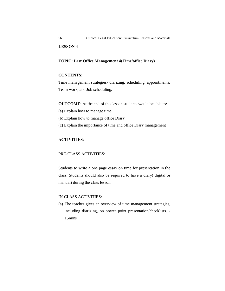## **LESSON 4**

#### **TOPIC: Law Office Management 4(Time/office Diary)**

## **CONTENTS**:

Time management strategies- diarizing, scheduling, appointments, Team work, and Job scheduling.

**OUTCOME**: At the end of this lesson students would be able to:

- (a) Explain how to manage time
- (b) Explain how to manage office Diary
- (c) Explain the importance of time and office Diary management

## **ACTIVITIES**:

## PRE-CLASS ACTIVITIES:

Students to write a one page essay on time for presentation in the class. Students should also be required to have a diary) digital or manual) during the class lesson.

## IN-CLASS ACTIVITIES:

(a) The teacher gives an overview of time management strategies, including diarizing, on power point presentation/checklists. - 15mins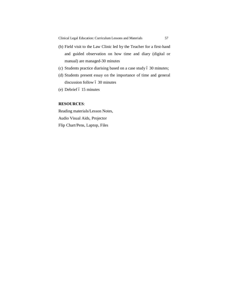- (b) Field visit to the Law Clinic led by the Teacher for a first-hand and guided observation on how time and diary (digital or manual) are managed-30 minutes
- (c) Students practice diarising based on a case study 6 30 minutes;
- (d) Students present essay on the importance of time and general discussion follow 6 30 minutes
- (e) Debrief  $615$  minutes

## **RESOURCES**:

Reading materials/Lesson Notes, Audio Visual Aids, Projector Flip Chart/Pens, Laptop, Files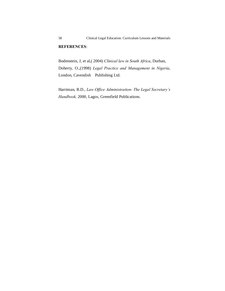## **REFERENCES**:

Bodenstein, J, et al,( 2004) *Clinical law in South Africa*, Durban, Doherty, O.,(1998) *Legal Practice and Management in Nigeria*, London, Cavendish Publishing Ltd.

Harriman, R.D., *Law Office Administration- The Legal Secretary's Handbook,* 2000, Lagos, Greenfield Publications.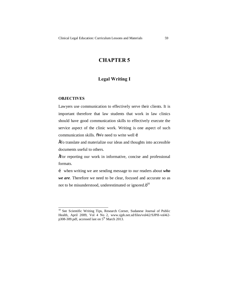# **CHAPTER 5**

## **Legal Writing I**

#### **OBJECTIVES**

l

Lawyers use communication to effectively serve their clients. It is important therefore that law students that work in law clinics should have good communication skills to effectively execute the service aspect of the clinic work. Writing is one aspect of such communication skills.  $\delta$ We need to write well i

 $ÉTo translate and materialize our ideas and thoughts into accessible$ documents useful to others.

•For reporting our work in informative, concise and professional formats.

… when writing we are sending message to our readers about *who we are*. Therefore we need to be clear, focused and accurate so as not to be misunderstood, underestimated or ignored. $\ddot{\text{o}}^{18}$ 

<sup>&</sup>lt;sup>18</sup> See Scientific Writing Tips, Research Corner, Sudanese Journal of Public Health, April 2009, Vol 4 No 2, www.sjph.net.sd/files/vol4i2/SJPH-vol4i2 p308-309.pdf, accessed last on  $5<sup>th</sup>$  March 2013.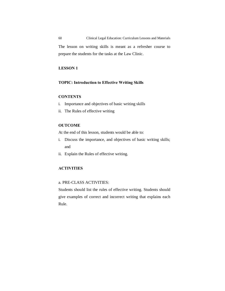60 Clinical Legal Education: Curriculum Lessons and Materials The lesson on writing skills is meant as a refresher course to prepare the students for the tasks at the Law Clinic.

## **LESSON 1**

#### **TOPIC: Introduction to Effective Writing Skills**

#### **CONTENTS**

- i. Importance and objectives of basic writing skills
- ii. The Rules of effective writing

## **OUTCOME**

At the end of this lesson, students would be able to:

- i. Discuss the importance, and objectives of basic writing skills; and
- ii. Explain the Rules of effective writing.

## **ACTIVITIES**

## a. PRE-CLASS ACTIVITIES:

Students should list the rules of effective writing. Students should give examples of correct and incorrect writing that explains each Rule.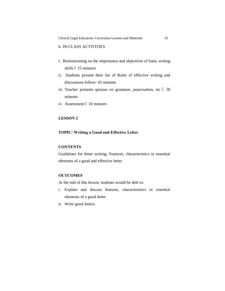## b. IN-CLASS ACTIVITIES

- i. Brainstorming on the importance and objectives of basic writing skills ó 15 minutes
- ii. Students present their list of Rules of effective writing and discussions follow- 45 minutes
- iii. Teacher presents quizzes on grammar, punctuation, etc  $6\,50$ minutes
- iv. Assessment 6 10 minutes

## **LESSON 2**

## **TOPIC: Writing a Good and Effective Letter**

## **CONTENTS**

Guidelines for letter writing; Features, characteristics or essential elements of a good and effective letter.

## **OUTCOMES**

At the end of this lesson, students would be able to:

- i. Explain and discuss features, characteristics or essential elements of a good letter.
- ii. Write good letters.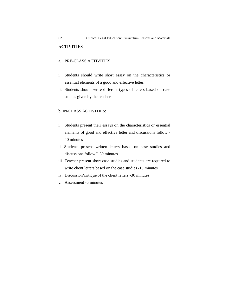### **ACTIVITIES**

## a. PRE-CLASS ACTIVITIES

- i. Students should write short essay on the characteristics or essential elements of a good and effective letter.
- ii. Students should write different types of letters based on case studies given by the teacher.

## b. IN-CLASS ACTIVITIES:

- i. Students present their essays on the characteristics or essential elements of good and effective letter and discussions follow - 40 minutes
- ii. Students present written letters based on case studies and discussions follow 6 30 minutes
- iii. Teacher present short case studies and students are required to write client letters based on the case studies -15 minutes
- iv. Discussion/critique of the client letters -30 minutes
- v. Assessment -5 minutes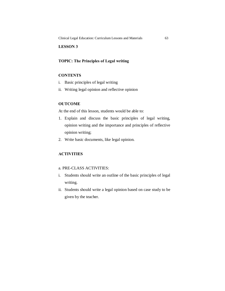## **LESSON 3**

## **TOPIC: The Principles of Legal writing**

## **CONTENTS**

- i. Basic principles of legal writing
- ii. Writing legal opinion and reflective opinion

## **OUTCOME**

At the end of this lesson, students would be able to:

- 1. Explain and discuss the basic principles of legal writing, opinion writing and the importance and principles of reflective opinion writing;
- 2. Write basic documents, like legal opinion.

## **ACTIVITIES**

#### a. PRE-CLASS ACTIVITIES:

- i. Students should write an outline of the basic principles of legal writing.
- ii. Students should write a legal opinion based on case study to be given by the teacher.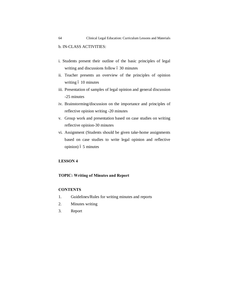## b. IN-CLASS ACTIVITIES:

- i. Students present their outline of the basic principles of legal writing and discussions follow 6 30 minutes
- ii. Teacher presents an overview of the principles of opinion writing 6 10 minutes
- iii. Presentation of samples of legal opinion and general discussion -25 minutes
- iv. Brainstorming/discussion on the importance and principles of reflective opinion writing -20 minutes
- v. Group work and presentation based on case studies on writing reflective opinion-30 minutes
- vi. Assignment (Students should be given take-home assignments based on case studies to write legal opinion and reflective opinion) 65 minutes

#### **LESSON 4**

## **TOPIC: Writing of Minutes and Report**

#### **CONTENTS**

- 1. Guidelines/Rules for writing minutes and reports
- 2. Minutes writing
- 3. Report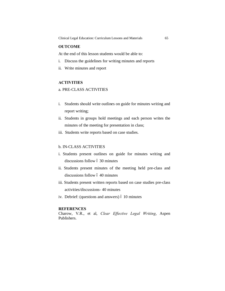#### **OUTCOME**

At the end of this lesson students would be able to:

- i. Discuss the guidelines for writing minutes and reports
- ii. Write minutes and report

#### **ACTIVITIES**

#### a. PRE-CLASS ACTIVITIES

- i. Students should write outlines on guide for minutes writing and report writing;
- ii. Students in groups hold meetings and each person writes the minutes of the meeting for presentation in class;
- iii. Students write reports based on case studies.

#### b. IN-CLASS ACTIVITIES

- i. Students present outlines on guide for minutes writing and discussions follow 6 30 minutes
- ii. Students present minutes of the meeting held pre-class and discussions follow 6 40 minutes
- iii. Students present written reports based on case studies pre-class activities/discussions- 40 minutes
- iv. Debrief: (questions and answers) ó 10 minutes

## **REFERENCES**

Charow, V.R., et al, *Clear Effective Legal Writing*, Aspen Publishers.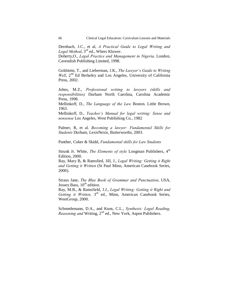Dernbach, J.C., et al, *A Practical Guide to Legal Writing and Legal Method*, 3rd ed., Wlters Kluwer.

Doherty,O., *Legal Practice and Management in Nigeria,* London, Cavendish Publishing Limited, 1998.

Goldstein, T., and Lieberman, J.K., *The Lawyer's Guide to Writing Well*,  $2<sup>nd</sup>$  Ed Berkeley and Los Angeles, University of California Press, 2002.

Johns, M.Z., *Professional writing to lawyers (skills and responsibilities)* Durham North Carolina, Carolina Academic Press, 1998.

Mellinkoff, D., *The Language of the Law* Boston. Little Brown, 1963.

Mellinkoff, D., *Teacher's Manual for legal writing: Sense and nonsense* Los Angeles, West Publishing Co., 1982

Palmer, R, et al. *Becoming a lawyer: Fundamental Skills for Students* Durham, LexisNexis, Butterworths, 2003.

Panther, Coker & Skidd, *Fundamental skills for Law Students*

Strunk Jr. White, *The Elements of style* Longman Publishers, 4<sup>th</sup> Edition, 2000.

Ray, Mary B, & Ramsfied, Jill, J., *Legal Writing: Getting it Right and Getting it Written* (St Paul Minn, American Casebook Series, 2000).

Straus Jane, *The Blue Book of Grammar and Punctuation*, USA, Jossey Bass,  $10^{th}$  edition.

Ray, M.B., & Ramsfield, J.J., *Legal Writing: Getting it Right and*  Getting it Written, 3<sup>rd</sup> ed., Minn, American Casebook Series, WestGroup, 2000.

Scbmedemann, D.A., and Kuns, C.L., *Synthesis: Legal Reading, Reasoning and Writing,* 2<sup>nd</sup> ed., New York, Aspen Publishers.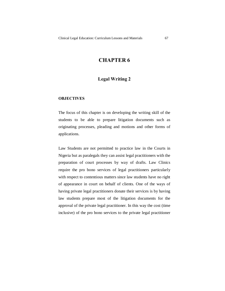# **CHAPTER 6**

# **Legal Writing 2**

#### **OBJECTIVES**

The focus of this chapter is on developing the writing skill of the students to be able to prepare litigation documents such as originating processes, pleading and motions and other forms of applications.

Law Students are not permitted to practice law in the Courts in Nigeria but as paralegals they can assist legal practitioners with the preparation of court processes by way of drafts. Law Clinics require the pro bono services of legal practitioners particularly with respect to contentious matters since law students have no right of appearance in court on behalf of clients. One of the ways of having private legal practitioners donate their services is by having law students prepare most of the litigation documents for the approval of the private legal practitioner. In this way the cost (time inclusive) of the pro bono services to the private legal practitioner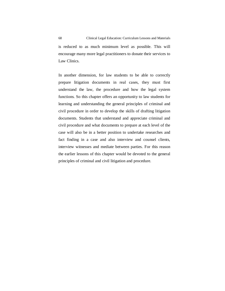68 Clinical Legal Education: Curriculum Lessons and Materials is reduced to as much minimum level as possible. This will encourage many more legal practitioners to donate their services to Law Clinics.

In another dimension, for law students to be able to correctly prepare litigation documents in real cases, they must first understand the law, the procedure and how the legal system functions. So this chapter offers an opportunity to law students for learning and understanding the general principles of criminal and civil procedure in order to develop the skills of drafting litigation documents. Students that understand and appreciate criminal and civil procedure and what documents to prepare at each level of the case will also be in a better position to undertake researches and fact finding in a case and also interview and counsel clients, interview witnesses and mediate between parties. For this reason the earlier lessons of this chapter would be devoted to the general principles of criminal and civil litigation and procedure.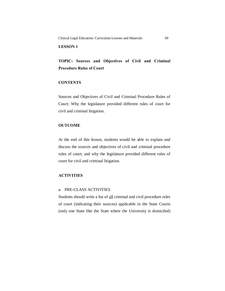## **LESSON 1**

# **TOPIC: Sources and Objectives of Civil and Criminal Procedure Rules of Court**

#### **CONTENTS**

Sources and Objectives of Civil and Criminal Procedure Rules of Court; Why the legislature provided different rules of court for civil and criminal litigation.

## **OUTCOME**

At the end of this lesson, students would be able to explain and discuss the sources and objectives of civil and criminal procedure rules of court; and why the legislature provided different rules of court for civil and criminal litigation.

## **ACTIVITIES**

## a. PRE-CLASS ACTIVITIES

Students should write a list of all criminal and civil procedure rules of court (indicating their sources) applicable in the State Courts (only one State like the State where the University is domiciled)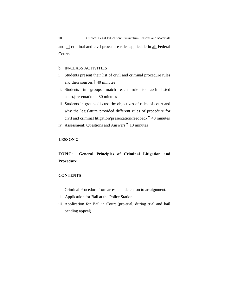#### b. IN-CLASS ACTIVITIES

- i. Students present their list of civil and criminal procedure rules and their sources 6 40 minutes
- ii. Students in groups match each rule to each listed court/presentation 6 30 minutes
- iii. Students in groups discuss the objectives of rules of court and why the legislature provided different rules of procedure for civil and criminal litigation/presentation/feedback 6 40 minutes
- iv. Assessment: Questions and Answers 6 10 minutes

## **LESSON 2**

# **TOPIC: General Principles of Criminal Litigation and Procedure**

## **CONTENTS**

- i. Criminal Procedure from arrest and detention to arraignment.
- ii. Application for Bail at the Police Station
- iii. Application for Bail in Court (pre-trial, during trial and bail pending appeal).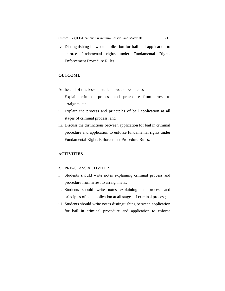iv. Distinguishing between application for bail and application to enforce fundamental rights under Fundamental Rights Enforcement Procedure Rules.

## **OUTCOME**

At the end of this lesson, students would be able to:

- i. Explain criminal process and procedure from arrest to arraignment;
- ii. Explain the process and principles of bail application at all stages of criminal process; and
- iii. Discuss the distinctions between application for bail in criminal procedure and application to enforce fundamental rights under Fundamental Rights Enforcement Procedure Rules.

#### **ACTIVITIES**

- a. PRE-CLASS ACTIVITIES
- i. Students should write notes explaining criminal process and procedure from arrest to arraignment;
- ii. Students should write notes explaining the process and principles of bail application at all stages of criminal process;
- iii. Students should write notes distinguishing between application for bail in criminal procedure and application to enforce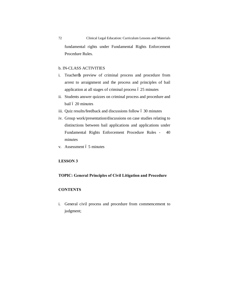#### b. IN-CLASS ACTIVITIES

- i. Teacher t preview of criminal process and procedure from arrest to arraignment and the process and principles of bail application at all stages of criminal process 6 25 minutes
- ii. Students answer quizzes on criminal process and procedure and bail ó 20 minutes
- iii. Quiz results/feedback and discussions follow 6 30 minutes
- iv. Group work/presentation/discussions on case studies relating to distinctions between bail applications and applications under Fundamental Rights Enforcement Procedure Rules - 40 minutes
- v. Assessment 6 5 minutes

#### **LESSON 3**

## **TOPIC: General Principles of Civil Litigation and Procedure**

## **CONTENTS**

i. General civil process and procedure from commencement to judgment;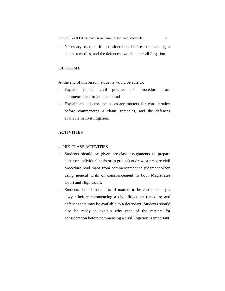ii. Necessary matters for consideration before commencing a claim, remedies, and the defences available in civil litigation.

#### **OUTCOME**

At the end of this lesson, students would be able to:

- i. Explain general civil process and procedure from commencement to judgment; and
- ii. Explain and discuss the necessary matters for consideration before commencing a claim, remedies, and the defences available in civil litigation.

# **ACTIVITIES**

# a. PRE-CLASS ACTIVITIES

- i. Students should be given pre-class assignments to prepare either on individual basis or in groups) to draw or prepare civil procedure road maps from commencement to judgment when using general writs of commencement in both Magistrates Court and High Court.
- ii. Students should make lists of matters to be considered by a lawyer before commencing a civil litigation; remedies; and defences that may be available to a defendant. Students should also be ready to explain why each of the matters for consideration before commencing a civil litigation is important.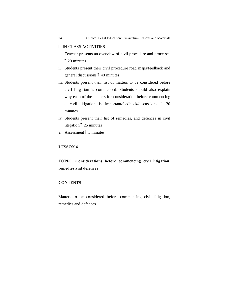# b. IN-CLASS ACTIVITIES

- i. Teacher presents an overview of civil procedure and processes – 20 minutes
- ii. Students present their civil procedure road maps/feedback and general discussions 6 40 minutes
- iii. Students present their list of matters to be considered before civil litigation is commenced. Students should also explain why each of the matters for consideration before commencing a civil litigation is important/feedback/discussions  $6\quad 30$ minutes
- iv. Students present their list of remedies, and defences in civil litigation 6 25 minutes
- **v.** Assessment 6 5 minutes

#### **LESSON 4**

# **TOPIC: Considerations before commencing civil litigation, remedies and defences**

## **CONTENTS**

Matters to be considered before commencing civil litigation, remedies and defences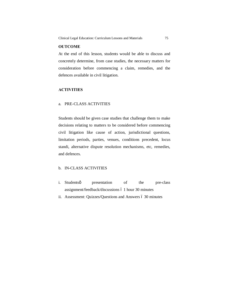#### **OUTCOME**

At the end of this lesson, students would be able to discuss and concretely determine, from case studies, the necessary matters for consideration before commencing a claim, remedies, and the defences available in civil litigation.

## **ACTIVITIES**

#### a. PRE-CLASS ACTIVITIES

Students should be given case studies that challenge them to make decisions relating to matters to be considered before commencing civil litigation like cause of action, jurisdictional questions, limitation periods, parties, venues, conditions precedent, locus standi, alternative dispute resolution mechanisms, etc, remedies, and defences.

#### b. IN-CLASS ACTIVITIES

- i. Students  $\phi$  presentation of the pre-class assignment/feedback/discussions 6 1 hour 30 minutes
- ii. Assessment: Quizzes/Questions and Answers 6 30 minutes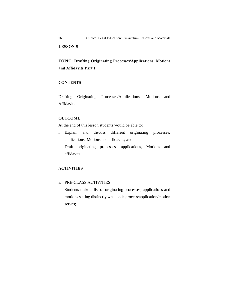# **LESSON 5**

# **TOPIC: Drafting Originating Processes/Applications, Motions and Affidavits Part 1**

## **CONTENTS**

Drafting Originating Processes/Applications, Motions and Affidavits

# **OUTCOME**

At the end of this lesson students would be able to:

- i. Explain and discuss different originating processes, applications, Motions and affidavits; and
- ii. Draft originating processes, applications, Motions and affidavits

# **ACTIVITIES**

- a. PRE-CLASS ACTIVITIES
- i. Students make a list of originating processes, applications and motions stating distinctly what each process/application/motion serves;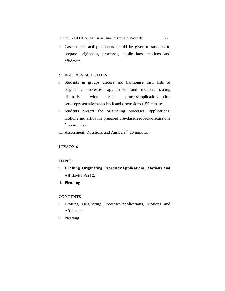ii. Case studies and precedents should be given to students to prepare originating processes, applications, motions and affidavits.

## b. IN-CLASS ACTIVITIES

- i. Students in groups discuss and harmonise their lists of originating processes, applications and motions, stating distinctly what each process/application/motion serves/presentations/feedback and discussions 6 55 minutes
- ii. Students present the originating processes, applications, motions and affidavits prepared pre-class/feedback/discussions – 55 minutes
- iii. Assessment: Questions and Answers 6 10 minutes

# **LESSON 6**

#### **TOPIC:**

- **i. Drafting Originating Processes/Applications, Motions and Affidavits Part 2;**
- **ii. Pleading**

#### **CONTENTS**

- i. Drafting Originating Processes/Applications, Motions and Affidavits;
- ii. Pleading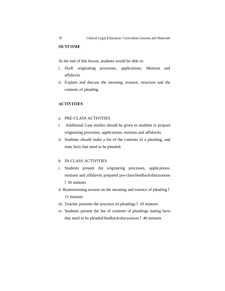# **OUTCOME**

At the end of this lesson, students would be able to:

- i. Draft originating processes, applications, Motions and affidavits
- ii. Explain and discuss the meaning, essence, structure and the contents of pleading.

#### **ACTIVITIES**

### a. PRE-CLASS ACTIVITIES

- i. Additional Case studies should be given to students to prepare originating processes, applications, motions and affidavits.
- ii. Students should make a list of the contents of a pleading, and state facts that need to be pleaded.

## b. IN-CLASS ACTIVITIES

- i. Students present the originating processes, applications, motions and affidavits prepared pre-class/feedback/discussions – 50 minutes
- ii. Brainstorming session on the meaning and essence of pleading 6 15 minutes
- iii. Teacher presents the structure of pleadings ó 10 minutes
- iv. Students present the list of contents of pleadings stating facts that need to be pleaded/feedback/discussions 6 40 minutes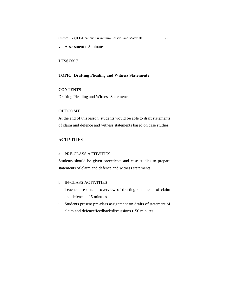v. Assessment 6 5 minutes

## **LESSON 7**

### **TOPIC: Drafting Pleading and Witness Statements**

## **CONTENTS**

Drafting Pleading and Witness Statements

### **OUTCOME**

At the end of this lesson, students would be able to draft statements of claim and defence and witness statements based on case studies.

## **ACTIVITIES**

# a. PRE-CLASS ACTIVITIES

Students should be given precedents and case studies to prepare statements of claim and defence and witness statements.

# b. IN-CLASS ACTIVITIES

- i. Teacher presents an overview of drafting statements of claim and defence 6 15 minutes
- ii. Students present pre-class assignment on drafts of statement of claim and defence/feedback/discussions 6 50 minutes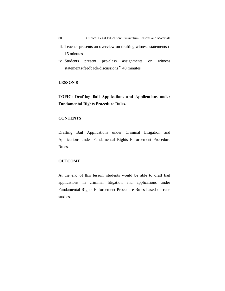| 80 | Clinical Legal Education: Curriculum Lessons and Materials |
|----|------------------------------------------------------------|
|    |                                                            |

- iii. Teacher presents an overview on drafting witness statements ó 15 minutes
- iv. Students present pre-class assignments on witness statements/feedback/discussions 6 40 minutes

#### **LESSON 8**

**TOPIC: Drafting Bail Applications and Applications under Fundamental Rights Procedure Rules.** 

# **CONTENTS**

Drafting Bail Applications under Criminal Litigation and Applications under Fundamental Rights Enforcement Procedure Rules.

## **OUTCOME**

At the end of this lesson, students would be able to draft bail applications in criminal litigation and applications under Fundamental Rights Enforcement Procedure Rules based on case studies.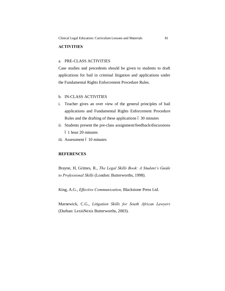#### **ACTIVITIES**

#### a. PRE-CLASS ACTIVITIES

Case studies and precedents should be given to students to draft applications for bail in criminal litigation and applications under the Fundamental Rights Enforcement Procedure Rules.

#### b. IN-CLASS ACTIVITIES

- i. Teacher gives an over view of the general principles of bail applications and Fundamental Rights Enforcement Procedure Rules and the drafting of these applications 6 30 minutes
- ii. Students present the pre-class assignment/feedback/discussions  $61$  hour 20 minutes
- iii. Assessment 6 10 minutes

## **REFERENCES**

Brayne, H, Grimes, R., *The Legal Skills Book: A Student's Guide to Professional Skills* (London: Butterworths, 1998).

King, A.G., *Effective Communication*, Blackstone Press Ltd.

Marnewick, C.G., *Litigation Skills for South African Lawyers* (Durban: LexisNexis Butterworths, 2003).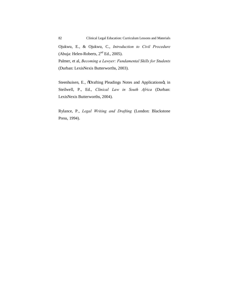Ojukwu, E., & Ojukwu, C., *Introduction to Civil Procedure* (Abuja: Helen-Roberts,  $2<sup>nd</sup> Ed., 2005$ ). Palmer, et al, *Becoming a Lawyer: Fundamental Skills for Students* (Durban: LexisNexis Butterworths, 2003).

Steenhuisen, E., õDrafting Pleadings Notes and Applicationsö, in Steilwell, P., Ed., *Clinical Law in South Africa* (Durban: LexisNexis Butterworths, 2004).

Rylance, P., *Legal Writing and Drafting* (London: Blackstone Press, 1994).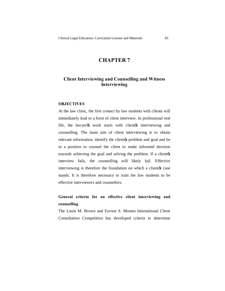# **CHAPTER 7**

# **Client Interviewing and Counselling and Witness Interviewing**

#### **OBJECTIVES**

At the law clinic, the first contact by law students with clients will immediately lead to a form of client interview. In professional real life, the lawyer os work starts with client interviewing and counselling. The main aim of client interviewing is to obtain relevant information, identify the client *(see problem and goal and be* in a position to counsel the client to make informed decision towards achieving the goal and solving the problem. If a client  $\phi$ interview fails, the counselling will likely fail. Effective interviewing is therefore the foundation on which a client  $\alpha$  case stands. It is therefore necessary to train the law students to be effective interviewers and counsellors.

# **General criteria for an effective client interviewing and counselling**

The Louis M. Brown and Forrest S. Mosten International Client Consultation Competition has developed criteria to determine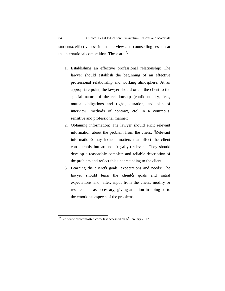- 1. Establishing an effective professional relationship: The lawyer should establish the beginning of an effective professional relationship and working atmosphere. At an appropriate point, the lawyer should orient the client to the special nature of the relationship (confidentiality, fees, mutual obligations and rights, duration, and plan of interview, methods of contract, etc) in a courteous, sensitive and professional manner;
- 2. Obtaining information: The lawyer should elicit relevant information about the problem from the client.  $\delta$ Relevant information imay include matters that affect the client considerably but are not  $\tilde{\theta}$  olegally be relevant. They should develop a reasonably complete and reliable description of the problem and reflect this understanding to the client;
- 3. Learning the client the goals, expectations and needs: The lawyer should learn the client os goals and initial expectations and, after, input from the client, modify or restate them as necessary, giving attention in doing so to the emotional aspects of the problems;

 $\overline{a}$ 

<sup>&</sup>lt;sup>19</sup> See www.brownmosten.com/ last accessed on  $6<sup>th</sup>$  January 2012.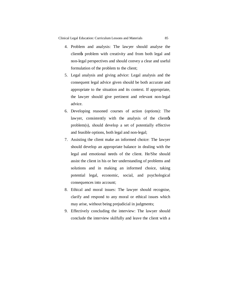- 4. Problem and analysis: The lawyer should analyse the client of problem with creativity and from both legal and non-legal perspectives and should convey a clear and useful formulation of the problem to the client;
- 5. Legal analysis and giving advice: Legal analysis and the consequent legal advice given should be both accurate and appropriate to the situation and its context. If appropriate, the lawyer should give pertinent and relevant non-legal advice.
- 6. Developing reasoned courses of action (options): The lawyer, consistently with the analysis of the client of problem(s), should develop a set of potentially effective and feasible options, both legal and non-legal;
- 7. Assisting the client make an informed choice: The lawyer should develop an appropriate balance in dealing with the legal and emotional needs of the client. He/She should assist the client in his or her understanding of problems and solutions and in making an informed choice, taking potential legal, economic, social, and psychological consequences into account;
- 8. Ethical and moral issues: The lawyer should recognise, clarify and respond to any moral or ethical issues which may arise, without being prejudicial in judgments;
- 9. Effectively concluding the interview: The lawyer should conclude the interview skilfully and leave the client with a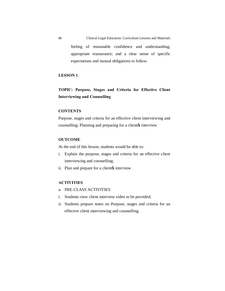86 Clinical Legal Education: Curriculum Lessons and Materials feeling of reasonable confidence and understanding; appropriate reassurance; and a clear sense of specific expectations and mutual obligations to follow.

# **LESSON 1**

# **TOPIC: Purpose, Stages and Criteria for Effective Client Interviewing and Counselling**

#### **CONTENTS**

Purpose, stages and criteria for an effective client interviewing and counselling; Planning and preparing for a client interview

#### **OUTCOME**

At the end of this lesson, students would be able to:

- i. Explain the purpose, stages and criteria for an effective client interviewing and counselling;
- ii. Plan and prepare for a client interview

#### **ACTIVITIES**

- a. PRE-CLASS ACTIVITIES
- i. Students view client interview video to be provided;
- ii. Students prepare notes on Purpose, stages and criteria for an effective client interviewing and counselling.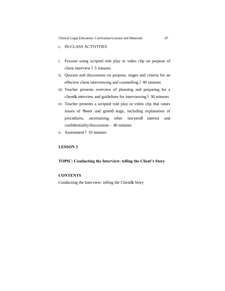# c. IN-CLASS ACTIVITIES

- i. Focuser using scripted role play or video clip on purpose of client interview 6 5 minutes
- ii. Quizzes and discussions on purpose, stages and criteria for an effective client interviewing and counselling 6 40 minutes
- iii. Teacher presents overview of planning and preparing for a client *i*s interview and guidelines for interviewing 6 30 minutes
- iv. Teacher presents a scripted role play or video clip that raises issues of omeet and greeto stage, including explanation of procedures, ascertaining other lawyersø interest and confidentiality/discussions - 40 minutes
- v. Assessment 6 10 minutes

#### **LESSON 2**

## **TOPIC: Conducting the Interview: telling the Client's Story**

### **CONTENTS**

Conducting the Interview: telling the Client & Story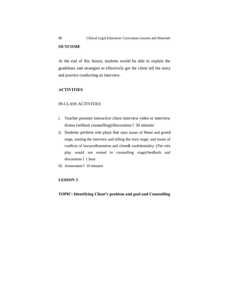# **OUTCOME**

At the end of this lesson, students would be able to explain the guidelines and strategies to effectively get the client tell the story and practice conducting an interview.

## **ACTIVITIES**

## IN-CLASS ACTIVITIES

- i. Teacher presents interactive client interview video or interview drama (without counselling)/discussions 6 50 minutes
- ii. Students perform role plays that raise issues of õmeet and greetö stage, starting the interview and telling the story stage; and issues of conflicts of lawyersø retention and clientos confidentiality. (The role play would not extend to counselling stage)/feedback and discussions 6 1 hour
- iii. Assessment ó 10 minutes

## **LESSON 3**

**TOPIC: Identifying Client's problem and goal and Counselling**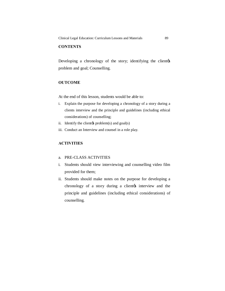#### **CONTENTS**

Developing a chronology of the story; identifying the clientes problem and goal; Counselling.

#### **OUTCOME**

At the end of this lesson, students would be able to:

- i. Explain the purpose for developing a chronology of a story during a clients interview and the principle and guidelines (including ethical considerations) of counselling;
- ii. Identify the client  $\alpha$  problem(s) and goal(s)
- iii. Conduct an Interview and counsel in a role play.

## **ACTIVITIES**

### a. PRE-CLASS ACTIVITIES

- i. Students should view interviewing and counselling video film provided for them;
- ii. Students should make notes on the purpose for developing a chronology of a story during a client os interview and the principle and guidelines (including ethical considerations) of counselling.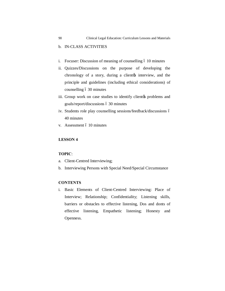# b. IN-CLASS ACTIVITIES

- i. Focuser: Discussion of meaning of counselling 6 10 minutes
- ii. Quizzes/Discussions on the purpose of developing the chronology of a story, during a client the interview, and the principle and guidelines (including ethical considerations) of counselling 6 30 minutes
- iii. Group work on case studies to identify client to problems and goals/report/discussions 6 30 minutes
- iv. Students role play counselling sessions/feedback/discussions 6 40 minutes
- v. Assessment 6 10 minutes

## **LESSON 4**

## **TOPIC**:

- a. Client-Centred Interviewing;
- b. Interviewing Persons with Special Need/Special Circumstance

#### **CONTENTS**

i. Basic Elements of Client-Centred Interviewing: Place of Interview; Relationship; Confidentiality; Listening skills, barriers or obstacles to effective listening, Dos and donts of effective listening, Empathetic listening; Honesty and Openness.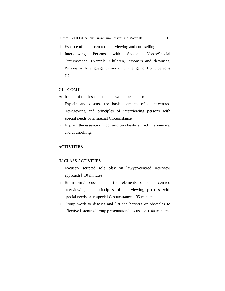- ii. Essence of client-centred interviewing and counselling.
- ii. Interviewing Persons with Special Needs/Special Circumstance. Example: Children, Prisoners and detainees, Persons with language barrier or challenge, difficult persons etc.

#### **OUTCOME**

At the end of this lesson, students would be able to:

- i. Explain and discuss the basic elements of client-centred interviewing and principles of interviewing persons with special needs or in special Circumstance;
- ii. Explain the essence of focusing on client-centred interviewing and counselling.

#### **ACTIVITIES**

#### IN-CLASS ACTIVITIES

- i. Focuser- scripted role play on lawyer-centred interview approach ó 10 minutes
- ii. Brainstorm/discussion on the elements of client-centred interviewing and principles of interviewing persons with special needs or in special Circumstance 6 35 minutes
- iii. Group work to discuss and list the barriers or obstacles to effective listening/Group presentation/Discussion 6 40 minutes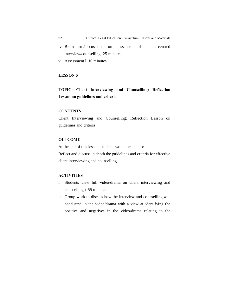- iv. Brainstorm/discussion on essence of client-centred interview/counselling- 25 minutes
- v. Assessment 6 10 minutes

# **LESSON 5**

# **TOPIC: Client Interviewing and Counselling: Reflection Lesson on guidelines and criteria**

## **CONTENTS**

Client Interviewing and Counselling: Reflection Lesson on guidelines and criteria

## **OUTCOME**

At the end of this lesson, students would be able to: Reflect and discuss in depth the guidelines and criteria for effective client interviewing and counselling.

## **ACTIVITIES**

- i. Students view full video/drama on client interviewing and counselling 6 55 minutes
- ii. Group work to discuss how the interview and counselling was conducted in the video/drama with a view at identifying the positive and negatives in the video/drama relating to the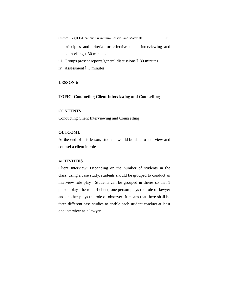principles and criteria for effective client interviewing and counselling 6 30 minutes

- iii. Groups present reports/general discussions 6 30 minutes
- iv. Assessment 6 5 minutes

#### **LESSON 6**

#### **TOPIC: Conducting Client Interviewing and Counselling**

## **CONTENTS**

Conducting Client Interviewing and Counselling

## **OUTCOME**

At the end of this lesson, students would be able to interview and counsel a client in role.

#### **ACTIVITIES**

Client Interview: Depending on the number of students in the class, using a case study, students should be grouped to conduct an interview role play. Students can be grouped in threes so that 1 person plays the role of client, one person plays the role of lawyer and another plays the role of observer. It means that there shall be three different case studies to enable each student conduct at least one interview as a lawyer.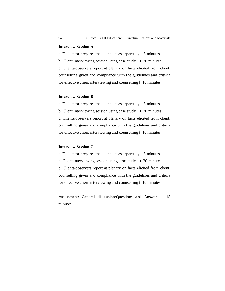#### **Interview Session A**

a. Facilitator prepares the client actors separately 6 5 minutes

b. Client interviewing session using case study  $1\ 6\ 20$  minutes

c. Clients/observers report at plenary on facts elicited from client, counselling given and compliance with the guidelines and criteria for effective client interviewing and counselling 6 10 minutes.

#### **Interview Session B**

a. Facilitator prepares the client actors separately 6 5 minutes b. Client interviewing session using case study 1 6 20 minutes c. Clients/observers report at plenary on facts elicited from client, counselling given and compliance with the guidelines and criteria for effective client interviewing and counselling 6 10 minutes.

#### **Interview Session C**

a. Facilitator prepares the client actors separately 6 5 minutes b. Client interviewing session using case study  $1\ 6\ 20$  minutes c. Clients/observers report at plenary on facts elicited from client, counselling given and compliance with the guidelines and criteria for effective client interviewing and counselling 6 10 minutes.

Assessment: General discussion/Questions and Answers ó 15 minutes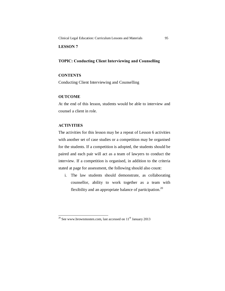#### **LESSON 7**

#### **TOPIC: Conducting Client Interviewing and Counselling**

# **CONTENTS**

Conducting Client Interviewing and Counselling

#### **OUTCOME**

At the end of this lesson, students would be able to interview and counsel a client in role.

#### **ACTIVITIES**

 $\overline{a}$ 

The activities for this lesson may be a repeat of Lesson 6 activities with another set of case studies or a competition may be organised for the students. If a competition is adopted, the students should be paired and each pair will act as a team of lawyers to conduct the interview. If a competition is organised, in addition to the criteria stated at page for assessment, the following should also count:

i. The law students should demonstrate, as collaborating counsellor, ability to work together as a team with flexibility and an appropriate balance of participation.<sup>20</sup>

<sup>&</sup>lt;sup>20</sup> See www.brownmosten.com, last accessed on  $11<sup>th</sup>$  January 2013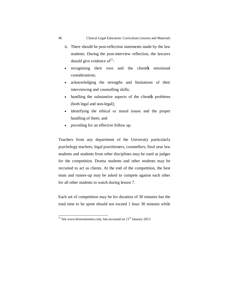- ii. There should be post-reflection statements made by the law students. During the post-interview reflection, the lawyers should give evidence of<sup>21</sup>:
- recognising their own and the client the emotional considerations;
- · acknowledging the strengths and limitations of their interviewing and counselling skills;
- handling the substantive aspects of the client the problems (both legal and non-legal);
- · identifying the ethical or moral issues and the proper handling of them; and
- · providing for an effective follow up.

Teachers from any department of the University particularly psychology teachers, legal practitioners, counsellors, final year law students and students from other disciplines may be used as judges for the competition. Drama students and other students may be recruited to act as clients. At the end of the competition, the best team and runner-up may be asked to compete against each other for all other students to watch during lesson 7.

Each set of competition may be for duration of 30 minutes but the total time to be spent should not exceed 1 hour 30 minutes while

 $\overline{a}$ 

<sup>&</sup>lt;sup>21</sup> See www.brownmosten.com, last accessed on  $11<sup>th</sup>$  January 2013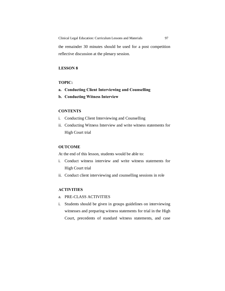Clinical Legal Education: Curriculum Lessons and Materials 97 the remainder 30 minutes should be used for a post competition reflective discussion at the plenary session.

#### **LESSON 8**

#### **TOPIC:**

- **a. Conducting Client Interviewing and Counselling**
- **b. Conducting Witness Interview**

# **CONTENTS**

- i. Conducting Client Interviewing and Counselling
- ii. Conducting Witness Interview and write witness statements for High Court trial

#### **OUTCOME**

At the end of this lesson, students would be able to:

- i. Conduct witness interview and write witness statements for High Court trial
- ii. Conduct client interviewing and counselling sessions in role

## **ACTIVITIES**

- a. PRE-CLASS ACTIVITIES
- i. Students should be given in groups guidelines on interviewing witnesses and preparing witness statements for trial in the High Court, precedents of standard witness statements, and case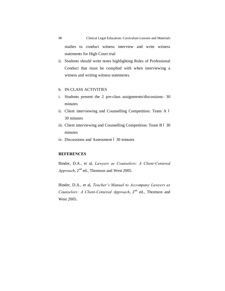98 Clinical Legal Education: Curriculum Lessons and Materials studies to conduct witness interview and write witness statements for High Court trial

ii. Students should write notes highlighting Rules of Professional Conduct that must be complied with when interviewing a witness and writing witness statements.

## b. IN-CLASS ACTIVITIES

- i. Students present the 2 pre-class assignments/discussions- 30 minutes
- ii. Client interviewing and Counselling Competition: Team A 6 30 minutes
- iii. Client interviewing and Counselling Competition: Team B ó 30 minutes
- iv. Discussions and Assessment 6 30 minutes

## **REFERENCES**

Binder, D.A., et al, *Lawyers as Counselors: A Client-Centered Approach*,  $2^{nd}$  ed., Thomson and West 2005.

Binder, D.A., et al, *Teacher's Manual to Accompany Lawyers as Counselors: A Client-Centered Approach*, 2<sup>nd</sup> ed., Thomson and West 2005.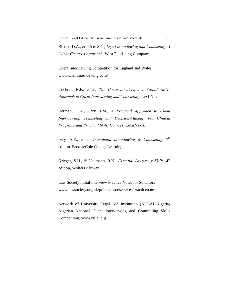Binder, D.A., & Price, S.C., *Legal Interviewing and Counseling: A Client-Centered Approach*, West Publishing Company.

Client Interviewing Competition for England and Wales www.clientinterviewing.com/

Cochran, R.F., et al, *The Counselor-at-Law: A Collaborative Approach to Client Interviewing and Counseling,* LexisNexis.

Herman, G.N., Cary, J.M., *A Practical Approach to Client Interviewing, Counseling and Decision-Making: For Clinical Programs and Practical Skills Courses*, LexisNexis.

Ivey, A.E., et al, *Intentional Interviewing & Counseling,* 7th edition, Brooks/Cole Cenage Learning.

Krieger, S.H., & Neumann, R.K., *Essential Lawyering Skills*, 4th edition, Wolters Kluwer.

Law Society Initial Interview Practice Notes for Solicitors www.lawsociety.org.uk/productsandservices/practicenotes

Network of University Legal Aid Institution (NULAI Nigeria) Nigerian National Client Interviewing and Counselling Skills Competition, www.nulai.org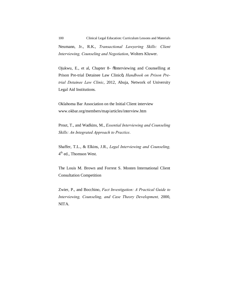100 Clinical Legal Education: Curriculum Lessons and Materials Neumann, Jr., R.K., *Transactional Lawyering Skills: Client Interviewing, Counseling and Negotiation*, Wolters Kluwer.

Ojukwu, E., et al, Chapter 8- õInterviewing and Counselling at Prison Pre-trial Detainee Law Clinicö, *Handbook on Prison Pretrial Detainee Law Clinic*, 2012, Abuja, Network of University Legal Aid Institutions.

Oklahoma Bar Association on the Initial Client interview www.okbar.org/members/map/articles/interview.htm

Prout, T., and Wadkins, M., *Essential Interviewing and Counseling Skills: An Integrated Approach to Practice*.

Shaffer, T.L., & Elkins, J.R., *Legal Interviewing and Counseling,* 4<sup>th</sup> ed., Thomson West.

The Louis M. Brown and Forrest S. Mosten International Client Consultation Competition

Zwier, P., and Bocchino, *Fact Investigation: A Practical Guide to Interviewing, Counseling, and Case Theory Development,* 2000, NITA.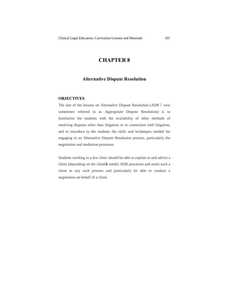# **CHAPTER 8**

# **Alternative Dispute Resolution**

#### **OBJECTIVES**

The aim of the lessons on Alternative Dispute Resolution (ADR 6 now sometimes referred to as Appropriate Dispute Resolution) is to familiarise the students with the availability of other methods of resolving disputes other than litigation or in connection with litigation; and to introduce to the students the skills and techniques needed for engaging in an Alternative Dispute Resolution process, particularly the negotiation and mediation processes.

Students working in a law clinic should be able to explain to and advice a client (depending on the clientos needs) ADR processes and assist such a client in any such process and particularly be able to conduct a negotiation on behalf of a client.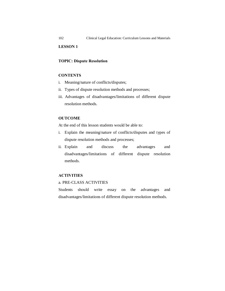# **LESSON 1**

# **TOPIC: Dispute Resolution**

# **CONTENTS**

- i. Meaning/nature of conflicts/disputes;
- ii. Types of dispute resolution methods and processes;
- iii. Advantages of disadvantages/limitations of different dispute resolution methods.

#### **OUTCOME**

At the end of this lesson students would be able to:

- i. Explain the meaning/nature of conflicts/disputes and types of dispute resolution methods and processes;
- ii. Explain and discuss the advantages and disadvantages/limitations of different dispute resolution methods.

# **ACTIVITIES**

# a. PRE-CLASS ACTIVITIES

Students should write essay on the advantages and disadvantages/limitations of different dispute resolution methods.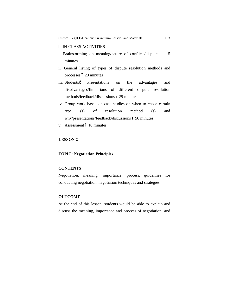# b. IN-CLASS ACTIVITIES

- i. Brainstorming on meaning/nature of conflicts/disputes 6 15 minutes
- ii. General listing of types of dispute resolution methods and processes ó 20 minutes
- iii. Studentsø Presentations on the advantages and disadvantages/limitations of different dispute resolution methods/feedback/discussions 6 25 minutes
- iv. Group work based on case studies on when to chose certain type (s) of resolution method (s) and why/presentations/feedback/discussions 6 50 minutes
- v. Assessment 6 10 minutes

## **LESSON 2**

#### **TOPIC: Negotiation Principles**

#### **CONTENTS**

Negotiation: meaning, importance, process, guidelines for conducting negotiation, negotiation techniques and strategies.

### **OUTCOME**

At the end of this lesson, students would be able to explain and discuss the meaning, importance and process of negotiation; and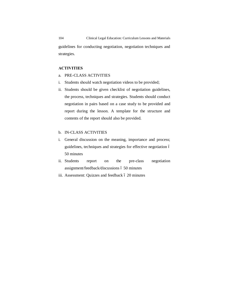104 Clinical Legal Education: Curriculum Lessons and Materials guidelines for conducting negotiation, negotiation techniques and strategies.

#### **ACTIVITIES**

- a. PRE-CLASS ACTIVITIES
- i. Students should watch negotiation videos to be provided;
- ii. Students should be given checklist of negotiation guidelines, the process, techniques and strategies. Students should conduct negotiation in pairs based on a case study to be provided and report during the lesson. A template for the structure and contents of the report should also be provided.

#### b. IN-CLASS ACTIVITIES

- i. General discussion on the meaning, importance and process; guidelines, techniques and strategies for effective negotiation – 50 minutes
- ii. Students report on the pre-class negotiation assignment/feedback/discussions 6 50 minutes
- iii. Assessment: Quizzes and feedback  $620$  minutes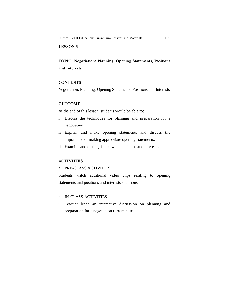Clinical Legal Education: Curriculum Lessons and Materials 105

### **LESSON 3**

# **TOPIC: Negotiation: Planning, Opening Statements, Positions and Interests**

#### **CONTENTS**

Negotiation: Planning, Opening Statements, Positions and Interests

#### **OUTCOME**

At the end of this lesson, students would be able to:

- i. Discuss the techniques for planning and preparation for a negotiation;
- ii. Explain and make opening statements and discuss the importance of making appropriate opening statements;
- iii. Examine and distinguish between positions and interests.

## **ACTIVITIES**

#### a. PRE-CLASS ACTIVITIES

Students watch additional video clips relating to opening statements and positions and interests situations.

# b. IN-CLASS ACTIVITIES

i. Teacher leads an interactive discussion on planning and preparation for a negotiation 6 20 minutes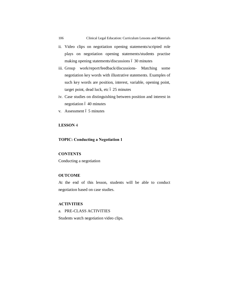- ii. Video clips on negotiation opening statements/scripted role plays on negotiation opening statements/students practise making opening statements/discussions 6 30 minutes
- iii. Group work/report/feedback/discussions- Matching some negotiation key words with illustrative statements. Examples of such key words are position, interest, variable, opening point, target point, dead luck, etc ó 25 minutes
- iv. Case studies on distinguishing between position and interest in negotiation 6 40 minutes
- v. Assessment 6 5 minutes

## **LESSON** 4

### **TOPIC: Conducting a Negotiation 1**

#### **CONTENTS**

Conducting a negotiation

## **OUTCOME**

At the end of this lesson, students will be able to conduct negotiation based on case studies.

## **ACTIVITIES**

a. PRE-CLASS ACTIVITIES

Students watch negotiation video clips.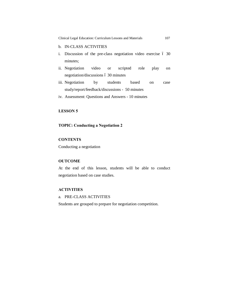## b. IN-CLASS ACTIVITIES

- i. Discussion of the pre-class negotiation video exercise 6 30 minutes;
- ii. Negotiation video or scripted role play on negotiation/discussions 6 30 minutes
- iii. Negotiation by students based on case study/report/feedback/discussions - 50 minutes
- iv. Assessment: Questions and Answers 10 minutes

## **LESSON 5**

# **TOPIC: Conducting a Negotiation 2**

# **CONTENTS**

Conducting a negotiation

## **OUTCOME**

At the end of this lesson, students will be able to conduct negotiation based on case studies.

## **ACTIVITIES**

a. PRE-CLASS ACTIVITIES

Students are grouped to prepare for negotiation competition.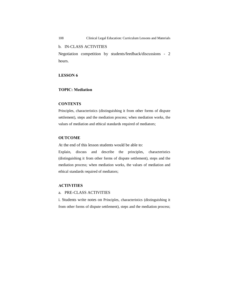# b. IN-CLASS ACTIVITIES

Negotiation competition by students/feedback/discussions - 2 hours.

## **LESSON 6**

### **TOPIC: Mediation**

#### **CONTENTS**

Principles, characteristics (distinguishing it from other forms of dispute settlement), steps and the mediation process; when mediation works, the values of mediation and ethical standards required of mediators;

#### **OUTCOME**

At the end of this lesson students would be able to:

Explain, discuss and describe the principles, characteristics (distinguishing it from other forms of dispute settlement), steps and the mediation process; when mediation works, the values of mediation and ethical standards required of mediators;

#### **ACTIVITIES**

### a. PRE-CLASS ACTIVITIES

i. Students write notes on Principles, characteristics (distinguishing it from other forms of dispute settlement), steps and the mediation process;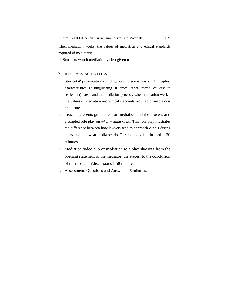when mediation works, the values of mediation and ethical standards required of mediators;

ii. Students watch mediation video given to them.

#### b. IN-CLASS ACTIVITIES

- i. Studentsø presentations and general discussions on Principles, characteristics (distinguishing it from other forms of dispute settlement), steps and the mediation process; when mediation works, the values of mediation and ethical standards required of mediators-35 minutes
- ii. Teacher presents guidelines for mediation and the process and a scripted role play on *what mediators do*. This role play illustrates the difference between how lawyers tend to approach clients during interviews and what mediators do. The role play is debriefed  $6\,30$ minutes
- iii. Mediation video clip or mediation role play showing from the opening statement of the mediator, the stages, to the conclusion of the mediation/discussions 6 50 minutes
- iv. Assessment: Questions and Answers 6 5 minutes.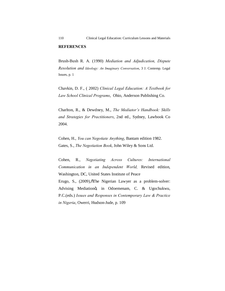#### **REFERENCES**

Brush-Bush R. A. (1990) *Mediation and Adjudication, Dispute Resolution and Ideology: An Imaginary Conversation*, 3 J. Contemp. Legal Issues, p. 1

Chavkin, D. F., ( 2002) *Clinical Legal Education: A Textbook for Law School Clinical Programs*, Ohio, Anderson Publishing Co.

Charlton, R., & Dewdney, M., *The Mediator's Handbook: Skills and Strategies for Practitioners*, 2nd ed., Sydney, Lawbook Co 2004.

Cohen, H., *You can Negotiate Anything*, Bantam edition 1982. Gates, S., *The Negotiation Book*, John Wiley & Sons Ltd.

Cohen, R., *Negotiating Across Cultures: International Communication in an Independent World,* Revised edition, Washington, DC, United States Institute of Peace Erugo, S., (2009), öThe Nigerian Lawyer as a problem-solver: Advising Mediationö, in Odoemenam, C. & Ugochukwu, P.C.(eds.) *Issues and Responses in Contemporary Law & Practice in Nigeria*, Owerri, Hudson-Jude, p. 109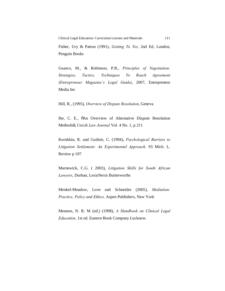Guasco, M., & Robinson, P.R., *Principles of Negotiation: Strategies, Tactics, Techniques To Reach Agreement (Entrepreneur Magazine's Legal Guide)*, 2007, Entrepreneur Media Inc

Hill, R., (1995), *Overview of Dispute Resolution*, Geneva

Ibe, C. E.,  $\tilde{o}$ An Overview of Alternative Dispute Resolution Methods", *Unizik Law Journal* Vol. 4 No. 1, p 211

Korobkin, R. and Guthrie, C. (1994), *Psychological Barriers to Litigation Settlement: An Experimental Approach,* 93 Mich. L. Review p 107

Marnewick, C.G. ( 2003), *Litigation Skills for South African Lawyers*, Durban, LexisNexis Butterworths

Menkel-Meadow, Love and Schneider (2005), *Mediation: Practice, Policy and Ethics,* Aspen Publishers, New York

Mennon, N. R. M (ed.) (1998), *A Handbook on Clinical Legal Education,* 1st ed. Eastern Book Company Lucknow.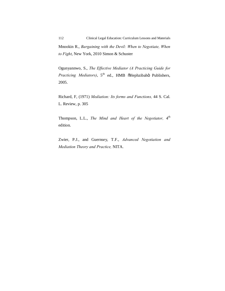112 Clinical Legal Education: Curriculum Lessons and Materials Mnookin R., *Bargaining with the Devil: When to Negotiate, When to Fight*, New York, 2010 Simon & Schuster

Ogunyannwo, S., *The Effective Mediator (A Practicing Guide for Practicing Mediators)*, 5<sup>th</sup> ed., HMB õHephzibahö Publishers, 2005.

Richard, F, (1971) *Mediation: Its forms and Functions,* 44 S. Cal. L. Review, p. 305

Thompson, L.L., *The Mind and Heart of the Negotiator*,  $4<sup>th</sup>$ edition.

Zwier, P.J., and Guernsey, T.F., *Advanced Negotiation and Mediation Theory and Practice,* NITA.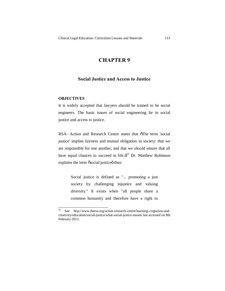# **CHAPTER 9**

# **Social Justice and Access to Justice**

#### **OBJECTIVES**

It is widely accepted that lawyers should be trained to be social engineers. The basic issues of social engineering lie in social justice and access to justice.

RSA- Action and Research Centre states that oThe term 'social justice' implies fairness and mutual obligation in society: that we are responsible for one another, and that we should ensure that all have equal chances to succeed in life. $\ddot{o}^{22}$  Dr. Matthew Robinson explains the term osocial justice othus:

> Social justice is defined as "... promoting a just society by challenging injustice and valuing diversity." It exists when "all people share a common humanity and therefore have a right to

 $22$ See http://www.thersa.org/action-research-centre/learning,-cognition-andcreativity/education/social-justice/what-social-justice-means last accessed on 8th February 2013.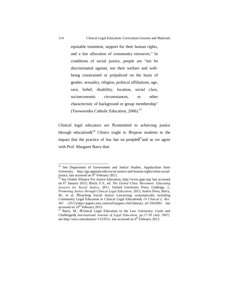equitable treatment, support for their human rights, and a fair allocation of community resources." In conditions of social justice, people are "not be discriminated against, nor their welfare and wellbeing constrained or prejudiced on the basis of gender, sexuality, religion, political affiliations, age, race, belief, disability, location, social class, socioeconomic circumstances, or other characteristic of background or group membership" (Toowoomba Catholic Education, 2006).23

Clinical legal educators are  $\tilde{c}$  committed to achieving justice through education<sup> $2^4$ </sup> Clinics ought to  $\tilde{\text{c}}$  expose students to the impact that the practice of law has on people $\ddot{o}^{25}$  and so we agree with Prof. Margaret Barry that:

<sup>23</sup> See Department of Government and Justice Studies, Appalachian State University, http://gjs.appstate.edu/social-justice-and-human-rights/what-social-<br>justice, last accessed on  $9^{\text{th}}$  February 2013.

 $\frac{24}{24}$  See Global Alliance For Justice Education, http://www.gaje.org/ last accessed on 6th January 2013; Bloch, F.S., ed. *The Global Clinic Movement: Educating Lawyers for Social Justice*, 2011, Oxford University Press; Giddings, J., *Promoting Justice through Clinical Legal Education,* 2013, Justice Press; Barry, M., et al, öTeaching Social Justice Lawyering: systematically including Community Legal Education in Clinical Legal Educationö, 18 Clinical L. Rev. *401 (2012*),http://papers.ssrn.com/sol3/papers.cfm?abstract\_id=1924393 last accessed on 10<sup>th</sup> February 2013.<br><sup>25</sup> Barry, M., õClinical Legal Education in the Law University: Goals and

Challengesö, *International Journal of Legal Education, pp.27-50 (July 2007),* see http://ssrn.com/abstract=1133551, last accessed on 9<sup>th</sup> February 2013.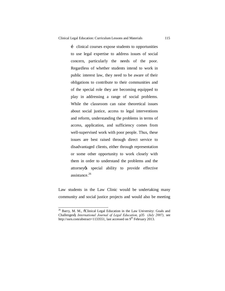… clinical courses expose students to opportunities to use legal expertise to address issues of social concern, particularly the needs of the poor. Regardless of whether students intend to work in public interest law, they need to be aware of their obligations to contribute to their communities and of the special role they are becoming equipped to play in addressing a range of social problems. While the classroom can raise theoretical issues about social justice, access to legal interventions and reform, understanding the problems in terms of access, application, and sufficiency comes from well-supervised work with poor people. Thus, these issues are best raised through direct service to disadvantaged clients, either through representation or some other opportunity to work closely with them in order to understand the problems and the attorney *is* special ability to provide effective assistance.<sup>26</sup>

Law students in the Law Clinic would be undertaking many community and social justice projects and would also be meeting

l

 $26$  Barry, M. M.,  $\tilde{O}$ Clinical Legal Education in the Law University: Goals and Challenges", *International Journal of Legal Education,* p35 *(July 2007),* see http://ssrn.com/abstract=1133551, last accessed on 9<sup>th</sup> February 2013.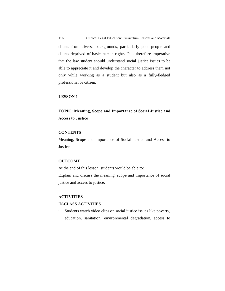116 Clinical Legal Education: Curriculum Lessons and Materials clients from diverse backgrounds, particularly poor people and clients deprived of basic human rights. It is therefore imperative that the law student should understand social justice issues to be able to appreciate it and develop the character to address them not only while working as a student but also as a fully-fledged professional or citizen.

# **LESSON 1**

# **TOPIC: Meaning, Scope and Importance of Social Justice and Access to Justice**

## **CONTENTS**

Meaning, Scope and Importance of Social Justice and Access to **Justice** 

#### **OUTCOME**

At the end of this lesson, students would be able to: Explain and discuss the meaning, scope and importance of social justice and access to justice.

### **ACTIVITIES**

#### IN-CLASS ACTIVITIES

i. Students watch video clips on social justice issues like poverty, education, sanitation, environmental degradation, access to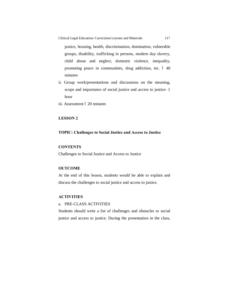justice, housing, health, discrimination, domination, vulnerable groups, disability, trafficking in persons, modern day slavery, child abuse and neglect, domestic violence, inequality, promoting peace in communities, drug addiction, etc. 6 40 minutes

- ii. Group work/presentations and discussions on the meaning, scope and importance of social justice and access to justice- 1 hour
- iii. Assessment 6 20 minutes

## **LESSON 2**

#### **TOPIC: Challenges to Social Justice and Access to Justice**

# **CONTENTS**

Challenges to Social Justice and Access to Justice

#### **OUTCOME**

At the end of this lesson, students would be able to explain and discuss the challenges to social justice and access to justice.

### **ACTIVITIES**

#### a. PRE-CLASS ACTIVITIES

Students should write a list of challenges and obstacles to social justice and access to justice. During the presentation in the class,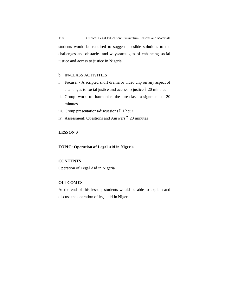118 Clinical Legal Education: Curriculum Lessons and Materials students would be required to suggest possible solutions to the challenges and obstacles and ways/strategies of enhancing social justice and access to justice in Nigeria.

#### b. IN-CLASS ACTIVITIES

- i. FocuserA scripted short drama or video clip on any aspect of challenges to social justice and access to justice 6 20 minutes
- ii. Group work to harmonise the pre-class assignment 6 20 minutes
- iii. Group presentations/discussions 6 1 hour
- iv. Assessment: Questions and Answers 6 20 minutes

# **LESSON 3**

#### **TOPIC: Operation of Legal Aid in Nigeria**

#### **CONTENTS**

Operation of Legal Aid in Nigeria

# **OUTCOMES**

At the end of this lesson, students would be able to explain and discuss the operation of legal aid in Nigeria.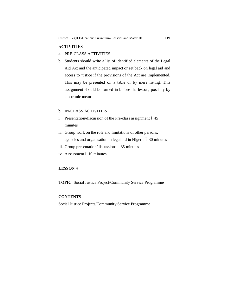### **ACTIVITIES**

- a. PRE-CLASS ACTIVITIES
- b. Students should write a list of identified elements of the Legal Aid Act and the anticipated impact or set back on legal aid and access to justice if the provisions of the Act are implemented. This may be presented on a table or by mere listing. This assignment should be turned in before the lesson, possibly by electronic means.

## b. IN-CLASS ACTIVITIES

- i. Presentation/discussion of the Pre-class assignment  $645$ minutes
- ii. Group work on the role and limitations of other persons, agencies and organisation in legal aid in Nigeria ó 30 minutes
- iii. Group presentation/discussions 6 35 minutes
- iv. Assessment 6 10 minutes

# **LESSON 4**

**TOPIC**: Social Justice Project/Community Service Programme

# **CONTENTS**

Social Justice Projects/Community Service Programme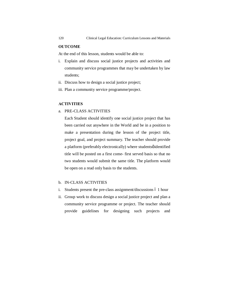### **OUTCOME**

At the end of this lesson, students would be able to:

- i. Explain and discuss social justice projects and activities and community service programmes that may be undertaken by law students;
- ii. Discuss how to design a social justice project;
- iii. Plan a community service programme/project.

#### **ACTIVITIES**

# a. PRE-CLASS ACTIVITIES

Each Student should identify one social justice project that has been carried out anywhere in the World and be in a position to make a presentation during the lesson of the project title, project goal, and project summary. The teacher should provide a platform (preferably electronically) where studentsøi dentified title will be posted on a first come- first served basis so that no two students would submit the same title. The platform would be open on a read only basis to the students.

#### b. IN-CLASS ACTIVITIES

- i. Students present the pre-class assignment/discussions  $61$  hour
- ii. Group work to discuss design a social justice project and plan a community service programme or project. The teacher should provide guidelines for designing such projects and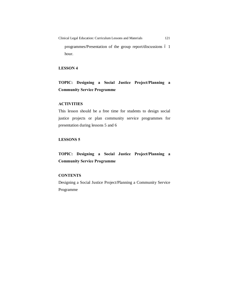Clinical Legal Education: Curriculum Lessons and Materials 121

programmes/Presentation of the group report/discussions 6 1 hour.

## **LESSON 4**

# **TOPIC: Designing a Social Justice Project/Planning a Community Service Programme**

# **ACTIVITIES**

This lesson should be a free time for students to design social justice projects or plan community service programmes for presentation during lessons 5 and 6

# **LESSONS 5**

**TOPIC: Designing a Social Justice Project/Planning a Community Service Programme** 

# **CONTENTS**

Designing a Social Justice Project/Planning a Community Service Programme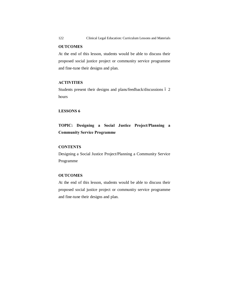#### **OUTCOMES**

At the end of this lesson, students would be able to discuss their proposed social justice project or community service programme and fine-tune their designs and plan.

#### **ACTIVITIES**

Students present their designs and plans/feedback/discussions 6 2 hours

# **LESSONS 6**

# **TOPIC: Designing a Social Justice Project/Planning a Community Service Programme**

# **CONTENTS**

Designing a Social Justice Project/Planning a Community Service Programme

# **OUTCOMES**

At the end of this lesson, students would be able to discuss their proposed social justice project or community service programme and fine-tune their designs and plan.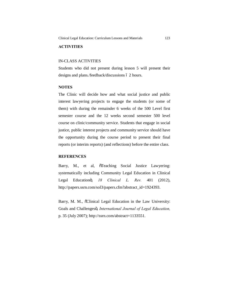#### **ACTIVITIES**

#### IN-CLASS ACTIVITIES

Students who did not present during lesson 5 will present their designs and plans./feedback/discussions 6 2 hours.

#### **NOTES**

The Clinic will decide how and what social justice and public interest lawyering projects to engage the students (or some of them) with during the remainder 6 weeks of the 500 Level first semester course and the 12 weeks second semester 500 level course on clinic/community service. Students that engage in social justice, public interest projects and community service should have the opportunity during the course period to present their final reports (or interim reports) (and reflections) before the entire class.

#### **REFERENCES**

Barry, M., et al,  $\tilde{\sigma}$ Teaching Social Justice Lawyering: systematically including Community Legal Education in Clinical Legal Education", *18 Clinical L. Rev.* 401 (2012), http://papers.ssrn.com/sol3/papers.cfm?abstract\_id=1924393.

Barry, M. M.,  $\tilde{O}$ [Clinical Legal Education in the Law Univ](http://papers.ssrn.com/sol3/papers.cfm?abstract_id=1924393)ersity: Goals and Challengesö, *International Journal of Legal Education*, p. 35 (July 2007); http://ssrn.com/abstract=1133551.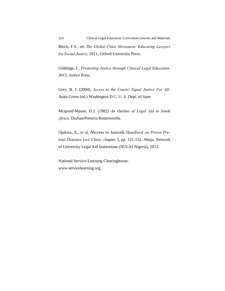124 Clinical Legal Education: Curriculum Lessons and Materials Bloch, F.S., ed. *The Global Clinic Movement: Educating Lawyers for Social Justice*, 2011, Oxford University Press.

Giddings, J., *Promoting Justice through Clinical Legal Education,*  2013, Justice Press.

Grey, R. J. (2004), *Access to the Courts*: *Equal Justice For All:*  Anita Green (ed.) Washington D C. U. S. Dept. of State

Mcquoid-Mason, D.J. (1982) *An Outline of Legal Aid in South Africa,* Durban/Pretoria Butterworths.

Ojukwu, E., et al, õAccess to Justiceö, *Handbook on Prison Pretrial Detainee Law Clinic*, chapter 5, pp. 121-152, Abuja, Network of University Legal Aid Institutions (NULAI Nigeria), 2012.

National Service-Learning Clearinghouse: www.servicelearning.org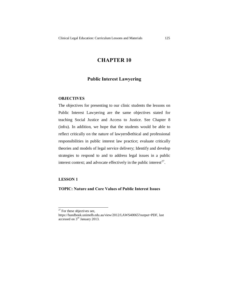# **CHAPTER 10**

# **Public Interest Lawyering**

#### **OBJECTIVES**

The objectives for presenting to our clinic students the lessons on Public Interest Lawyering are the same objectives stated for teaching Social Justice and Access to Justice. See Chapter 8 (infra). In addition, we hope that the students would be able to reflect critically on the nature of lawyersø ethical and professional responsibilities in public interest law practice; evaluate critically theories and models of legal service delivery; Identify and develop strategies to respond to and to address legal issues in a public interest context; and advocate effectively in the public interest<sup>27</sup>.

#### **LESSON 1**

l

## **TOPIC: Nature and Core Values of Public Interest Issues**

 $27$  For these objectives see,

https://handbook.unimelb.edu.au/view/2012/LAWS40065?output=PDF, last accessed on 3rd January 2013.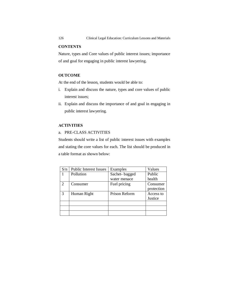# **CONTENTS**

Nature, types and Core values of public interest issues; importance of and goal for engaging in public interest lawyering.

# **OUTCOME**

At the end of the lesson, students would be able to:

- i. Explain and discuss the nature, types and core values of public interest issues;
- ii. Explain and discuss the importance of and goal in engaging in public interest lawyering.

# **ACTIVITIES**

# a. PRE-CLASS ACTIVITIES

Students should write a list of public interest issues with examples and stating the core values for each. The list should be produced in a table format as shown below:

| S/n                         | <b>Public Interest Issues</b> | Examples      | Values                 |
|-----------------------------|-------------------------------|---------------|------------------------|
|                             | Pollution                     | Sachet-bagged | Public                 |
|                             |                               | water menace  | health                 |
| $\mathcal{D}_{\mathcal{L}}$ | Consumer                      | Fuel pricing  | Consumer<br>protection |
| 3                           | Human Right                   | Prison Reform | Access to<br>Justice   |
|                             |                               |               |                        |
|                             |                               |               |                        |
|                             |                               |               |                        |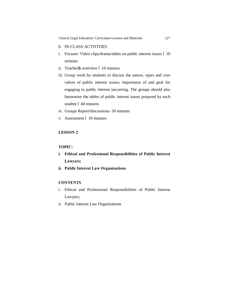- b. IN-CLASS ACTIVITIES
- i. Focuser: Video clips/drama/slides on public interest issues ó 10 minutes
- ii. Teacherøs overview ó 10 minutes
- iii. Group work by students to discuss the nature, types and core values of public interest issues; importance of and goal for engaging in public interest lawyering. The groups should also harmonise the tables of public interest issues prepared by each student ó 40 minutes
- iv. Groups Report/discussions- 50 minutes
- v. Assessment 6 10 minutes

# **LESSON 2**

#### **TOPIC:**

- **i. Ethical and Professional Responsibilities of Public Interest Lawyers;**
- **ii. Public Interest Law Organizations**

#### **CONTENTS**

- i. Ethical and Professional Responsibilities of Public Interest Lawyers;
- ii. Public Interest Law Organizations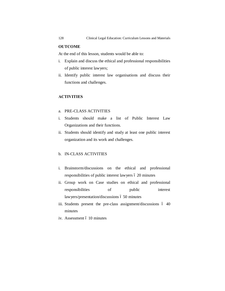### **OUTCOME**

At the end of this lesson, students would be able to:

- i. Explain and discuss the ethical and professional responsibilities of public interest lawyers;
- ii. Identify public interest law organisations and discuss their functions and challenges.

# **ACTIVITIES**

## a. PRE-CLASS ACTIVITIES

- i. Students should make a list of Public Interest Law Organizations and their functions.
- ii. Students should identify and study at least one public interest organization and its work and challenges.

# b. IN-CLASS ACTIVITIES

- i. Brainstorm/discussions on the ethical and professional responsibilities of public interest lawyers 6 20 minutes
- ii. Group work on Case studies on ethical and professional responsibilities of public interest lawyers/presentation/discussions 6 50 minutes
- iii. Students present the pre-class assignment/discussions 6 40 minutes
- iv. Assessment 6 10 minutes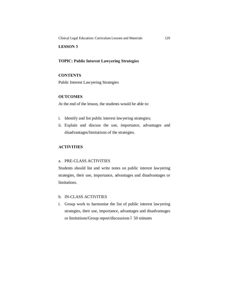Clinical Legal Education: Curriculum Lessons and Materials 129

### **LESSON 3**

#### **TOPIC: Public Interest Lawyering Strategies**

# **CONTENTS**

Public Interest Lawyering Strategies

### **OUTCOMES**

At the end of the lesson, the students would be able to:

- i. Identify and list public interest lawyering strategies;
- ii. Explain and discuss the use, importance, advantages and disadvantages/limitations of the strategies.

# **ACTIVITIES**

## a. PRE-CLASS ACTIVITIES

Students should list and write notes on public interest lawyering strategies, their use, importance, advantages and disadvantages or limitations.

# b. IN-CLASS ACTIVITIES

i. Group work to harmonise the list of public interest lawyering strategies, their use, importance, advantages and disadvantages or limitations/Group report/discussions 6 50 minutes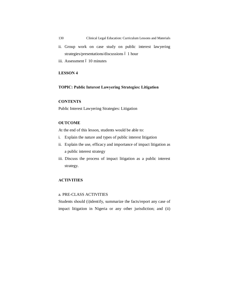- ii. Group work on case study on public interest lawyering strategies/presentations/discussions 6 1 hour
- iii. Assessment 6 10 minutes

# **LESSON 4**

## **TOPIC: Public Interest Lawyering Strategies: Litigation**

# **CONTENTS**

Public Interest Lawyering Strategies: Litigation

# **OUTCOME**

At the end of this lesson, students would be able to:

- i. Explain the nature and types of public interest litigation
- ii. Explain the use, efficacy and importance of impact litigation as a public interest strategy
- iii. Discuss the process of impact litigation as a public interest strategy.

# **ACTIVITIES**

## a. PRE-CLASS ACTIVITIES

Students should (i)identify, summarize the facts/report any case of impact litigation in Nigeria or any other jurisdiction; and (ii)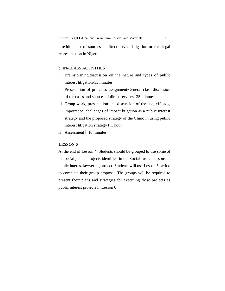#### b. IN-CLASS ACTIVITIES

- i. Brainstorming/discussion on the nature and types of public interest litigation-15 minutes
- ii. Presentation of pre-class assignment/General class discussion of the cases and sources of direct services -35 minutes
- iii. Group work, presentation and discussion of the use, efficacy, importance, challenges of impact litigation as a public interest strategy and the proposed strategy of the Clinic in using public interest litigation strategy 6 1 hour
- iv. Assessment 6 10 minutes

#### **LESSON 5**

At the end of Lesson 4, Students should be grouped to use some of the social justice projects identified in the Social Justice lessons as public interest lawyering project. Students will use Lesson 5 period to complete their group proposal. The groups will be required to present their plans and strategies for executing these projects as public interest projects in Lesson 6.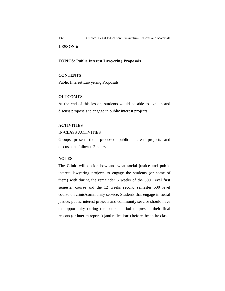#### **LESSON 6**

#### **TOPICS: Public Interest Lawyering Proposals**

# **CONTENTS**

Public Interest Lawyering Proposals

### **OUTCOMES**

At the end of this lesson, students would be able to explain and discuss proposals to engage in public interest projects.

# **ACTIVITIES**

## IN-CLASS ACTIVITIES

Groups present their proposed public interest projects and discussions follow 6 2 hours.

#### **NOTES**

The Clinic will decide how and what social justice and public interest lawyering projects to engage the students (or some of them) with during the remainder 6 weeks of the 500 Level first semester course and the 12 weeks second semester 500 level course on clinic/community service. Students that engage in social justice, public interest projects and community service should have the opportunity during the course period to present their final reports (or interim reports) (and reflections) before the entire class.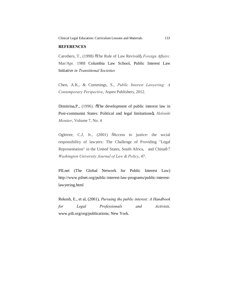Clinical Legal Education: Curriculum Lessons and Materials 133

#### **REFERENCES**

Carothers, T., (1998) öThe Rule of Law Revivalö, *Foreign Affairs*: Mar/Apr. 1988 Columbia Law School, Public Interest Law Initiative *in Transitional Societies*

Chen, A.K., & Cummings, S., *Public Interest Lawyering: A Contemporary Perspective*, Aspen Publishers, 2012.

Dimitrina, P., (1996). The development of public interest law in Post-communist States: Political and legal limitationsö, *Helsinki Monitor*, Volume 7, No. 4

Ogletree, C.J, Jr., (2001)  $\tilde{o}$ Access to justice: the social responsibility of lawyers: The Challenge of Providing "Legal Representation" in the United States, South Africa, and Chinaö 7 *Washington University Journal of Law & Policy*, 47.

PILnet (The Global Network for Public Interest Law) http://www.pilnet.org/public-interest-law-programs/public-interest[lawyering.html](http://www.pilnet.org/public-interest-law-programs/public-interest-lawyering.html) 

[Rekosh, E., e](http://www.pilnet.org/public-interest-law-programs/public-interest-lawyering.html)t al, (2001), *Pursuing the public interest: A Handbook for Legal Professionals and Activists,*  www.pili.org/org/publications; New York.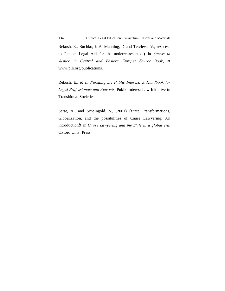134 Clinical Legal Education: Curriculum Lessons and Materials Rekosh, E., Buchko, K.A, Manning, D and Terzieva, V., õAccess to Justice: Legal Aid for the underrepresentedö, in *Access to Justice in Central and Eastern Europe: Source Book*, at www.pili.org/publications.

Rekosh, E., et al, *Pursuing the Public Interest: A Handbook for Legal Professionals and Activists*, Public Interest Law Initiative in Transitional Societies.

Sarat, A., and Scheingold, S., (2001) öState Transformations, Globalization, and the possibilities of Cause Lawyering: An introductionö, in *Cause Lawyering and the State in a global era*, Oxford Univ. Press.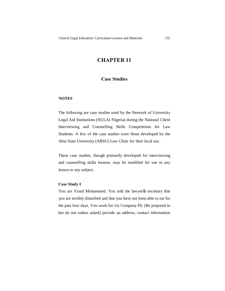# **CHAPTER 11**

# **Case Studies**

#### **NOTES**

The following are case studies used by the Network of University Legal Aid Institutions (NULAI Nigeria) during the National Client Interviewing and Counselling Skills Competitions for Law Students. A few of the case studies were those developed by the Abia State University (ABSU) Law Clinic for their local use.

These case studies, though primarily developed for interviewing and counselling skills lessons, may be modified for use in any lesson or any subject.

#### **Case Study I**

You are Yusuf Mohammed. You told the lawyer & secretary that you are terribly disturbed and that you have not been able to eat for the past four days. You work for Go Company Plc (Be prepared to but do not unless asked) provide an address, contact information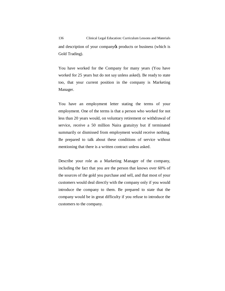136 Clinical Legal Education: Curriculum Lessons and Materials and description of your company t products or business (which is Gold Trading).

You have worked for the Company for many years (You have worked for 25 years but do not say unless asked). Be ready to state too, that your current position in the company is Marketing Manager.

You have an employment letter stating the terms of your employment. One of the terms is that a person who worked for not less than 20 years would, on voluntary retirement or withdrawal of service, receive a 50 million Naira gratuityy but if terminated summarily or dismissed from employment would receive nothing. Be prepared to talk about these conditions of service without mentioning that there is a written contract unless asked.

Describe your role as a Marketing Manager of the company, including the fact that you are the person that knows over 60% of the sources of the gold you purchase and sell, and that most of your customers would deal directly with the company only if you would introduce the company to them. Be prepared to state that the company would be in great difficulty if you refuse to introduce the customers to the company.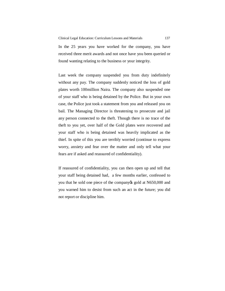Clinical Legal Education: Curriculum Lessons and Materials 137

In the 25 years you have worked for the company, you have received three merit awards and not once have you been queried or found wanting relating to the business or your integrity.

Last week the company suspended you from duty indefinitely without any pay. The company suddenly noticed the loss of gold plates worth 100million Naira. The company also suspended one of your staff who is being detained by the Police. But in your own case, the Police just took a statement from you and released you on bail. The Managing Director is threatening to prosecute and jail any person connected to the theft. Though there is no trace of the theft to you yet, over half of the Gold plates were recovered and your staff who is being detained was heavily implicated as the thief. In spite of this you are terribly worried (continue to express worry, anxiety and fear over the matter and only tell what your fears are if asked and reassured of confidentiality).

If reassured of confidentiality, you can then open up and tell that your staff being detained had, a few months earlier, confessed to you that he sold one piece of the company t gold at N650,000 and you warned him to desist from such an act in the future; you did not report or discipline him.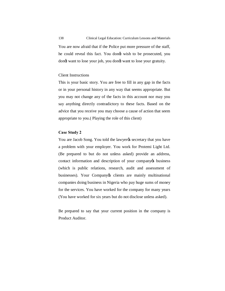138 Clinical Legal Education: Curriculum Lessons and Materials You are now afraid that if the Police put more pressure of the staff, he could reveal this fact. You dongt wish to be prosecuted, you dongt want to lose your job, you dongt want to lose your gratuity.

## Client Instructions

This is your basic story. You are free to fill in any gap in the facts or in your personal history in any way that seems appropriate. But you may not change any of the facts in this account nor may you say anything directly contradictory to these facts. Based on the advice that you receive you may choose a cause of action that seem appropriate to you.( Playing the role of this client)

#### **Case Study 2**

You are Jacob Song. You told the lawyer the secretary that you have a problem with your employer. You work for Protemi Light Ltd. (Be prepared to but do not unless asked) provide an address, contact information and description of your company to business (which is public relations, research, audit and assessment of businesses). Your Company & clients are mainly multinational companies doing business in Nigeria who pay huge sums of money for the services. You have worked for the company for many years (You have worked for six years but do not disclose unless asked).

Be prepared to say that your current position in the company is Product Auditor.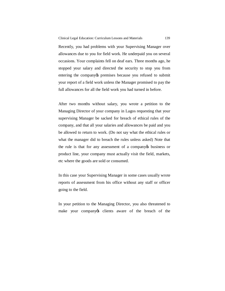Clinical Legal Education: Curriculum Lessons and Materials 139

Recently, you had problems with your Supervising Manager over allowances due to you for field work. He underpaid you on several occasions. Your complaints fell on deaf ears. Three months ago, he stopped your salary and directed the security to stop you from entering the company t premises because you refused to submit your report of a field work unless the Manager promised to pay the full allowances for all the field work you had turned in before.

After two months without salary, you wrote a petition to the Managing Director of your company in Lagos requesting that your supervising Manager be sacked for breach of ethical rules of the company, and that all your salaries and allowances be paid and you be allowed to return to work. (Do not say what the ethical rules or what the manager did to breach the rules unless asked) Note that the rule is that for any assessment of a company to business or product line, your company must actually visit the field, markets, etc where the goods are sold or consumed.

In this case your Supervising Manager in some cases usually wrote reports of assessment from his office without any staff or officer going to the field.

In your petition to the Managing Director, you also threatened to make your company clients aware of the breach of the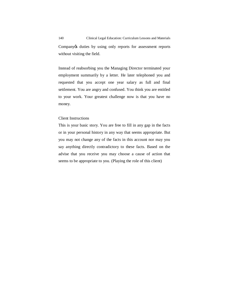140 Clinical Legal Education: Curriculum Lessons and Materials Company ts duties by using only reports for assessment reports without visiting the field.

Instead of reabsorbing you the Managing Director terminated your employment summarily by a letter. He later telephoned you and requested that you accept one year salary as full and final settlement. You are angry and confused. You think you are entitled to your work. Your greatest challenge now is that you have no money.

## Client Instructions

This is your basic story. You are free to fill in any gap in the facts or in your personal history in any way that seems appropriate. But you may not change any of the facts in this account nor may you say anything directly contradictory to these facts. Based on the advise that you receive you may choose a cause of action that seems to be appropriate to you. (Playing the role of this client)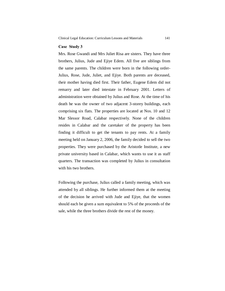Mrs. Rose Gwandi and Mrs Juliet Risa are sisters. They have three brothers, Julius, Jude and Ejiye Edem. All five are siblings from the same parents. The children were born in the following order-Julius, Rose, Jude, Juliet, and Ejiye. Both parents are deceased, their mother having died first. Their father, Eugene Edem did not remarry and later died intestate in February 2001. Letters of administration were obtained by Julius and Rose. At the time of his death he was the owner of two adjacent 3-storey buildings, each comprising six flats. The properties are located at Nos. 10 and 12 Mar Slessor Road, Calabar respectively. None of the children resides in Calabar and the caretaker of the property has been finding it difficult to get the tenants to pay rents. At a family meeting held on January 2, 2006, the family decided to sell the two properties. They were purchased by the Aristotle Institute, a new private university based in Calabar, which wants to use it as staff quarters. The transaction was completed by Julius in consultation with his two brothers.

Following the purchase, Julius called a family meeting, which was attended by all siblings. He further informed them at the meeting of the decision he arrived with Jude and Ejiye, that the women should each be given a sum equivalent to 5% of the proceeds of the sale, while the three brothers divide the rest of the money.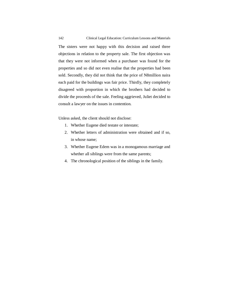142 Clinical Legal Education: Curriculum Lessons and Materials The sisters were not happy with this decision and raised three objections in relation to the property sale. The first objection was that they were not informed when a purchaser was found for the properties and so did not even realise that the properties had been sold. Secondly, they did not think that the price of N8million naira each paid for the buildings was fair price. Thirdly, they completely disagreed with proportion in which the brothers had decided to divide the proceeds of the sale. Feeling aggrieved, Juliet decided to consult a lawyer on the issues in contention.

Unless asked, the client should not disclose:

- 1. Whether Eugene died testate or intestate;
- 2. Whether letters of administration were obtained and if so, in whose name;
- 3. Whether Eugene Edem was in a monogamous marriage and whether all siblings were from the same parents;
- 4. The chronological position of the siblings in the family.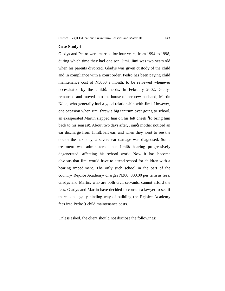Gladys and Pedro were married for four years, from 1994 to 1998, during which time they had one son, Jimi. Jimi was two years old when his parents divorced. Gladys was given custody of the child and in compliance with a court order, Pedro has been paying child maintenance cost of N5000 a month, to be reviewed whenever necessitated by the child the needs. In February 2002, Gladys remarried and moved into the house of her new husband, Martin Ndua, who generally had a good relationship with Jimi. However, one occasion when Jimi threw a big tantrum over going to school, an exasperated Martin slapped him on his left cheek oto bring him back to his sensesö. About two days after, Jimigs mother noticed an ear discharge from Jimigs left ear, and when they went to see the doctor the next day, a severe ear damage was diagnosed. Some treatment was administered, but Jimigs hearing progressively degenerated, affecting his school work. Now it has become obvious that Jimi would have to attend school for children with a hearing impediment. The only such school in the part of the country- Rejoice Academy- charges N200, 000.00 per term as fees. Gladys and Martin, who are both civil servants, cannot afford the fees. Gladys and Martin have decided to consult a lawyer to see if there is a legally binding way of building the Rejoice Academy fees into Pedro $\alpha$  child maintenance costs.

Unless asked, the client should not disclose the followings: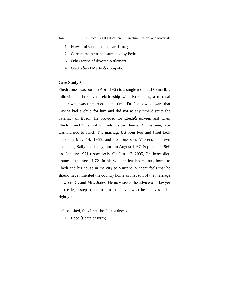- 1. How Jimi sustained the ear damage;
- 2. Current maintenance sum paid by Pedro;
- 3. Other terms of divorce settlement;
- 4. Gladysø and Martings occupation

Ebedi Jones was born in April 1965 to a single mother, Davina Ibe, following a short-lived relationship with Ivor Jones, a medical doctor who was unmarried at the time. Dr. Jones was aware that Davina had a child for him and did not at any time dispute the paternity of Ebedi. He provided for Ebedigs upkeep and when Ebedi turned 7, he took him into his own home. By this time, Ivor was married to Janet. The marriage between Ivor and Janet took place on May 14, 1966, and had one son, Vincent, and two daughters, Sally and Jenny, born in August 1967, September 1969 and January 1971 respectively. On June 17, 2005, Dr. Jones died testate at the age of 72. In his will, he left his country home to Ebedi and his house in the city to Vincent. Vincent feels that he should have inherited the country home as first son of the marriage between Dr. and Mrs. Jones. He now seeks the advice of a lawyer on the legal steps open to him to recover what he believes to be rightly his.

Unless asked, the client should not disclose:

1. Ebedigs date of birth;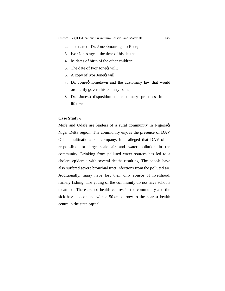- 2. The date of Dr. Jonesø marriage to Rose;
- 3. Ivor Jones age at the time of his death;
- 4. he dates of birth of the other children;
- 5. The date of Ivor Jone & will;
- 6. A copy of Ivor Jone & will;
- 7. Dr. Jonesø hometown and the customary law that would ordinarily govern his country home;
- 8. Dr. Jonesø disposition to customary practices in his lifetime.

Mofe and Odafe are leaders of a rural community in Nigeria $\alpha$ s Niger Delta region. The community enjoys the presence of DAV Oil, a multinational oil company. It is alleged that DAV oil is responsible for large scale air and water pollution in the community. Drinking from polluted water sources has led to a cholera epidemic with several deaths resulting. The people have also suffered severe bronchial tract infections from the polluted air. Additionally, many have lost their only source of livelihood, namely fishing. The young of the community do not have schools to attend. There are no health centres in the community and the sick have to contend with a 50km journey to the nearest health centre in the state capital.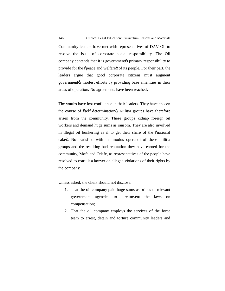Community leaders have met with representatives of DAV Oil to resolve the issue of corporate social responsibility. The Oil company contends that it is government to primary responsibility to provide for the õpeace and welfare of its people. For their part, the leaders argue that good corporate citizens must augment government $\alpha$  modest efforts by providing base amenities in their areas of operation. No agreements have been reached.

The youths have lost confidence in their leaders. They have chosen the course of  $\tilde{o}$ self determinationo. Militia groups have therefore arisen from the community. These groups kidnap foreign oil workers and demand huge sums as ransom. They are also involved in illegal oil bunkering as if to get their share of the  $\tilde{\text{onational}}$ cakeö. Not satisfied with the modus operandi of these militia groups and the resulting bad reputation they have earned for the community, Mofe and Odafe, as representatives of the people have resolved to consult a lawyer on alleged violations of their rights by the company.

Unless asked, the client should not disclose:

- 1. That the oil company paid huge sums as bribes to relevant government agencies to circumvent the laws on compensation;
- 2. That the oil company employs the services of the force team to arrest, detain and torture community leaders and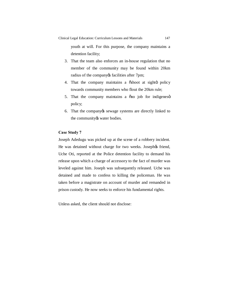youth at will. For this purpose, the company maintains a detention facility;

- 3. That the team also enforces an in-house regulation that no member of the community may be found within 20km radius of the company of facilities after 7pm;
- 4. That the company maintains a  $\ddot{\text{o}}$ shoot at sighto policy towards community members who flout the 20km rule;
- 5. That the company maintains a ono job for indigeneso policy;
- 6. That the company ts sewage systems are directly linked to the community *is* water bodies.

# **Case Study 7**

Joseph Adedugu was picked up at the scene of a robbery incident. He was detained without charge for two weeks. Josephos friend, Uche Oti, reported at the Police detention facility to demand his release upon which a charge of accessory to the fact of murder was leveled against him. Joseph was subsequently released. Uche was detained and made to confess to killing the policeman. He was taken before a magistrate on account of murder and remanded in prison custody. He now seeks to enforce his fundamental rights.

Unless asked, the client should not disclose: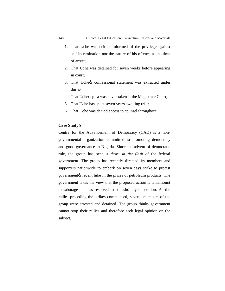- 1. That Uche was neither informed of the privilege against self-incrimination nor the nature of his offence at the time of arrest;
- 2. That Uche was detained for seven weeks before appearing in court;
- 3. That Ucheos confessional statement was extracted under duress;
- 4. That Ucheøs plea was never taken at the Magistrate Court;
- 5. That Uche has spent seven years awaiting trial;
- 6. That Uche was denied access to counsel throughout.

Centre for the Advancement of Democracy (CAD) is a nongovernmental organization committed to promoting democracy and good governance in Nigeria. Since the advent of democratic rule, the group has been *a thorn in the flesh* of the federal government. The group has recently directed its members and supporters nationwide to embark on seven days strike to protest government $\alpha$  recent hike in the prices of petroleum products. The government takes the view that the proposed action is tantamount to sabotage and has resolved to õquashö any opposition. As the rallies preceding the strikes commenced, several members of the group were arrested and detained. The group thinks government cannot stop their rallies and therefore seek legal opinion on the subject.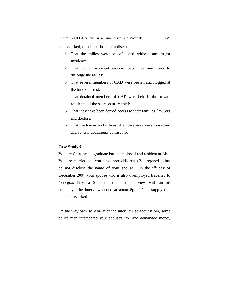Unless asked, the client should not disclose:

- 1. That the rallies were peaceful and without any major incidence;
- 2. That law enforcement agencies used maximum force to dislodge the rallies;
- 3. That several members of CAD were beaten and flogged at the time of arrest;
- 4. That detained members of CAD were held in the private residence of the state security chief;
- 5. That they have been denied access to their families, lawyers and doctors;
- 6. That the homes and offices of all detainees were ransacked and several documents confiscated.

# **Case Study 9**

You are Chinenye, a graduate but unemployed and resident at Aba. You are married and you have three children. (Be prepared to but do not disclose the name of your spouse). On the 5<sup>th</sup> day of December 2007 your spouse who is also unemployed travelled to Yenegoa, Bayelsa State to attend an interview with an oil company. The interview ended at about 5pm. Don't supply this date unless asked.

On the way back to Aba after the interview at about 8 pm, some police men intercepted your spouse's taxi and demanded money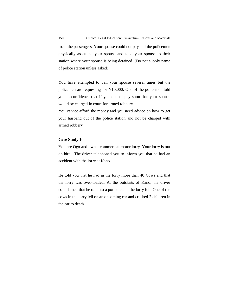150 Clinical Legal Education: Curriculum Lessons and Materials from the passengers. Your spouse could not pay and the policemen physically assaulted your spouse and took your spouse to their station where your spouse is being detained. (Do not supply name of police station unless asked)

You have attempted to bail your spouse several times but the policemen are requesting for N10,000. One of the policemen told you in confidence that if you do not pay soon that your spouse would be charged in court for armed robbery.

You cannot afford the money and you need advice on how to get your husband out of the police station and not be charged with armed robbery.

## **Case Study 10**

You are Ogo and own a commercial motor lorry. Your lorry is out on hire. The driver telephoned you to inform you that he had an accident with the lorry at Kano.

He told you that he had in the lorry more than 40 Cows and that the lorry was over-loaded. At the outskirts of Kano, the driver complained that he ran into a pot hole and the lorry fell. One of the cows in the lorry fell on an oncoming car and crushed 2 children in the car to death.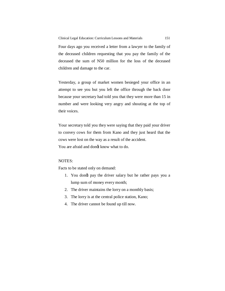Four days ago you received a letter from a lawyer to the family of the deceased children requesting that you pay the family of the deceased the sum of N50 million for the loss of the deceased children and damage to the car.

Yesterday, a group of market women besieged your office in an attempt to see you but you left the office through the back door because your secretary had told you that they were more than 15 in number and were looking very angry and shouting at the top of their voices.

Your secretary told you they were saying that they paid your driver to convey cows for them from Kano and they just heard that the cows were lost on the way as a result of the accident.

You are afraid and dongt know what to do.

# NOTES:

Facts to be stated only on demand:

- 1. You dongt pay the driver salary but he rather pays you a lump sum of money every month;
- 2. The driver maintains the lorry on a monthly basis;
- 3. The lorry is at the central police station, Kano;
- 4. The driver cannot be found up till now.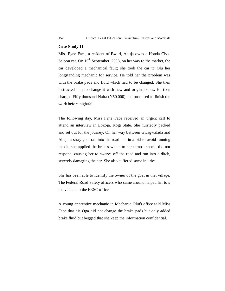Miss Fyne Face, a resident of Bwari, Abuja owns a Honda Civic Saloon car. On 15<sup>th</sup> September, 2008, on her way to the market, the car developed a mechanical fault; she took the car to Olu her longstanding mechanic for service. He told her the problem was with the brake pads and fluid which had to be changed. She then instructed him to change it with new and original ones. He then charged Fifty thousand Naira (N50,000) and promised to finish the work before nightfall.

The following day, Miss Fyne Face received an urgent call to attend an interview in Lokoja, Kogi State. She hurriedly packed and set out for the journey. On her way between Gwagwalada and Abaji, a stray goat ran into the road and in a bid to avoid running into it, she applied the brakes which to her utmost shock, did not respond, causing her to swerve off the road and run into a ditch, severely damaging the car. She also suffered some injuries.

She has been able to identify the owner of the goat in that village. The Federal Road Safety officers who came around helped her tow the vehicle to the FRSC office.

A young apprentice mechanic in Mechanic Olu $\alpha$  office told Miss Face that his Oga did not change the brake pads but only added brake fluid but begged that she keep the information confidential.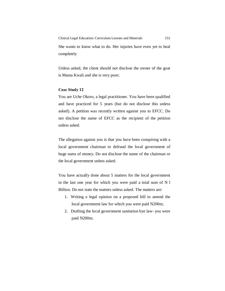Clinical Legal Education: Curriculum Lessons and Materials 153 She wants to know what to do. Her injuries have even yet to heal completely

Unless asked, the client should not disclose the owner of the goat is Mama Kwali and she is very poor;

# **Case Study 12**

You are Uche Okoro, a legal practitioner. You have been qualified and have practiced for 5 years (but do not disclose this unless asked). A petition was recently written against you to EFCC. Do not disclose the name of EFCC as the recipient of the petition unless asked.

The allegation against you is that you have been conspiring with a local government chairman to defraud the local government of huge sums of money. Do not disclose the name of the chairman or the local government unless asked.

You have actually done about 5 matters for the local government in the last one year for which you were paid a total sum of N l Billion. Do not state the matters unless asked. The matters are:

- 1. Writing a legal opinion on a proposed bill to amend the local government law for which you were paid N200m;
- 2. Drafting the local government sanitation bye law- you were paid N200m;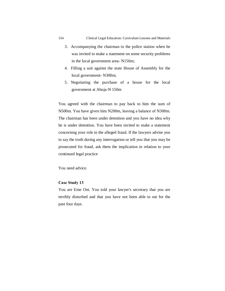- 3. Accompanying the chairman to the police station when he was invited to make a statement on some security problems in the local government area- N150m;
- 4. Filling a suit against the state House of Assembly for the local government- N300m;
- 5. Negotiating the purchase of a house for the local government at Abuja-N 150m

You agreed with the chairman to pay back to him the sum of N500m. You have given him N200m, leaving a balance of N300m. The chairman has been under detention and you have no idea why he is under detention. You have been invited to make a statement concerning your role in the alleged fraud. If the lawyers advise you to say the truth during any interrogation or tell you that you may be prosecuted for fraud, ask them the implication in relation to your continued legal practice

You need advice.

# **Case Study 13**

You are Eme Oni. You told your lawyer's secretary that you are terribly disturbed and that you have not been able to eat for the past four days.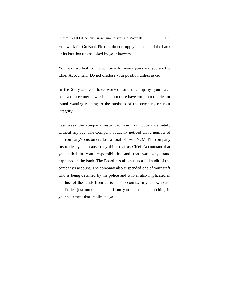Clinical Legal Education: Curriculum Lessons and Materials 155

You work for Go Bank Plc (but do not supply the name of the bank or its location unless asked by your lawyers.

You have worked for the company for many years and you are the Chief Accountant. Do not disclose your position unless asked.

In the 25 years you have worked for the company, you have received three merit awards and not once have you been queried or found wanting relating to the business of the company or your integrity.

Last week the company suspended you from duty indefinitely without any pay. The Company suddenly noticed that a number of the company's customers lost a total of over N2M The company suspended you because they think that as Chief Accountant that you failed in your responsibilities and that was why fraud happened in the bank. The Board has also set up a full audit of the company's account. The company also suspended one of your staff who is being detained by the police and who is also implicated in the loss of the funds from customers' accounts. In your own case the Police just took statements from you and there is nothing in your statement that implicates you.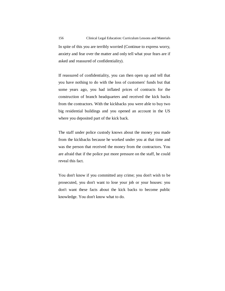156 Clinical Legal Education: Curriculum Lessons and Materials In spite of this you are terribly worried (Continue to express worry, anxiety and fear over the matter and only tell what your fears are if asked and reassured of confidentiality).

If reassured of confidentiality, you can then open up and tell that you have nothing to do with the loss of customers' funds but that some years ago, you had inflated prices of contracts for the construction of branch headquarters and received the kick backs from the contractors. With the kickbacks you were able to buy two big residential buildings and you opened an account in the US where you deposited part of the kick back.

The staff under police custody knows about the money you made from the kickbacks because he worked under you at that time and was the person that received the money from the contractors. You are afraid that if the police put more pressure on the staff, he could reveal this fact.

You don't know if you committed any crime; you don't wish to be prosecuted, you don't want to lose your job or your houses: you don't want these facts about the kick backs to become public knowledge. You don't know what to do.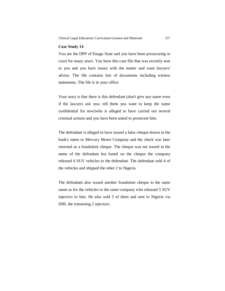You are the DPP of Enugu State and you have been prosecuting in court for many years. You have this case file that was recently sent to you and you have issues with the matter and want lawyers' advice. The file contains lots of documents including witness statements. The file is in your office.

Your story is that there is this defendant (don't give any name even if the lawyers ask you; tell them you want to keep the name confidential for now)who is alleged to have carried out several criminal actions and you have been asked to prosecute him.

The defendant is alleged to have issued a false cheque drawn in the bank's name to Mercury Motor Company and the check was later returned as a fraudulent cheque. The cheque was not issued in the name of the defendant but based on the cheque the company released 6 SUV vehicles to the defendant. The defendant sold 4 of the vehicles and shipped the other 2 to Nigeria.

The defendant also issued another fraudulent cheque in the same name as for the vehicles to the same company who released 5 SUV injectors to him. He also sold 3 of them and sent to Nigeria via DHL the remaining 2 injectors.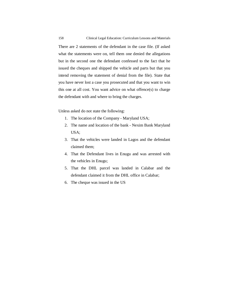158 Clinical Legal Education: Curriculum Lessons and Materials There are 2 statements of the defendant in the case file. (If asked what the statements were on, tell them one denied the allegations but in the second one the defendant confessed to the fact that he issued the cheques and shipped the vehicle and parts but that you intend removing the statement of denial from the file). State that you have never lost a case you prosecuted and that you want to win this one at all cost. You want advice on what offence(s) to charge

the defendant with and where to bring the charges.

Unless asked do not state the following:

- 1. The location of the Company Maryland USA;
- 2. The name and location of the bank Nexim Bank Maryland USA;
- 3. That the vehicles were landed in Lagos and the defendant claimed them;
- 4. That the Defendant lives in Enugu and was arrested with the vehicles in Enugu;
- 5. That the DHL parcel was landed in Calabar and the defendant claimed it from the DHL office in Calabar;
- 6. The cheque was issued in the US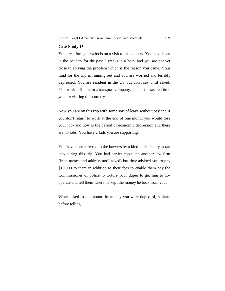You are a foreigner who is on a visit to the country. You have been in the country for the past 2 weeks in a hotel and you are not yet close to solving the problem which is the reason you came. Your fund for the trip is running out and you are worried and terribly depressed. You are resident in the US but don't say until asked. You work full-time in a transport company. This is the second time you are visiting this country.

Now you are on this trip with some sort of leave without pay and if you don't return to work at the end of one month you would lose your job- and now is the period of economic depression and there are no jobs. You have 2 kids you are supporting.

You have been referred to the lawyers by a kind policeman you ran into during this trip. You had earlier consulted another law firm (keep names and address until asked) but they advised you to pay \$10,000 to them in addition to their fees to enable them pay the Commissioner of police to torture your duper to get him to cooperate and tell them where he kept the money he took from you.

When asked to talk about the money you were duped of, hesitate before telling.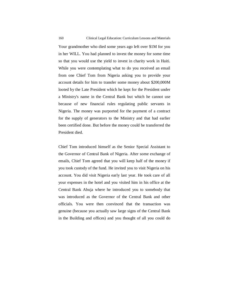Your grandmother who died some years ago left over \$1M for you in her WILL. You had planned to invest the money for some time so that you would use the yield to invest in charity work in Haiti. While you were contemplating what to do you received an email from one Chief Tom from Nigeria asking you to provide your account details for him to transfer some money about \$200,000M looted by the Late President which he kept for the President under a Ministry's name in the Central Bank but which he cannot use because of new financial rules regulating public servants in Nigeria. The money was purported for the payment of a contract for the supply of generators to the Ministry and that had earlier been certified done. But before the money could be transferred the President died.

Chief Tom introduced himself as the Senior Special Assistant to the Governor of Central Bank of Nigeria. After some exchange of emails, Chief Tom agreed that you will keep half of the money if you took custody of the fund. He invited you to visit Nigeria on his account. You did visit Nigeria early last year. He took care of all your expenses in the hotel and you visited him in his office at the Central Bank Abuja where he introduced you to somebody that was introduced as the Governor of the Central Bank and other officials. You were then convinced that the transaction was genuine (because you actually saw large signs of the Central Bank in the Building and offices) and you thought of all you could do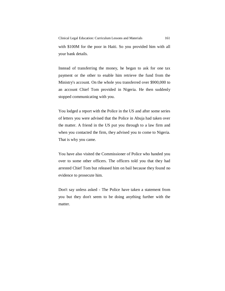Clinical Legal Education: Curriculum Lessons and Materials 161 with \$100M for the poor in Haiti. So you provided him with all your bank details.

Instead of transferring the money, he began to ask for one tax payment or the other to enable him retrieve the fund from the Ministry's account. On the whole you transferred over \$900,000 to an account Chief Tom provided in Nigeria. He then suddenly stopped communicating with you.

You lodged a report with the Police in the US and after some series of letters you were advised that the Police in Abuja had taken over the matter. A friend in the US put you through to a law firm and when you contacted the firm, they advised you to come to Nigeria. That is why you came.

You have also visited the Commissioner of Police who handed you over to some other officers. The officers told you that they had arrested Chief Tom but released him on bail because they found no evidence to prosecute him.

Don't say unless asked - The Police have taken a statement from you but they don't seem to be doing anything further with the matter.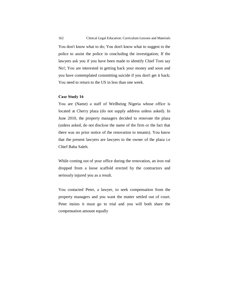162 Clinical Legal Education: Curriculum Lessons and Materials You don't know what to do; You don't know what to suggest to the police to assist the police in concluding the investigation; If the lawyers ask you if you have been made to identify Chief Tom say No!; You are interested in getting back your money and soon and you have contemplated committing suicide if you don't get it back; You need to return to the US in less than one week.

## **Case Study 16**

You are (Name) a staff of Wellbeing Nigeria whose office is located at Cherry plaza (do not supply address unless asked). In June 2010, the property managers decided to renovate the plaza (unless asked, do not disclose the name of the firm or the fact that there was no prior notice of the renovation to tenants). You know that the present lawyers are lawyers to the owner of the plaza i.e Chief Baba Saleh.

While coming out of your office during the renovation, an iron rod dropped from a loose scaffold erected by the contractors and seriously injured you as a result.

You contacted Peter, a lawyer, to seek compensation from the property managers and you want the matter settled out of court. Peter insists it must go to trial and you will both share the compensation amount equally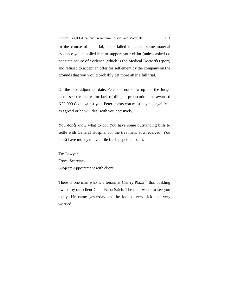Clinical Legal Education: Curriculum Lessons and Materials 163

In the course of the trial, Peter failed to tender some material evidence you supplied him to support your claim (unless asked do not state nature of evidence (which is the Medical Doctor<sub>of</sub> report) and refused to accept an offer for settlement by the company on the grounds that you would probably get more after a full trial.

On the next adjourned date, Peter did not show up and the Judge dismissed the matter for lack of diligent prosecution and awarded N20,000 Cost against you. Peter insists you must pay his legal fees as agreed or he will deal with you decisively.

You dongt know what to do; You have some outstanding bills to settle with General Hospital for the treatment you received; You dongt have money to even file fresh papers in court.

To: Lawyer From: Secretary Subject: Appointment with client

There is one man who is a tenant at Cherry Plaza 6 that building owned by our client Chief Baba Saleh. The man wants to see you today. He came yesterday and he looked very sick and very worried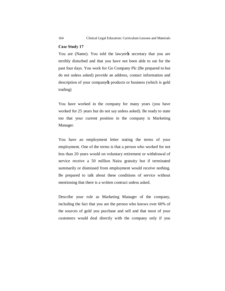You are (Name). You told the lawyer ts secretary that you are terribly disturbed and that you have not been able to eat for the past four days. You work for Go Company Plc (Be prepared to but do not unless asked) provide an address, contact information and description of your company oproducts or business (which is gold trading)

You have worked in the company for many years (you have worked for 25 years but do not say unless asked). Be ready to state too that your current position in the company is Marketing Manager.

You have an employment letter stating the terms of your employment. One of the terms is that a person who worked for not less than 20 years would on voluntary retirement or withdrawal of service receive a 50 million Naira gratuity but if terminated summarily or dismissed from employment would receive nothing. Be prepared to talk about these conditions of service without mentioning that there is a written contract unless asked.

Describe your role as Marketing Manager of the company, including the fact that you are the person who knows over 60% of the sources of gold you purchase and sell and that most of your customers would deal directly with the company only if you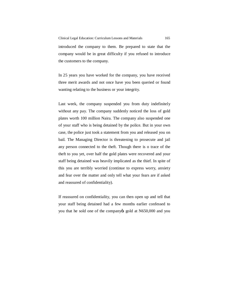Clinical Legal Education: Curriculum Lessons and Materials 165

introduced the company to them. Be prepared to state that the company would be in great difficulty if you refused to introduce the customers to the company.

In 25 years you have worked for the company, you have received three merit awards and not once have you been queried or found wanting relating to the business or your integrity.

Last week, the company suspended you from duty indefinitely without any pay. The company suddenly noticed the loss of gold plates worth 100 million Naira. The company also suspended one of your staff who is being detained by the police. But in your own case, the police just took a statement from you and released you on bail. The Managing Director is threatening to prosecute and jail any person connected to the theft. Though there is o trace of the theft to you yet, over half the gold plates were recovered and your staff being detained was heavily implicated as the thief. In spite of this you are terribly worried (continue to express worry, anxiety and fear over the matter and only tell what your fears are if asked and reassured of confidentiality).

If reassured on confidentiality, you can then open up and tell that your staff being detained had a few months earlier confessed to you that he sold one of the company t gold at N650,000 and you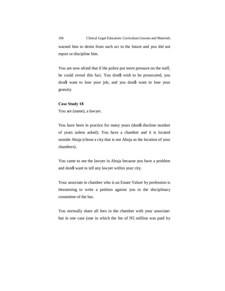166 Clinical Legal Education: Curriculum Lessons and Materials warned him to desist from such act in the future and you did not report or discipline him.

You are now afraid that if the police put more pressure on the staff, he could reveal this fact. You dongt wish to be prosecuted, you dongt want to lose your job, and you dongt want to lose your gratuity.

#### **Case Study 18**

You are (name), a lawyer.

You have been in practice for many years (dongt disclose number of years unless asked). You have a chamber and it is located outside Abuja (chose a city that is not Abuja as the location of your chambers).

You came to see the lawyer in Abuja because you have a problem and dongt want to tell any lawyer within your city.

Your associate in chamber who is an Estate Valuer by profession is threatening to write a petition against you to the disciplinary committee of the bar.

You normally share all fees in the chamber with your associate: but in one case (one in which the fee of N5 million was paid by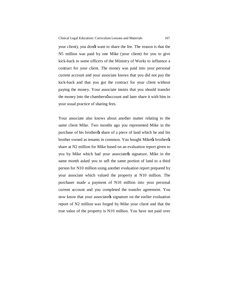Clinical Legal Education: Curriculum Lessons and Materials 167

your client), you dongt want to share the fee. The reason is that the N5 million was paid by one Mike (your client) for you to give kick-back to some officers of the Ministry of Works to influence a contract for your client. The money was paid into your personal current account and your associate knows that you did not pay the kick-back and that you got the contract for your client without paying the money. Your associate insists that you should transfer the money into the chambers *g* account and later share it with him in your usual practice of sharing fees.

Your associate also knows about another matter relating to the same client Mike. Two months ago you represented Mike in the purchase of his brother the share of a piece of land which he and his brother owned as tenants in common. You bought Mike ts brother  $\alpha$ share at N2 million for Mike based on an evaluation report given to you by Mike which had your associate ts signature. Mike in the same month asked you to sell the same portion of land to a third person for N10 million using another evaluation report prepared by your associate which valued the property at N10 million. The purchaser made a payment of N10 million into your personal current account and you completed the transfer agreement. You now know that your associate is signature on the earlier evaluation report of N2 million was forged by Mike your client and that the true value of the property is N10 million. You have not paid over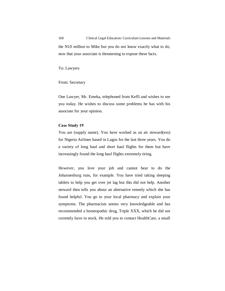168 Clinical Legal Education: Curriculum Lessons and Materials the N10 million to Mike but you do not know exactly what to do, now that your associate is threatening to expose these facts.

To: Lawyers

From: Secretary

One Lawyer, Mr. Emeka, telephoned from Keffi and wishes to see you today. He wishes to discuss some problems he has with his associate for your opinion.

# **Case Study 19**

You are (supply name). You have worked as an air steward(ess) for Nigeria Airlines based in Lagos for the last three years. You do a variety of long haul and short haul flights for them but have increasingly found the long haul flights extremely tiring.

However, you love your job and cannot bear to do the Johannesburg runs, for example. You have tried taking sleeping tablets to help you get over jet lag but this did not help. Another steward then tells you about an alternative remedy which she has found helpful. You go to your local pharmacy and explain your symptoms. The pharmacists seems very knowledgeable and has recommended a homeopathic drug, Triple XXX, which he did not currently have in stock. He told you to contact HealthCare, a small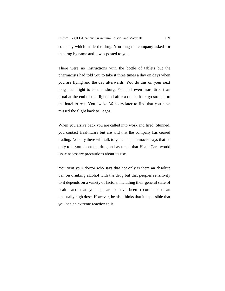company which made the drug. You rang the company asked for the drug by name and it was posted to you.

There were no instructions with the bottle of tablets but the pharmacists had told you to take it three times a day on days when you are flying and the day afterwards. You do this on your next long haul flight to Johannesburg. You feel even more tired than usual at the end of the flight and after a quick drink go straight to the hotel to rest. You awake 36 hours later to find that you have missed the flight back to Lagos.

When you arrive back you are called into work and fired. Stunned, you contact HealthCare but are told that the company has ceased trading. Nobody there will talk to you. The pharmacist says that he only told you about the drug and assumed that HealthCare would issue necessary precautions about its use.

You visit your doctor who says that not only is there an absolute ban on drinking alcohol with the drug but that peoples sensitivity to it depends on a variety of factors, including their general state of health and that you appear to have been recommended an unusually high dose. However, he also thinks that it is possible that you had an extreme reaction to it.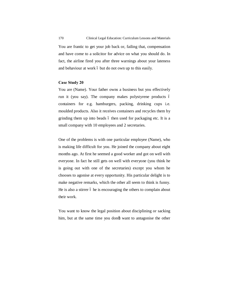# 170 Clinical Legal Education: Curriculum Lessons and Materials You are frantic to get your job back or, failing that, compensation and have come to a solicitor for advice on what you should do. In fact, the airline fired you after three warnings about your lateness and behaviour at work 6 but do not own up to this easily.

## **Case Study 20**

You are (Name). Your father owns a business but you effectively run it (you say). The company makes polystyrene products ó containers for e.g. hamburgers, packing, drinking cups i.e. moulded products. Also it receives containers and recycles them by grinding them up into beads 6 then used for packaging etc. It is a small company with 10 employees and 2 secretaries.

One of the problems is with one particular employee (Name), who is making life difficult for you. He joined the company about eight months ago. At first he seemed a good worker and got on well with everyone. In fact he still gets on well with everyone (you think he is going out with one of the secretaries) except you whom he chooses to agonise at every opportunity. His particular delight is to make negative remarks, which the other all seem to think is funny. He is also a stirrer 6 he is encouraging the others to complain about their work.

You want to know the legal position about disciplining or sacking him, but at the same time you dongt want to antagonise the other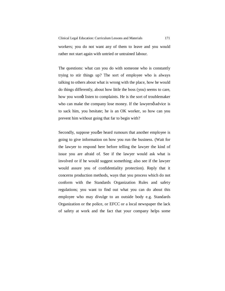Clinical Legal Education: Curriculum Lessons and Materials 171 workers; you do not want any of them to leave and you would rather not start again with untried or untrained labour.

The questions: what can you do with someone who is constantly trying to stir things up? The sort of employee who is always talking to others about what is wrong with the place, how he would do things differently, about how little the boss (you) seems to care, how you wongt listen to complaints. He is the sort of troublemaker who can make the company lose money. If the lawyers  $\phi$  advice is to sack him, you hesitate; he is an OK worker, so how can you prevent him without going that far to begin with?

Secondly, suppose you *o*ve heard rumours that another employee is going to give information on how you run the business. (Wait for the lawyer to respond here before telling the lawyer the kind of issue you are afraid of. See if the lawyer would ask what is involved or if he would suggest something; also see if the lawyer would assure you of confidentiality protection). Reply that it concerns production methods, ways that you process which do not conform with the Standards Organization Rules and safety regulations; you want to find out what you can do about this employee who may divulge to an outside body e.g. Standards Organization or the police, or EFCC or a local newspaper the lack of safety at work and the fact that your company helps some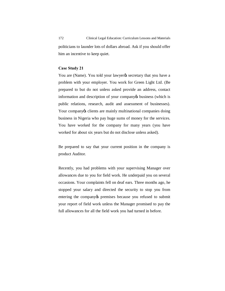172 Clinical Legal Education: Curriculum Lessons and Materials politicians to launder lots of dollars abroad. Ask if you should offer him an incentive to keep quiet.

## **Case Study 21**

You are (Name). You told your lawyer the secretary that you have a problem with your employer. You work for Green Light Ltd. (Be prepared to but do not unless asked provide an address, contact information and description of your company t business (which is public relations, research, audit and assessment of businesses). Your company & clients are mainly multinational companies doing business in Nigeria who pay huge sums of money for the services. You have worked for the company for many years (you have worked for about six years but do not disclose unless asked).

Be prepared to say that your current position in the company is product Auditor.

Recently, you had problems with your supervising Manager over allowances due to you for field work. He underpaid you on several occasions. Your complaints fell on deaf ears. Three months ago, he stopped your salary and directed the security to stop you from entering the company t premises because you refused to submit your report of field work unless the Manager promised to pay the full allowances for all the field work you had turned in before.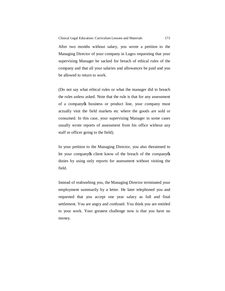After two months without salary, you wrote a petition to the Managing Director of your company in Lagos requesting that your supervising Manager be sacked for breach of ethical rules of the company and that all your salaries and allowances be paid and you be allowed to return to work.

(Do not say what ethical rules or what the manager did to breach the rules unless asked. Note that the rule is that for any assessment of a company t business or product line, your company must actually visit the field markets etc where the goods are sold or consumed. In this case, your supervising Manager in some cases usually wrote reports of assessment from his office without any staff or officer going to the field).

In your petition to the Managing Director, you also threatened to let your company's client know of the breach of the company's duties by using only reports for assessment without visiting the field.

Instead of reabsorbing you, the Managing Director terminated your employment summarily by a letter. He later telephoned you and requested that you accept one year salary as full and final settlement. You are angry and confused. You think you are entitled to your work. Your greatest challenge now is that you have no money.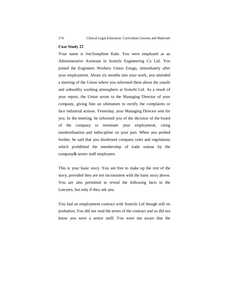## **Case Study 22**

Your name is Joe/Josephine Kalu. You were employed as an Administrative Assistant in Somchi Engineering Co Ltd. You joined the Engineers Workers Union Enugu, immediately after your employment. About six months into your work, you attended a meeting of the Union where you informed them about the unsafe and unhealthy working atmosphere at Somchi Ltd. As a result of your report, the Union wrote to the Managing Director of your company, giving him an ultimatum to rectify the complaints or face industrial actions. Yesterday, your Managing Director sent for you. In the meeting, he informed you of the decision of the board of the company to terminate your employment, citing insubordination and indiscipline on your part. When you probed further, he said that you disobeyed company rules and regulations which prohibited the membership of trade unions by the company *is* senior staff employees.

This is your basic story. You are free to make up the rest of the story, provided they are not inconsistent with the basic story above. You are also permitted to reveal the following facts to the Lawyers, but only if they ask you.

You had an employment contract with Somchi Ltd though still on probation; You did not read the terms of the contract and so did not know you were a senior staff; You were not aware that the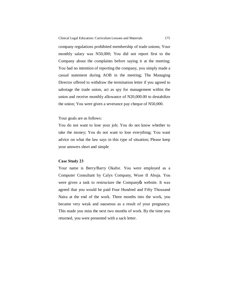company regulations prohibited membership of trade unions; Your monthly salary was N50,000; You did not report first to the Company about the complaints before saying it at the meeting; You had no intention of reporting the company, you simply made a casual statement during AOB in the meeting; The Managing Director offered to withdraw the termination letter if you agreed to sabotage the trade union, act as spy for management within the union and receive monthly allowance of N20,000.00 to destabilize the union; You were given a severance pay cheque of N50,000.

Your goals are as follows:

You do not want to lose your job; You do not know whether to take the money; You do not want to lose everything; You want advice on what the law says in this type of situation; Please keep your answers short and simple

#### **Case Study 23**

Your name is Berry/Barry Okafor. You were employed as a Computer Consultant by Calyx Company, Wuse II Abuja. You were given a task to restructure the Company twebsite. It was agreed that you would be paid Four Hundred and Fifty Thousand Naira at the end of the work. Three months into the work, you became very weak and nauseous as a result of your pregnancy. This made you miss the next two months of work. By the time you returned, you were presented with a sack letter.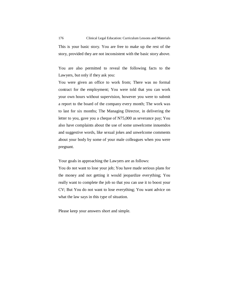You are also permitted to reveal the following facts to the Lawyers, but only if they ask you:

You were given an office to work from; There was no formal contract for the employment; You were told that you can work your own hours without supervision, however you were to submit a report to the board of the company every month; The work was to last for six months; The Managing Director, in delivering the letter to you, gave you a cheque of N75,000 as severance pay; You also have complaints about the use of some unwelcome innuendos and suggestive words, like sexual jokes and unwelcome comments about your body by some of your male colleagues when you were pregnant.

Your goals in approaching the Lawyers are as follows:

You do not want to lose your job; You have made serious plans for the money and not getting it would jeopardize everything; You really want to complete the job so that you can use it to boost your CV; But You do not want to lose everything; You want advice on what the law says in this type of situation.

Please keep your answers short and simple.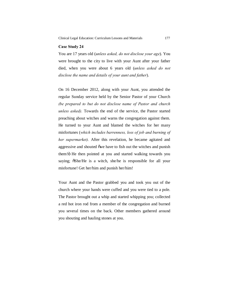#### **Case Study 24**

You are 17 years old (*unless asked, do not disclose your age*). You were brought to the city to live with your Aunt after your father died, when you were about 6 years old (*unless asked do not disclose the name and details of your aunt and father*).

On 16 December 2012, along with your Aunt, you attended the regular Sunday service held by the Senior Pastor of your Church *(be prepared to but do not disclose name of Pastor and church unless asked).* Towards the end of the service, the Pastor started preaching about witches and warns the congregation against them. He turned to your Aunt and blamed the witches for her many misfortunes (*which includes barrenness, loss of job and burning of her supermarket).* After this revelation, he became agitated and aggressive and shouted owe have to fish out the witches and punish them!" He then pointed at you and started walking towards you saying;  $\delta$ She/He is a witch, she/he is responsible for all your misfortune! Get her/him and punish her/him!

Your Aunt and the Pastor grabbed you and took you out of the church where your hands were cuffed and you were tied to a pole. The Pastor brought out a whip and started whipping you; collected a red hot iron rod from a member of the congregation and burned you several times on the back. Other members gathered around you shouting and hauling stones at you.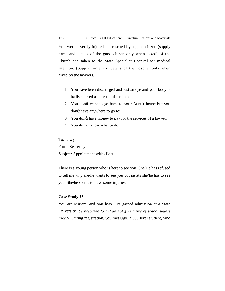178 Clinical Legal Education: Curriculum Lessons and Materials You were severely injured but rescued by a good citizen (supply name and details of the good citizen only when asked) of the Church and taken to the State Specialist Hospital for medical attention. (Supply name and details of the hospital only when asked by the lawyers)

- 1. You have been discharged and lost an eye and your body is badly scarred as a result of the incident;
- 2. You dongt want to go back to your Auntgs house but you dongt have anywhere to go to;
- 3. You dongt have money to pay for the services of a lawyer;
- 4. You do not know what to do.

To: Lawyer

From: Secretary Subject: Appointment with client

There is a young person who is here to see you. She/He has refused to tell me why she/he wants to see you but insists she/he has to see you. She/he seems to have some injuries.

# **Case Study 25**

You are Miriam, and you have just gained admission at a State University *(be prepared to but do not give name of school unless asked)*. During registration, you met Ugo, a 300 level student, who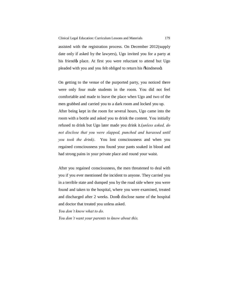assisted with the registration process. On December 2012(supply date only if asked by the lawyers), Ugo invited you for a party at his friend the place. At first you were reluctant to attend but Ugo pleaded with you and you felt obliged to return his õkindnessö.

On getting to the venue of the purported party, you noticed there were only four male students in the room. You did not feel comfortable and made to leave the place when Ugo and two of the men grabbed and carried you to a dark room and locked you up. After being kept in the room for several hours, Ugo came into the room with a bottle and asked you to drink the content. You initially refused to drink but Ugo later made you drink it.(*unless asked, do not disclose that you were slapped, punched and harassed until you took the drink)*. You lost consciousness and when you regained consciousness you found your pants soaked in blood and had strong pains in your private place and round your waist.

After you regained consciousness, the men threatened to deal with you if you ever mentioned the incident to anyone. They carried you in a terrible state and dumped you by the road side where you were found and taken to the hospital, where you were examined, treated and discharged after 2 weeks. Dongt disclose name of the hospital and doctor that treated you unless asked.

*You don't know what to do.* 

*You don't want your parents to know about this.*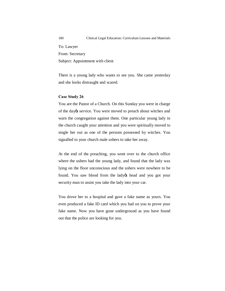180 Clinical Legal Education: Curriculum Lessons and Materials To: Lawyer From: Secretary Subject: Appointment with client

There is a young lady who wants to see you. She came yesterday and she looks distraught and scared.

# **Case Study 26**

You are the Pastor of a Church. On this Sunday you were in charge of the day& service. You were moved to preach about witches and warn the congregation against them. One particular young lady in the church caught your attention and you were spiritually moved to single her out as one of the persons possessed by witches. You signalled to your church male ushers to take her away.

At the end of the preaching, you went over to the church office where the ushers had the young lady, and found that the lady was lying on the floor unconscious and the ushers were nowhere to be found. You saw blood from the lady the head and you got your security man to assist you take the lady into your car.

You drove her to a hospital and gave a fake name as yours. You even produced a fake ID card which you had on you to prove your fake name. Now you have gone underground as you have found out that the police are looking for you.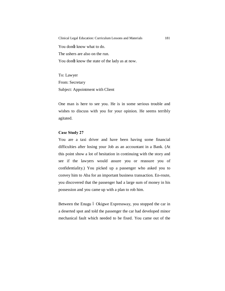Clinical Legal Education: Curriculum Lessons and Materials 181 You dongt know what to do. The ushers are also on the run. You dongt know the state of the lady as at now.

To: Lawyer From: Secretary Subject: Appointment with Client

One man is here to see you. He is in some serious trouble and wishes to discuss with you for your opinion. He seems terribly agitated.

# **Case Study 27**

You are a taxi driver and have been having some financial difficulties after losing your Job as an accountant in a Bank. (At this point show a lot of hesitation in continuing with the story and see if the lawyers would assure you or reassure you of confidentiality.) You picked up a passenger who asked you to convey him to Aba for an important business transaction. En-route, you discovered that the passenger had a large sum of money in his possession and you came up with a plan to rob him.

Between the Enugu ó Okigwe Expressway, you stopped the car in a deserted spot and told the passenger the car had developed minor mechanical fault which needed to be fixed. You came out of the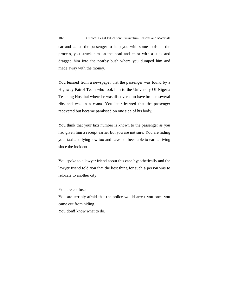182 Clinical Legal Education: Curriculum Lessons and Materials car and called the passenger to help you with some tools. In the process, you struck him on the head and chest with a stick and dragged him into the nearby bush where you dumped him and made away with the money.

You learned from a newspaper that the passenger was found by a Highway Patrol Team who took him to the University Of Nigeria Teaching Hospital where he was discovered to have broken several ribs and was in a coma. You later learned that the passenger recovered but became paralysed on one side of his body.

You think that your taxi number is known to the passenger as you had given him a receipt earlier but you are not sure. You are hiding your taxi and lying low too and have not been able to earn a living since the incident.

You spoke to a lawyer friend about this case hypothetically and the lawyer friend told you that the best thing for such a person was to relocate to another city.

You are confused

You are terribly afraid that the police would arrest you once you came out from hiding.

You dongt know what to do.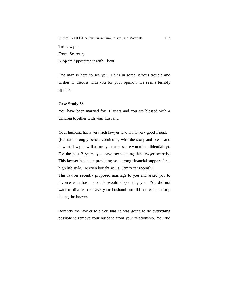Clinical Legal Education: Curriculum Lessons and Materials 183 To: Lawyer From: Secretary Subject: Appointment with Client

One man is here to see you. He is in some serious trouble and wishes to discuss with you for your opinion. He seems terribly agitated.

## **Case Study 28**

You have been married for 10 years and you are blessed with 4 children together with your husband.

Your husband has a very rich lawyer who is his very good friend. (Hesitate strongly before continuing with the story and see if and how the lawyers will assure you or reassure you of confidentiality). For the past 3 years, you have been dating this lawyer secretly. This lawyer has been providing you strong financial support for a high life style. He even bought you a Camry car recently.

This lawyer recently proposed marriage to you and asked you to divorce your husband or he would stop dating you. You did not want to divorce or leave your husband but did not want to stop dating the lawyer.

Recently the lawyer told you that he was going to do everything possible to remove your husband from your relationship. You did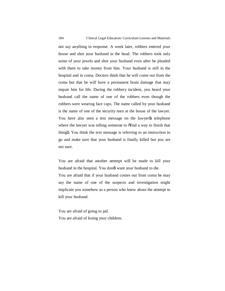not say anything in response. A week later, robbers entered your house and shot your husband in the head. The robbers took only some of your jewels and shot your husband even after he pleaded with them to take money from him. Your husband is still in the hospital and in coma. Doctors think that he will come out from the coma but that he will have a permanent brain damage that may impair him for life. During the robbery incident, you heard your husband call the name of one of the robbers even though the robbers were wearing face caps. The name called by your husband is the name of one of the security men at the house of the lawyer. You have also seen a text message on the lawyer telephone where the lawyer was telling someone to  $\delta$ find a way to finish that thingö. You think the text message is referring to an instruction to go and make sure that your husband is finally killed but you are not sure.

You are afraid that another attempt will be made to kill your husband in the hospital. You dongt want your husband to die. You are afraid that if your husband comes out from coma he may say the name of one of the suspects and investigation might implicate you somehow as a person who knew about the attempt to kill your husband.

You are afraid of going to jail. You are afraid of losing your children.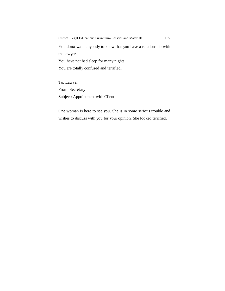Clinical Legal Education: Curriculum Lessons and Materials 185 You dongt want anybody to know that you have a relationship with the lawyer. You have not had sleep for many nights. You are totally confused and terrified.

To: Lawyer From: Secretary Subject: Appointment with Client

One woman is here to see you. She is in some serious trouble and wishes to discuss with you for your opinion. She looked terrified.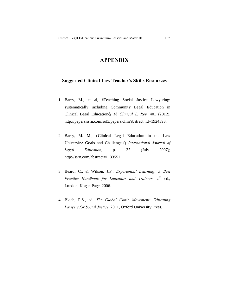# **APPENDIX**

# **Suggested Clinical Law Teacher's Skills Resources**

- 1. Barry, M., et al,  $\tilde{o}$ Teaching Social Justice Lawyering: systematically including Community Legal Education in Clinical Legal Education", *18 Clinical L. Rev.* 401 (2012), http://papers.ssrn.com/sol3/papers.cfm?abstract\_id=1924393.
- 2. Barry, M. M.,  $\tilde{O}$ Clinical Legal Education in the Law University: Goals and Challengesö, *International Journal of Legal Education,* p. 35 (July 2007); http://ssrn.com/abstract=1133551.
- 3. Beard, C., & Wilson, J.P., *Experiential Learning: A Best Practice Handbook for Educators and Trainers*, 2<sup>nd</sup> ed., London, Kogan Page, 2006.
- 4. Bloch, F.S., ed. *The Global Clinic Movement: Educating Lawyers for Social Justice*, 2011, Oxford University Press.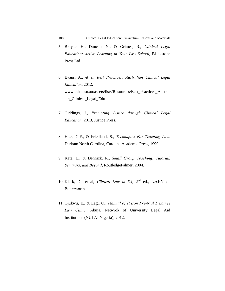- 5. Brayne, H., Duncan, N., & Grimes, R., *Clinical Legal Education: Active Learning in Your Law School*, Blackstone Press Ltd.
- 6. Evans, A., et al, *Best Practices; Australian Clinical Legal Education*, 2012, www.cald.asn.au/assets/lists/Resources/Best\_Practices\_Austral ian\_Clinical\_Legal\_Edu..
- 7. Giddings, J., *Promoting Justice through Clinical Legal Education,* 2013, Justice Press.
- 8. Hess, G.F., & Friedland, S., *Techniques For Teaching Law,* Durham North Carolina, Carolina Academic Press, 1999.
- 9. Kate, E., & Dennick, R., *Small Group Teaching: Tutorial, Seminars, and Beyond*, RoutledgeFalmer, 2004.
- 10. Klerk, D., et al, *Clinical Law in SA*, 2<sup>nd</sup> ed., LexisNexis Butterworths.
- 11. Ojukwu, E., & Lagi, O., *Manual of Prison Pre-trial Detainee Law Clinic*, Abuja, Netwrok of University Legal Aid Institutions (NULAI Nigeria), 2012.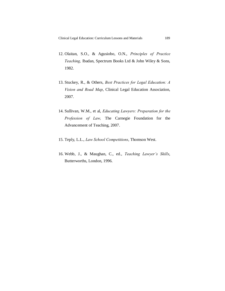- 12. Olaitan, S.O., & Agusiobo, O.N., *Principles of Practice Teaching,* Ibadan, Spectrum Books Ltd & John Wiley & Sons, 1982.
- 13. Stuckey, R., & Others, *Best Practices for Legal Education: A Vision and Road Map*, Clinical Legal Education Association, 2007.
- 14. Sullivan, W.M., et al, *Educating Lawyers: Preparation for the Profession of Law,* The Carnegie Foundation for the Advancement of Teaching, 2007.
- 15. Teply, L.L., *Law School Competitions*, Thomson West.
- 16. Webb, J., & Maughan, C., ed., *Teaching Lawyer's Skills*, Butterworths, London, 1996.